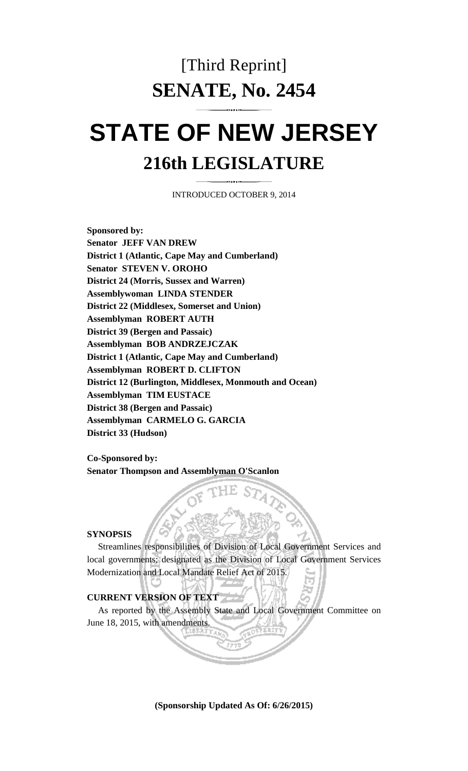# [Third Reprint] **SENATE, No. 2454**

# **STATE OF NEW JERSEY 216th LEGISLATURE**

INTRODUCED OCTOBER 9, 2014

**Sponsored by: Senator JEFF VAN DREW District 1 (Atlantic, Cape May and Cumberland) Senator STEVEN V. OROHO District 24 (Morris, Sussex and Warren) Assemblywoman LINDA STENDER District 22 (Middlesex, Somerset and Union) Assemblyman ROBERT AUTH District 39 (Bergen and Passaic) Assemblyman BOB ANDRZEJCZAK District 1 (Atlantic, Cape May and Cumberland) Assemblyman ROBERT D. CLIFTON District 12 (Burlington, Middlesex, Monmouth and Ocean) Assemblyman TIM EUSTACE District 38 (Bergen and Passaic) Assemblyman CARMELO G. GARCIA District 33 (Hudson)** 

**Co-Sponsored by: Senator Thompson and Assemblyman O'Scanlon** 

# **SYNOPSIS**

 Streamlines responsibilities of Division of Local Government Services and local governments; designated as the Division of Local Government Services Modernization and Local Mandate Relief Act of 2015.

# **CURRENT VERSION OF TEXT**

 As reported by the Assembly State and Local Government Committee on June 18, 2015, with amendments.

**(Sponsorship Updated As Of: 6/26/2015)**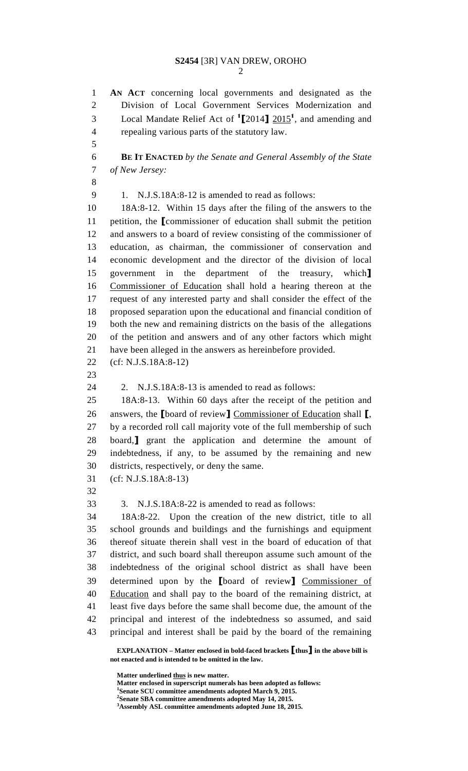2

1 **AN ACT** concerning local governments and designated as the 2 Division of Local Government Services Modernization and 3 Local Mandate Relief Act of <sup>1</sup>[2014] 2015<sup>1</sup>, and amending and 4 repealing various parts of the statutory law. 5 6 **BE IT ENACTED** *by the Senate and General Assembly of the State*  7 *of New Jersey:* 8 9 1. N.J.S.18A:8-12 is amended to read as follows: 10 18A:8-12. Within 15 days after the filing of the answers to the 11 petition, the [commissioner of education shall submit the petition 12 and answers to a board of review consisting of the commissioner of 13 education, as chairman, the commissioner of conservation and 14 economic development and the director of the division of local 15 government in the department of the treasury, which] 16 Commissioner of Education shall hold a hearing thereon at the 17 request of any interested party and shall consider the effect of the 18 proposed separation upon the educational and financial condition of 19 both the new and remaining districts on the basis of the allegations 20 of the petition and answers and of any other factors which might 21 have been alleged in the answers as hereinbefore provided. 22 (cf: N.J.S.18A:8-12) 23 24 2. N.J.S.18A:8-13 is amended to read as follows: 25 18A:8-13. Within 60 days after the receipt of the petition and 26 answers, the [board of review] Commissioner of Education shall [, 27 by a recorded roll call majority vote of the full membership of such 28 board,] grant the application and determine the amount of 29 indebtedness, if any, to be assumed by the remaining and new 30 districts, respectively, or deny the same. 31 (cf: N.J.S.18A:8-13) 32 33 3. N.J.S.18A:8-22 is amended to read as follows: 34 18A:8-22. Upon the creation of the new district, title to all 35 school grounds and buildings and the furnishings and equipment 36 thereof situate therein shall vest in the board of education of that 37 district, and such board shall thereupon assume such amount of the 38 indebtedness of the original school district as shall have been 39 determined upon by the [board of review] Commissioner of 40 Education and shall pay to the board of the remaining district, at 41 least five days before the same shall become due, the amount of the 42 principal and interest of the indebtedness so assumed, and said 43 principal and interest shall be paid by the board of the remaining

 **EXPLANATION – Matter enclosed in bold-faced brackets** [**thus**] **in the above bill is not enacted and is intended to be omitted in the law.** 

 **Matter underlined thus is new matter.** 

 **Matter enclosed in superscript numerals has been adopted as follows: 1**

- **Senate SCU committee amendments adopted March 9, 2015.**
- **2 Senate SBA committee amendments adopted May 14, 2015.**

**<sup>3</sup> Assembly ASL committee amendments adopted June 18, 2015.**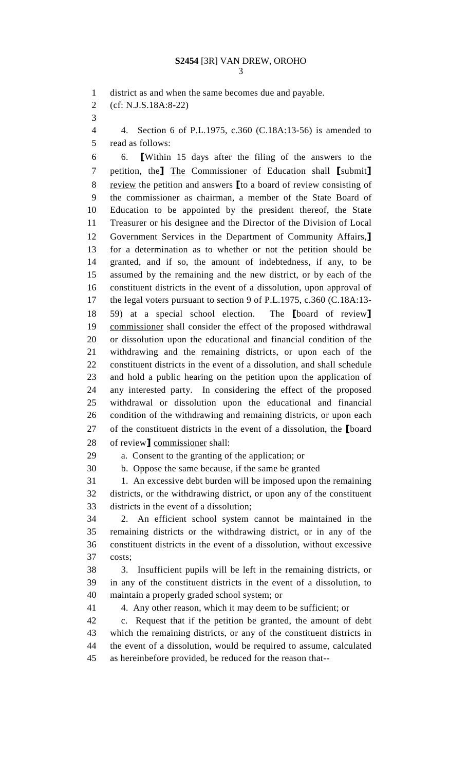1 district as and when the same becomes due and payable.

3

4 4. Section 6 of P.L.1975, c.360 (C.18A:13-56) is amended to 5 read as follows:

6 6. [Within 15 days after the filing of the answers to the 7 petition, the] The Commissioner of Education shall [submit] 8 review the petition and answers [to a board of review consisting of 9 the commissioner as chairman, a member of the State Board of 10 Education to be appointed by the president thereof, the State 11 Treasurer or his designee and the Director of the Division of Local 12 Government Services in the Department of Community Affairs,] 13 for a determination as to whether or not the petition should be 14 granted, and if so, the amount of indebtedness, if any, to be 15 assumed by the remaining and the new district, or by each of the 16 constituent districts in the event of a dissolution, upon approval of 17 the legal voters pursuant to section 9 of P.L.1975, c.360 (C.18A:13- 18 59) at a special school election. The [board of review] 19 commissioner shall consider the effect of the proposed withdrawal 20 or dissolution upon the educational and financial condition of the 21 withdrawing and the remaining districts, or upon each of the 22 constituent districts in the event of a dissolution, and shall schedule 23 and hold a public hearing on the petition upon the application of 24 any interested party. In considering the effect of the proposed 25 withdrawal or dissolution upon the educational and financial 26 condition of the withdrawing and remaining districts, or upon each 27 of the constituent districts in the event of a dissolution, the [board 28 of review] commissioner shall:

29 a. Consent to the granting of the application; or

30 b. Oppose the same because, if the same be granted

31 1. An excessive debt burden will be imposed upon the remaining 32 districts, or the withdrawing district, or upon any of the constituent 33 districts in the event of a dissolution;

34 2. An efficient school system cannot be maintained in the 35 remaining districts or the withdrawing district, or in any of the 36 constituent districts in the event of a dissolution, without excessive 37 costs;

38 3. Insufficient pupils will be left in the remaining districts, or 39 in any of the constituent districts in the event of a dissolution, to 40 maintain a properly graded school system; or

41 4. Any other reason, which it may deem to be sufficient; or

42 c. Request that if the petition be granted, the amount of debt 43 which the remaining districts, or any of the constituent districts in 44 the event of a dissolution, would be required to assume, calculated 45 as hereinbefore provided, be reduced for the reason that--

<sup>2 (</sup>cf: N.J.S.18A:8-22)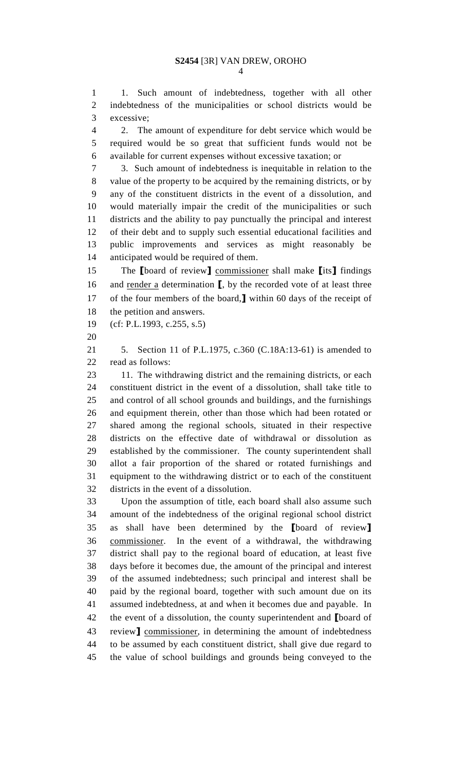1 1. Such amount of indebtedness, together with all other 2 indebtedness of the municipalities or school districts would be 3 excessive;

4 2. The amount of expenditure for debt service which would be 5 required would be so great that sufficient funds would not be 6 available for current expenses without excessive taxation; or

7 3. Such amount of indebtedness is inequitable in relation to the 8 value of the property to be acquired by the remaining districts, or by 9 any of the constituent districts in the event of a dissolution, and 10 would materially impair the credit of the municipalities or such 11 districts and the ability to pay punctually the principal and interest 12 of their debt and to supply such essential educational facilities and 13 public improvements and services as might reasonably be 14 anticipated would be required of them.

15 The [board of review] commissioner shall make [its] findings 16 and render a determination  $\mathbf{I}$ , by the recorded vote of at least three 17 of the four members of the board,] within 60 days of the receipt of 18 the petition and answers.

19 (cf: P.L.1993, c.255, s.5)

20

21 5. Section 11 of P.L.1975, c.360 (C.18A:13-61) is amended to 22 read as follows:

23 11. The withdrawing district and the remaining districts, or each 24 constituent district in the event of a dissolution, shall take title to 25 and control of all school grounds and buildings, and the furnishings 26 and equipment therein, other than those which had been rotated or 27 shared among the regional schools, situated in their respective 28 districts on the effective date of withdrawal or dissolution as 29 established by the commissioner. The county superintendent shall 30 allot a fair proportion of the shared or rotated furnishings and 31 equipment to the withdrawing district or to each of the constituent 32 districts in the event of a dissolution.

33 Upon the assumption of title, each board shall also assume such 34 amount of the indebtedness of the original regional school district 35 as shall have been determined by the [board of review] 36 commissioner. In the event of a withdrawal, the withdrawing 37 district shall pay to the regional board of education, at least five 38 days before it becomes due, the amount of the principal and interest 39 of the assumed indebtedness; such principal and interest shall be 40 paid by the regional board, together with such amount due on its 41 assumed indebtedness, at and when it becomes due and payable. In 42 the event of a dissolution, the county superintendent and [board of 43 review] commissioner, in determining the amount of indebtedness 44 to be assumed by each constituent district, shall give due regard to 45 the value of school buildings and grounds being conveyed to the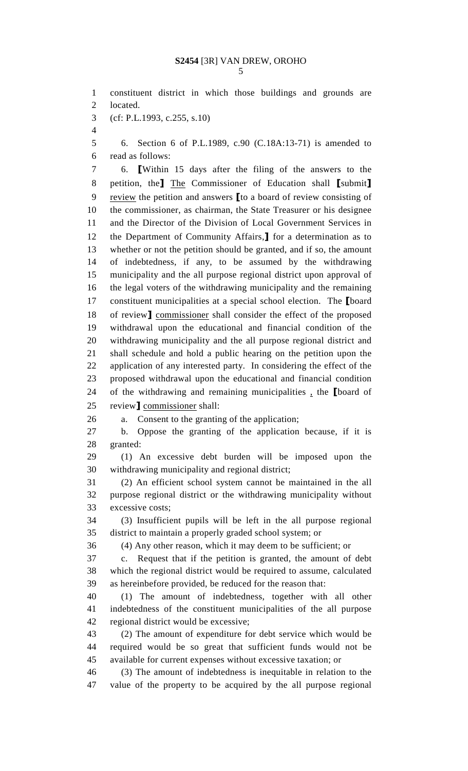| ۰,<br>×<br>v |  |
|--------------|--|

1 constituent district in which those buildings and grounds are

2 located.

3 (cf: P.L.1993, c.255, s.10) 4 5 6. Section 6 of P.L.1989, c.90 (C.18A:13-71) is amended to 6 read as follows: 7 6. [Within 15 days after the filing of the answers to the 8 petition, the The Commissioner of Education shall [submit] 9 review the petition and answers [to a board of review consisting of 10 the commissioner, as chairman, the State Treasurer or his designee 11 and the Director of the Division of Local Government Services in 12 the Department of Community Affairs, I for a determination as to 13 whether or not the petition should be granted, and if so, the amount 14 of indebtedness, if any, to be assumed by the withdrawing 15 municipality and the all purpose regional district upon approval of 16 the legal voters of the withdrawing municipality and the remaining 17 constituent municipalities at a special school election. The [board 18 of review] commissioner shall consider the effect of the proposed 19 withdrawal upon the educational and financial condition of the 20 withdrawing municipality and the all purpose regional district and 21 shall schedule and hold a public hearing on the petition upon the 22 application of any interested party. In considering the effect of the 23 proposed withdrawal upon the educational and financial condition 24 of the withdrawing and remaining municipalities , the [board of 25 review] commissioner shall: 26 a. Consent to the granting of the application; 27 b. Oppose the granting of the application because, if it is 28 granted: 29 (1) An excessive debt burden will be imposed upon the 30 withdrawing municipality and regional district; 31 (2) An efficient school system cannot be maintained in the all 32 purpose regional district or the withdrawing municipality without 33 excessive costs; 34 (3) Insufficient pupils will be left in the all purpose regional 35 district to maintain a properly graded school system; or 36 (4) Any other reason, which it may deem to be sufficient; or 37 c. Request that if the petition is granted, the amount of debt 38 which the regional district would be required to assume, calculated 39 as hereinbefore provided, be reduced for the reason that: 40 (1) The amount of indebtedness, together with all other 41 indebtedness of the constituent municipalities of the all purpose 42 regional district would be excessive; 43 (2) The amount of expenditure for debt service which would be 44 required would be so great that sufficient funds would not be 45 available for current expenses without excessive taxation; or

46 (3) The amount of indebtedness is inequitable in relation to the 47 value of the property to be acquired by the all purpose regional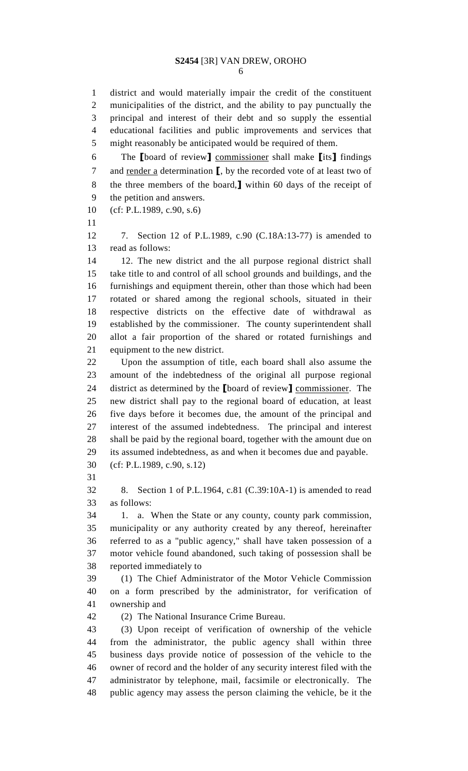1 district and would materially impair the credit of the constituent 2 municipalities of the district, and the ability to pay punctually the 3 principal and interest of their debt and so supply the essential 4 educational facilities and public improvements and services that 5 might reasonably be anticipated would be required of them.

6 The [board of review] commissioner shall make [its] findings 7 and render a determination [, by the recorded vote of at least two of 8 the three members of the board,] within 60 days of the receipt of 9 the petition and answers.

10 (cf: P.L.1989, c.90, s.6)

11

12 7. Section 12 of P.L.1989, c.90 (C.18A:13-77) is amended to 13 read as follows:

14 12. The new district and the all purpose regional district shall 15 take title to and control of all school grounds and buildings, and the 16 furnishings and equipment therein, other than those which had been 17 rotated or shared among the regional schools, situated in their 18 respective districts on the effective date of withdrawal as 19 established by the commissioner. The county superintendent shall 20 allot a fair proportion of the shared or rotated furnishings and 21 equipment to the new district.

22 Upon the assumption of title, each board shall also assume the 23 amount of the indebtedness of the original all purpose regional 24 district as determined by the [board of review] commissioner. The 25 new district shall pay to the regional board of education, at least 26 five days before it becomes due, the amount of the principal and 27 interest of the assumed indebtedness. The principal and interest 28 shall be paid by the regional board, together with the amount due on 29 its assumed indebtedness, as and when it becomes due and payable. 30 (cf: P.L.1989, c.90, s.12)

31

32 8. Section 1 of P.L.1964, c.81 (C.39:10A-1) is amended to read 33 as follows:

34 1. a. When the State or any county, county park commission, 35 municipality or any authority created by any thereof, hereinafter 36 referred to as a "public agency," shall have taken possession of a 37 motor vehicle found abandoned, such taking of possession shall be 38 reported immediately to

39 (1) The Chief Administrator of the Motor Vehicle Commission 40 on a form prescribed by the administrator, for verification of 41 ownership and

42 (2) The National Insurance Crime Bureau.

43 (3) Upon receipt of verification of ownership of the vehicle 44 from the administrator, the public agency shall within three 45 business days provide notice of possession of the vehicle to the 46 owner of record and the holder of any security interest filed with the 47 administrator by telephone, mail, facsimile or electronically. The 48 public agency may assess the person claiming the vehicle, be it the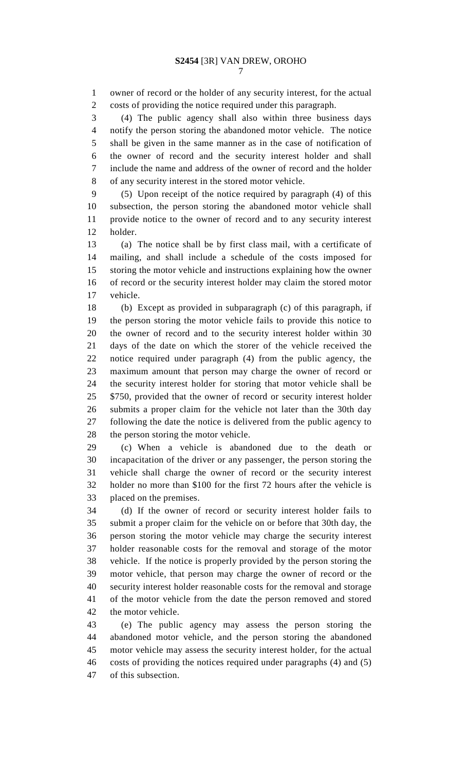1 owner of record or the holder of any security interest, for the actual 2 costs of providing the notice required under this paragraph.

3 (4) The public agency shall also within three business days 4 notify the person storing the abandoned motor vehicle. The notice 5 shall be given in the same manner as in the case of notification of 6 the owner of record and the security interest holder and shall 7 include the name and address of the owner of record and the holder 8 of any security interest in the stored motor vehicle.

9 (5) Upon receipt of the notice required by paragraph (4) of this 10 subsection, the person storing the abandoned motor vehicle shall 11 provide notice to the owner of record and to any security interest 12 holder.

13 (a) The notice shall be by first class mail, with a certificate of 14 mailing, and shall include a schedule of the costs imposed for 15 storing the motor vehicle and instructions explaining how the owner 16 of record or the security interest holder may claim the stored motor 17 vehicle.

18 (b) Except as provided in subparagraph (c) of this paragraph, if 19 the person storing the motor vehicle fails to provide this notice to 20 the owner of record and to the security interest holder within 30 21 days of the date on which the storer of the vehicle received the 22 notice required under paragraph (4) from the public agency, the 23 maximum amount that person may charge the owner of record or 24 the security interest holder for storing that motor vehicle shall be 25 \$750, provided that the owner of record or security interest holder 26 submits a proper claim for the vehicle not later than the 30th day 27 following the date the notice is delivered from the public agency to 28 the person storing the motor vehicle.

29 (c) When a vehicle is abandoned due to the death or 30 incapacitation of the driver or any passenger, the person storing the 31 vehicle shall charge the owner of record or the security interest 32 holder no more than \$100 for the first 72 hours after the vehicle is 33 placed on the premises.

34 (d) If the owner of record or security interest holder fails to 35 submit a proper claim for the vehicle on or before that 30th day, the 36 person storing the motor vehicle may charge the security interest 37 holder reasonable costs for the removal and storage of the motor 38 vehicle. If the notice is properly provided by the person storing the 39 motor vehicle, that person may charge the owner of record or the 40 security interest holder reasonable costs for the removal and storage 41 of the motor vehicle from the date the person removed and stored 42 the motor vehicle.

43 (e) The public agency may assess the person storing the 44 abandoned motor vehicle, and the person storing the abandoned 45 motor vehicle may assess the security interest holder, for the actual 46 costs of providing the notices required under paragraphs (4) and (5) 47 of this subsection.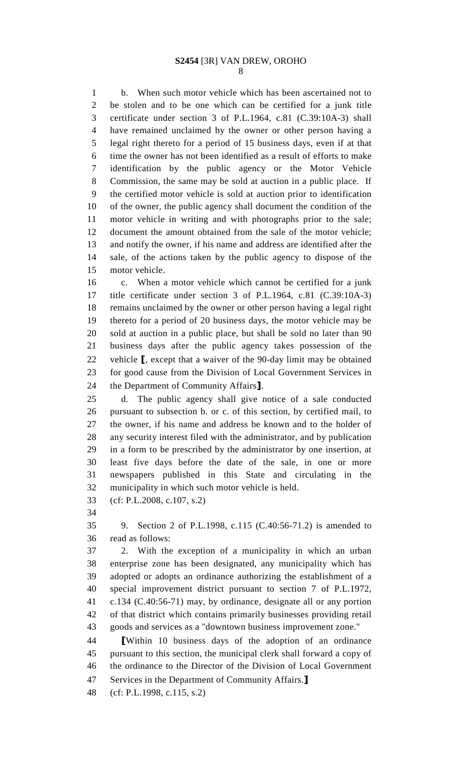8

1 b. When such motor vehicle which has been ascertained not to 2 be stolen and to be one which can be certified for a junk title 3 certificate under section 3 of P.L.1964, c.81 (C.39:10A-3) shall 4 have remained unclaimed by the owner or other person having a 5 legal right thereto for a period of 15 business days, even if at that 6 time the owner has not been identified as a result of efforts to make 7 identification by the public agency or the Motor Vehicle 8 Commission, the same may be sold at auction in a public place. If 9 the certified motor vehicle is sold at auction prior to identification 10 of the owner, the public agency shall document the condition of the 11 motor vehicle in writing and with photographs prior to the sale; 12 document the amount obtained from the sale of the motor vehicle; 13 and notify the owner, if his name and address are identified after the 14 sale, of the actions taken by the public agency to dispose of the 15 motor vehicle.

16 c. When a motor vehicle which cannot be certified for a junk 17 title certificate under section 3 of P.L.1964, c.81 (C.39:10A-3) 18 remains unclaimed by the owner or other person having a legal right 19 thereto for a period of 20 business days, the motor vehicle may be 20 sold at auction in a public place, but shall be sold no later than 90 21 business days after the public agency takes possession of the 22 vehicle [, except that a waiver of the 90-day limit may be obtained 23 for good cause from the Division of Local Government Services in 24 the Department of Community Affairs].

25 d. The public agency shall give notice of a sale conducted 26 pursuant to subsection b. or c. of this section, by certified mail, to 27 the owner, if his name and address be known and to the holder of 28 any security interest filed with the administrator, and by publication 29 in a form to be prescribed by the administrator by one insertion, at 30 least five days before the date of the sale, in one or more 31 newspapers published in this State and circulating in the 32 municipality in which such motor vehicle is held.

33 (cf: P.L.2008, c.107, s.2)

34

35 9. Section 2 of P.L.1998, c.115 (C.40:56-71.2) is amended to 36 read as follows:

37 2. With the exception of a municipality in which an urban 38 enterprise zone has been designated, any municipality which has 39 adopted or adopts an ordinance authorizing the establishment of a 40 special improvement district pursuant to section 7 of P.L.1972, 41 c.134 (C.40:56-71) may, by ordinance, designate all or any portion 42 of that district which contains primarily businesses providing retail 43 goods and services as a "downtown business improvement zone."

44 [Within 10 business days of the adoption of an ordinance 45 pursuant to this section, the municipal clerk shall forward a copy of 46 the ordinance to the Director of the Division of Local Government 47 Services in the Department of Community Affairs.]

<sup>48 (</sup>cf: P.L.1998, c.115, s.2)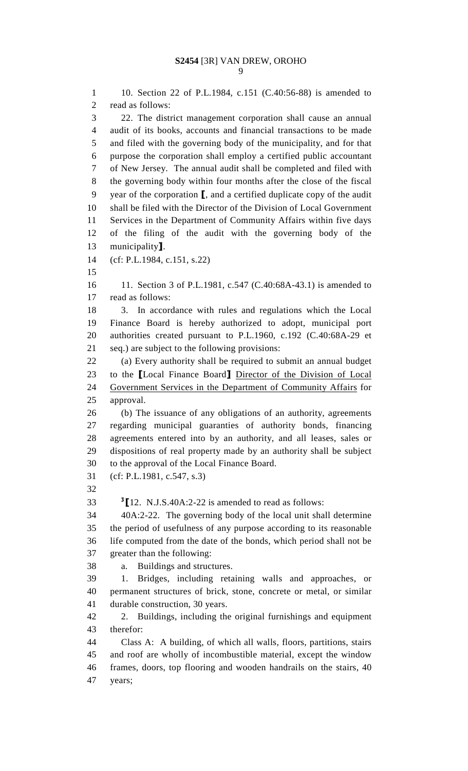1 10. Section 22 of P.L.1984, c.151 (C.40:56-88) is amended to 2 read as follows: 3 22. The district management corporation shall cause an annual 4 audit of its books, accounts and financial transactions to be made 5 and filed with the governing body of the municipality, and for that 6 purpose the corporation shall employ a certified public accountant 7 of New Jersey. The annual audit shall be completed and filed with 8 the governing body within four months after the close of the fiscal 9 year of the corporation [, and a certified duplicate copy of the audit 10 shall be filed with the Director of the Division of Local Government 11 Services in the Department of Community Affairs within five days 12 of the filing of the audit with the governing body of the 13 municipality]. 14 (cf: P.L.1984, c.151, s.22) 15 16 11. Section 3 of P.L.1981, c.547 (C.40:68A-43.1) is amended to 17 read as follows: 18 3. In accordance with rules and regulations which the Local 19 Finance Board is hereby authorized to adopt, municipal port 20 authorities created pursuant to P.L.1960, c.192 (C.40:68A-29 et 21 seq.) are subject to the following provisions: 22 (a) Every authority shall be required to submit an annual budget 23 to the [Local Finance Board] Director of the Division of Local 24 Government Services in the Department of Community Affairs for 25 approval. 26 (b) The issuance of any obligations of an authority, agreements 27 regarding municipal guaranties of authority bonds, financing 28 agreements entered into by an authority, and all leases, sales or 29 dispositions of real property made by an authority shall be subject 30 to the approval of the Local Finance Board. 31 (cf: P.L.1981, c.547, s.3) 32  $33 \text{ J}$   $12. \text{ N.J.S.40A:2-22 is amended to read as follows:}$ 34 40A:2-22. The governing body of the local unit shall determine 35 the period of usefulness of any purpose according to its reasonable 36 life computed from the date of the bonds, which period shall not be 37 greater than the following: 38 a. Buildings and structures. 39 1. Bridges, including retaining walls and approaches, or 40 permanent structures of brick, stone, concrete or metal, or similar 41 durable construction, 30 years. 42 2. Buildings, including the original furnishings and equipment 43 therefor: 44 Class A: A building, of which all walls, floors, partitions, stairs 45 and roof are wholly of incombustible material, except the window 46 frames, doors, top flooring and wooden handrails on the stairs, 40 47 years;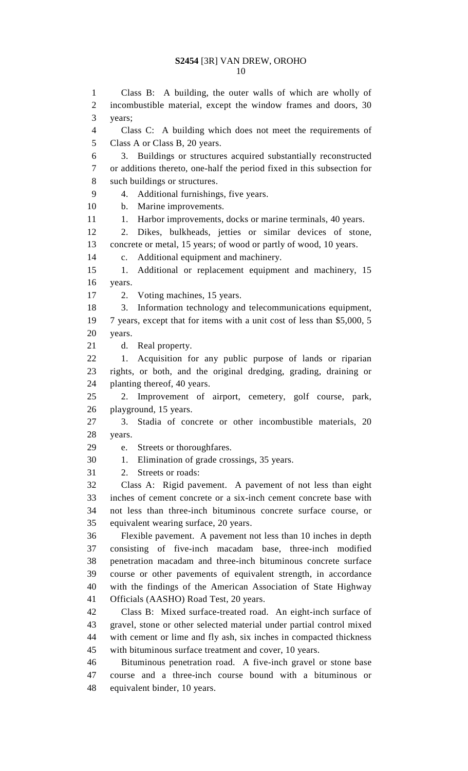1 Class B: A building, the outer walls of which are wholly of 2 incombustible material, except the window frames and doors, 30 3 years; 4 Class C: A building which does not meet the requirements of 5 Class A or Class B, 20 years. 6 3. Buildings or structures acquired substantially reconstructed 7 or additions thereto, one-half the period fixed in this subsection for 8 such buildings or structures. 9 4. Additional furnishings, five years. 10 b. Marine improvements. 11 1. Harbor improvements, docks or marine terminals, 40 years. 12 2. Dikes, bulkheads, jetties or similar devices of stone, 13 concrete or metal, 15 years; of wood or partly of wood, 10 years. 14 c. Additional equipment and machinery. 15 1. Additional or replacement equipment and machinery, 15 16 years. 17 2. Voting machines, 15 years. 18 3. Information technology and telecommunications equipment, 19 7 years, except that for items with a unit cost of less than \$5,000, 5 20 years. 21 d. Real property. 22 1. Acquisition for any public purpose of lands or riparian 23 rights, or both, and the original dredging, grading, draining or 24 planting thereof, 40 years. 25 2. Improvement of airport, cemetery, golf course, park, 26 playground, 15 years. 27 3. Stadia of concrete or other incombustible materials, 20 28 years. 29 e. Streets or thoroughfares. 30 1. Elimination of grade crossings, 35 years. 31 2. Streets or roads: 32 Class A: Rigid pavement. A pavement of not less than eight 33 inches of cement concrete or a six-inch cement concrete base with 34 not less than three-inch bituminous concrete surface course, or 35 equivalent wearing surface, 20 years. 36 Flexible pavement. A pavement not less than 10 inches in depth 37 consisting of five-inch macadam base, three-inch modified 38 penetration macadam and three-inch bituminous concrete surface 39 course or other pavements of equivalent strength, in accordance 40 with the findings of the American Association of State Highway 41 Officials (AASHO) Road Test, 20 years. 42 Class B: Mixed surface-treated road. An eight-inch surface of 43 gravel, stone or other selected material under partial control mixed 44 with cement or lime and fly ash, six inches in compacted thickness 45 with bituminous surface treatment and cover, 10 years. 46 Bituminous penetration road. A five-inch gravel or stone base 47 course and a three-inch course bound with a bituminous or

48 equivalent binder, 10 years.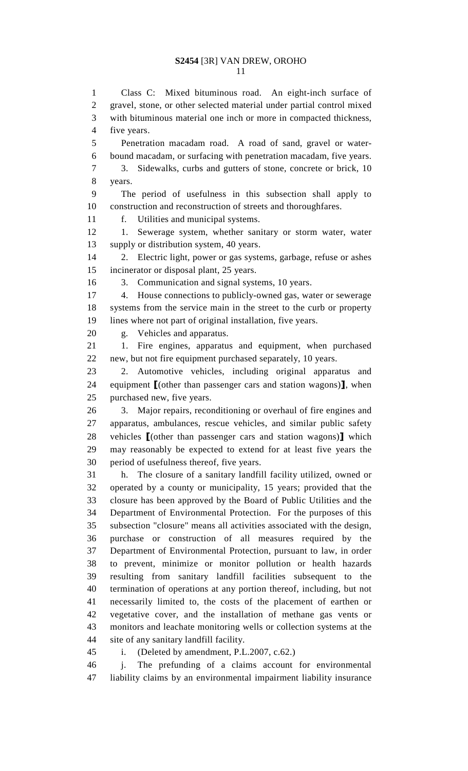1 Class C: Mixed bituminous road. An eight-inch surface of 2 gravel, stone, or other selected material under partial control mixed 3 with bituminous material one inch or more in compacted thickness, 4 five years. 5 Penetration macadam road. A road of sand, gravel or water-6 bound macadam, or surfacing with penetration macadam, five years. 7 3. Sidewalks, curbs and gutters of stone, concrete or brick, 10 8 years. 9 The period of usefulness in this subsection shall apply to 10 construction and reconstruction of streets and thoroughfares. 11 f. Utilities and municipal systems. 12 1. Sewerage system, whether sanitary or storm water, water 13 supply or distribution system, 40 years. 14 2. Electric light, power or gas systems, garbage, refuse or ashes 15 incinerator or disposal plant, 25 years. 16 3. Communication and signal systems, 10 years. 17 4. House connections to publicly-owned gas, water or sewerage 18 systems from the service main in the street to the curb or property 19 lines where not part of original installation, five years. 20 g. Vehicles and apparatus. 21 1. Fire engines, apparatus and equipment, when purchased 22 new, but not fire equipment purchased separately, 10 years. 23 2. Automotive vehicles, including original apparatus and 24 equipment [(other than passenger cars and station wagons)], when 25 purchased new, five years. 26 3. Major repairs, reconditioning or overhaul of fire engines and 27 apparatus, ambulances, rescue vehicles, and similar public safety 28 vehicles [(other than passenger cars and station wagons)] which 29 may reasonably be expected to extend for at least five years the 30 period of usefulness thereof, five years. 31 h. The closure of a sanitary landfill facility utilized, owned or 32 operated by a county or municipality, 15 years; provided that the 33 closure has been approved by the Board of Public Utilities and the 34 Department of Environmental Protection. For the purposes of this 35 subsection "closure" means all activities associated with the design, 36 purchase or construction of all measures required by the 37 Department of Environmental Protection, pursuant to law, in order 38 to prevent, minimize or monitor pollution or health hazards 39 resulting from sanitary landfill facilities subsequent to the 40 termination of operations at any portion thereof, including, but not 41 necessarily limited to, the costs of the placement of earthen or 42 vegetative cover, and the installation of methane gas vents or 43 monitors and leachate monitoring wells or collection systems at the 44 site of any sanitary landfill facility. 45 i. (Deleted by amendment, P.L.2007, c.62.) 46 j. The prefunding of a claims account for environmental

47 liability claims by an environmental impairment liability insurance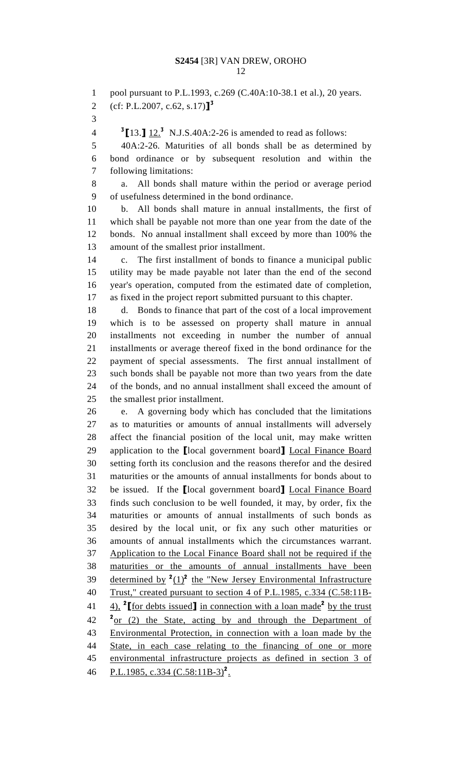1 pool pursuant to P.L.1993, c.269 (C.40A:10-38.1 et al.), 20 years.

2 (cf: P.L.2007, c.62, s.17)<sup>3</sup>

3

 $\frac{3}{13.1}$   $\frac{12.3}{12.5}$  N.J.S.40A:2-26 is amended to read as follows:

5 40A:2-26. Maturities of all bonds shall be as determined by 6 bond ordinance or by subsequent resolution and within the 7 following limitations:

8 a. All bonds shall mature within the period or average period 9 of usefulness determined in the bond ordinance.

10 b. All bonds shall mature in annual installments, the first of 11 which shall be payable not more than one year from the date of the 12 bonds. No annual installment shall exceed by more than 100% the 13 amount of the smallest prior installment.

14 c. The first installment of bonds to finance a municipal public 15 utility may be made payable not later than the end of the second 16 year's operation, computed from the estimated date of completion, 17 as fixed in the project report submitted pursuant to this chapter.

18 d. Bonds to finance that part of the cost of a local improvement 19 which is to be assessed on property shall mature in annual 20 installments not exceeding in number the number of annual 21 installments or average thereof fixed in the bond ordinance for the 22 payment of special assessments. The first annual installment of 23 such bonds shall be payable not more than two years from the date 24 of the bonds, and no annual installment shall exceed the amount of 25 the smallest prior installment.

26 e. A governing body which has concluded that the limitations 27 as to maturities or amounts of annual installments will adversely 28 affect the financial position of the local unit, may make written 29 application to the [local government board] Local Finance Board 30 setting forth its conclusion and the reasons therefor and the desired 31 maturities or the amounts of annual installments for bonds about to 32 be issued. If the [local government board] Local Finance Board 33 finds such conclusion to be well founded, it may, by order, fix the 34 maturities or amounts of annual installments of such bonds as 35 desired by the local unit, or fix any such other maturities or 36 amounts of annual installments which the circumstances warrant. 37 Application to the Local Finance Board shall not be required if the 38 maturities or the amounts of annual installments have been 39 determined by  $2(1)^2$  the "New Jersey Environmental Infrastructure 40 Trust," created pursuant to section 4 of P.L.1985, c.334 (C.58:11B-41  $\pm$  4), <sup>2</sup> [for debts issued] in connection with a loan made<sup>2</sup> by the trust  $2^2$   $\frac{1}{2}$   $\frac{1}{2}$  the State, acting by and through the Department of 43 Environmental Protection, in connection with a loan made by the 44 State, in each case relating to the financing of one or more 45 environmental infrastructure projects as defined in section 3 of 46 P.L.1985, c.334  $(C.58:11B-3)^2$ .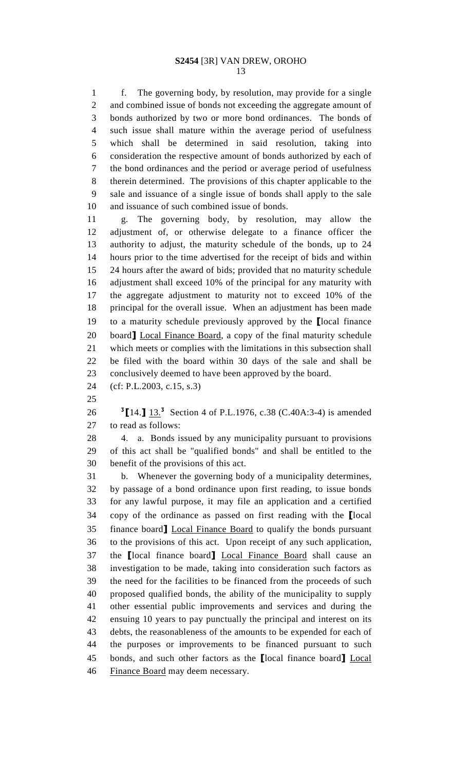1 f. The governing body, by resolution, may provide for a single 2 and combined issue of bonds not exceeding the aggregate amount of 3 bonds authorized by two or more bond ordinances. The bonds of 4 such issue shall mature within the average period of usefulness 5 which shall be determined in said resolution, taking into 6 consideration the respective amount of bonds authorized by each of 7 the bond ordinances and the period or average period of usefulness 8 therein determined. The provisions of this chapter applicable to the 9 sale and issuance of a single issue of bonds shall apply to the sale 10 and issuance of such combined issue of bonds.

11 g. The governing body, by resolution, may allow the 12 adjustment of, or otherwise delegate to a finance officer the 13 authority to adjust, the maturity schedule of the bonds, up to 24 14 hours prior to the time advertised for the receipt of bids and within 15 24 hours after the award of bids; provided that no maturity schedule 16 adjustment shall exceed 10% of the principal for any maturity with 17 the aggregate adjustment to maturity not to exceed 10% of the 18 principal for the overall issue. When an adjustment has been made 19 to a maturity schedule previously approved by the [local finance 20 board] Local Finance Board, a copy of the final maturity schedule 21 which meets or complies with the limitations in this subsection shall 22 be filed with the board within 30 days of the sale and shall be 23 conclusively deemed to have been approved by the board.

24 (cf: P.L.2003, c.15, s.3)

25

26  $\frac{3}{14.1}$   $\frac{13.3}{13.3}$  Section 4 of P.L.1976, c.38 (C.40A:3-4) is amended 27 to read as follows:

28 4. a. Bonds issued by any municipality pursuant to provisions 29 of this act shall be "qualified bonds" and shall be entitled to the 30 benefit of the provisions of this act.

31 b. Whenever the governing body of a municipality determines, 32 by passage of a bond ordinance upon first reading, to issue bonds 33 for any lawful purpose, it may file an application and a certified 34 copy of the ordinance as passed on first reading with the [local 35 finance board] Local Finance Board to qualify the bonds pursuant 36 to the provisions of this act. Upon receipt of any such application, 37 the [local finance board] Local Finance Board shall cause an 38 investigation to be made, taking into consideration such factors as 39 the need for the facilities to be financed from the proceeds of such 40 proposed qualified bonds, the ability of the municipality to supply 41 other essential public improvements and services and during the 42 ensuing 10 years to pay punctually the principal and interest on its 43 debts, the reasonableness of the amounts to be expended for each of 44 the purposes or improvements to be financed pursuant to such 45 bonds, and such other factors as the [local finance board] Local 46 Finance Board may deem necessary.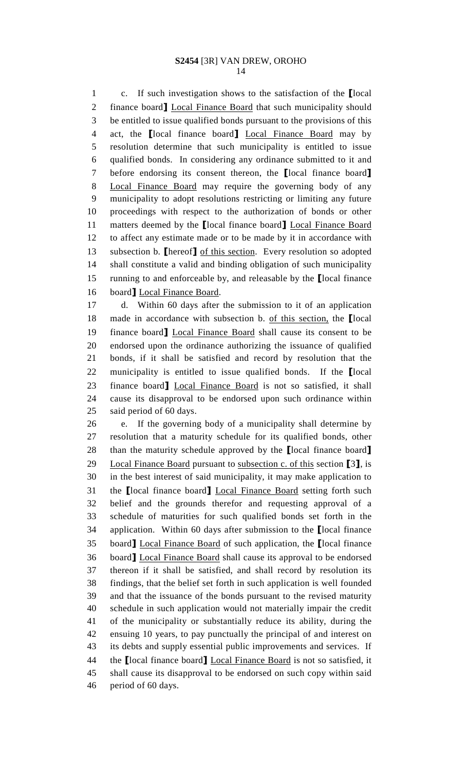1 c. If such investigation shows to the satisfaction of the [local 2 finance board<sup>1</sup> Local Finance Board that such municipality should 3 be entitled to issue qualified bonds pursuant to the provisions of this 4 act, the [local finance board] Local Finance Board may by 5 resolution determine that such municipality is entitled to issue 6 qualified bonds. In considering any ordinance submitted to it and 7 before endorsing its consent thereon, the [local finance board] 8 Local Finance Board may require the governing body of any 9 municipality to adopt resolutions restricting or limiting any future 10 proceedings with respect to the authorization of bonds or other 11 matters deemed by the [local finance board] Local Finance Board 12 to affect any estimate made or to be made by it in accordance with 13 subsection b. **[**hereof**]** of this section. Every resolution so adopted 14 shall constitute a valid and binding obligation of such municipality 15 running to and enforceable by, and releasable by the [local finance 16 board] Local Finance Board.

17 d. Within 60 days after the submission to it of an application 18 made in accordance with subsection b. of this section, the [local 19 finance board] Local Finance Board shall cause its consent to be 20 endorsed upon the ordinance authorizing the issuance of qualified 21 bonds, if it shall be satisfied and record by resolution that the 22 municipality is entitled to issue qualified bonds. If the [local 23 finance board] Local Finance Board is not so satisfied, it shall 24 cause its disapproval to be endorsed upon such ordinance within 25 said period of 60 days.

26 e. If the governing body of a municipality shall determine by 27 resolution that a maturity schedule for its qualified bonds, other 28 than the maturity schedule approved by the **[local finance board]** 29 Local Finance Board pursuant to subsection c. of this section [3], is 30 in the best interest of said municipality, it may make application to 31 the [local finance board] Local Finance Board setting forth such 32 belief and the grounds therefor and requesting approval of a 33 schedule of maturities for such qualified bonds set forth in the 34 application. Within 60 days after submission to the [local finance 35 board] Local Finance Board of such application, the [local finance 36 board] Local Finance Board shall cause its approval to be endorsed 37 thereon if it shall be satisfied, and shall record by resolution its 38 findings, that the belief set forth in such application is well founded 39 and that the issuance of the bonds pursuant to the revised maturity 40 schedule in such application would not materially impair the credit 41 of the municipality or substantially reduce its ability, during the 42 ensuing 10 years, to pay punctually the principal of and interest on 43 its debts and supply essential public improvements and services. If 44 the local finance board Local Finance Board is not so satisfied, it 45 shall cause its disapproval to be endorsed on such copy within said 46 period of 60 days.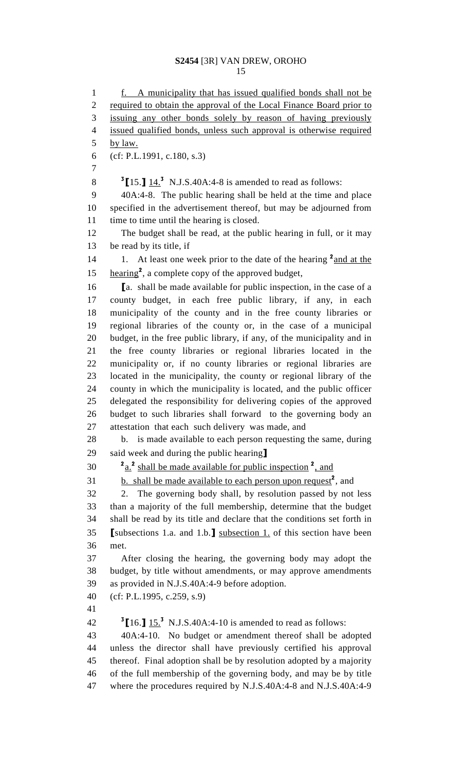1 f. A municipality that has issued qualified bonds shall not be 2 required to obtain the approval of the Local Finance Board prior to 3 issuing any other bonds solely by reason of having previously 4 issued qualified bonds, unless such approval is otherwise required 5 by law. 6 (cf: P.L.1991, c.180, s.3) 7  $\overline{\text{3}}$  [15.]  $\underline{14.}$  N.J.S.40A:4-8 is amended to read as follows: 9 40A:4-8. The public hearing shall be held at the time and place 10 specified in the advertisement thereof, but may be adjourned from 11 time to time until the hearing is closed. 12 The budget shall be read, at the public hearing in full, or it may 13 be read by its title, if 14 1. At least one week prior to the date of the hearing  $\frac{2 \text{ and at the}}{2 \text{ and at the}}$  $hearing<sup>2</sup>$ , a complete copy of the approved budget, 16 **[a.** shall be made available for public inspection, in the case of a 17 county budget, in each free public library, if any, in each 18 municipality of the county and in the free county libraries or 19 regional libraries of the county or, in the case of a municipal 20 budget, in the free public library, if any, of the municipality and in 21 the free county libraries or regional libraries located in the 22 municipality or, if no county libraries or regional libraries are 23 located in the municipality, the county or regional library of the 24 county in which the municipality is located, and the public officer 25 delegated the responsibility for delivering copies of the approved 26 budget to such libraries shall forward to the governing body an 27 attestation that each such delivery was made, and 28 b. is made available to each person requesting the same, during 29 said week and during the public hearing 30  $\frac{a_2^2 \text{ shall be made available for public inspection }^2, \text{ and }$ 31 b. shall be made available to each person upon request<sup>2</sup>, and 32 2. The governing body shall, by resolution passed by not less 33 than a majority of the full membership, determine that the budget 34 shall be read by its title and declare that the conditions set forth in 35 [subsections 1.a. and 1.b.] subsection 1. of this section have been 36 met. 37 After closing the hearing, the governing body may adopt the 38 budget, by title without amendments, or may approve amendments 39 as provided in N.J.S.40A:4-9 before adoption. 40 (cf: P.L.1995, c.259, s.9) 41  $\frac{3}{16.1}$  15.<sup>3</sup> N.J.S.40A:4-10 is amended to read as follows: 43 40A:4-10. No budget or amendment thereof shall be adopted 44 unless the director shall have previously certified his approval 45 thereof. Final adoption shall be by resolution adopted by a majority 46 of the full membership of the governing body, and may be by title 47 where the procedures required by N.J.S.40A:4-8 and N.J.S.40A:4-9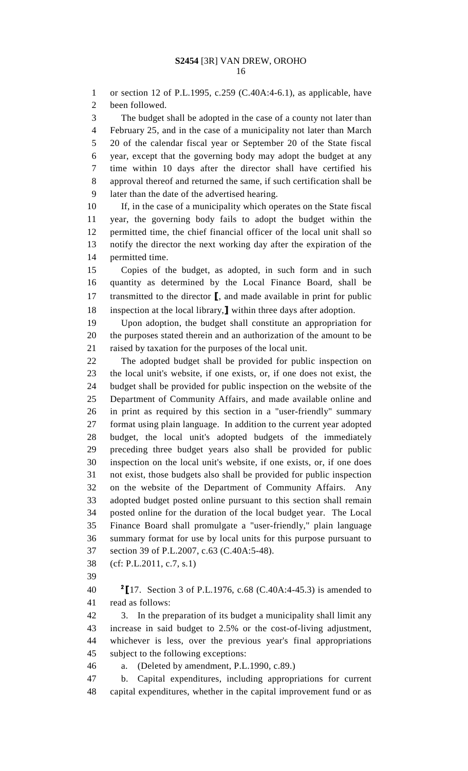1 or section 12 of P.L.1995, c.259 (C.40A:4-6.1), as applicable, have 2 been followed. 3 The budget shall be adopted in the case of a county not later than 4 February 25, and in the case of a municipality not later than March 5 20 of the calendar fiscal year or September 20 of the State fiscal 6 year, except that the governing body may adopt the budget at any 7 time within 10 days after the director shall have certified his 8 approval thereof and returned the same, if such certification shall be 9 later than the date of the advertised hearing. 10 If, in the case of a municipality which operates on the State fiscal

11 year, the governing body fails to adopt the budget within the 12 permitted time, the chief financial officer of the local unit shall so 13 notify the director the next working day after the expiration of the 14 permitted time.

15 Copies of the budget, as adopted, in such form and in such 16 quantity as determined by the Local Finance Board, shall be 17 transmitted to the director **[**, and made available in print for public 18 inspection at the local library,] within three days after adoption.

19 Upon adoption, the budget shall constitute an appropriation for 20 the purposes stated therein and an authorization of the amount to be 21 raised by taxation for the purposes of the local unit.

22 The adopted budget shall be provided for public inspection on 23 the local unit's website, if one exists, or, if one does not exist, the 24 budget shall be provided for public inspection on the website of the 25 Department of Community Affairs, and made available online and 26 in print as required by this section in a "user-friendly" summary 27 format using plain language. In addition to the current year adopted 28 budget, the local unit's adopted budgets of the immediately 29 preceding three budget years also shall be provided for public 30 inspection on the local unit's website, if one exists, or, if one does 31 not exist, those budgets also shall be provided for public inspection 32 on the website of the Department of Community Affairs. Any 33 adopted budget posted online pursuant to this section shall remain 34 posted online for the duration of the local budget year. The Local 35 Finance Board shall promulgate a "user-friendly," plain language 36 summary format for use by local units for this purpose pursuant to 37 section 39 of P.L.2007, c.63 (C.40A:5-48).

- 38 (cf: P.L.2011, c.7, s.1)
- 39

40  $\text{\textbf{2}}$  [17. Section 3 of P.L.1976, c.68 (C.40A:4-45.3) is amended to 41 read as follows:

42 3. In the preparation of its budget a municipality shall limit any 43 increase in said budget to 2.5% or the cost-of-living adjustment, 44 whichever is less, over the previous year's final appropriations 45 subject to the following exceptions:

46 a. (Deleted by amendment, P.L.1990, c.89.)

47 b. Capital expenditures, including appropriations for current 48 capital expenditures, whether in the capital improvement fund or as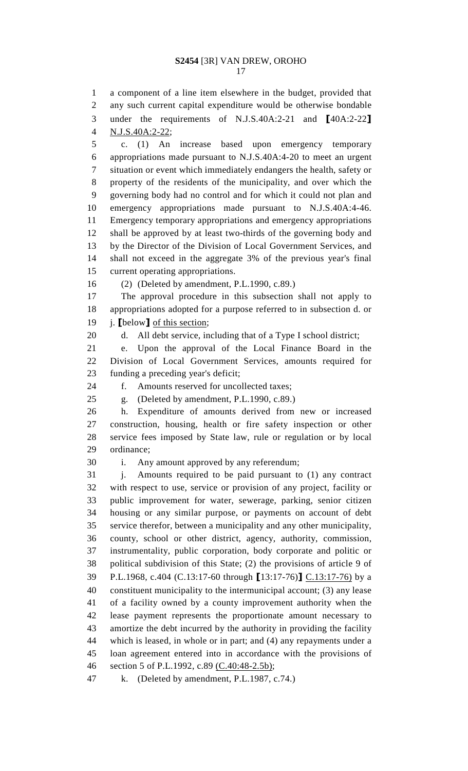1 a component of a line item elsewhere in the budget, provided that 2 any such current capital expenditure would be otherwise bondable 3 under the requirements of N.J.S.40A:2-21 and [40A:2-22] 4 N.J.S.40A:2-22;

5 c. (1) An increase based upon emergency temporary 6 appropriations made pursuant to N.J.S.40A:4-20 to meet an urgent 7 situation or event which immediately endangers the health, safety or 8 property of the residents of the municipality, and over which the 9 governing body had no control and for which it could not plan and 10 emergency appropriations made pursuant to N.J.S.40A:4-46. 11 Emergency temporary appropriations and emergency appropriations 12 shall be approved by at least two-thirds of the governing body and 13 by the Director of the Division of Local Government Services, and 14 shall not exceed in the aggregate 3% of the previous year's final 15 current operating appropriations.

16 (2) (Deleted by amendment, P.L.1990, c.89.)

17 The approval procedure in this subsection shall not apply to 18 appropriations adopted for a purpose referred to in subsection d. or 19 *j.* [below] <u>of this section</u>;

20 d. All debt service, including that of a Type I school district;

21 e. Upon the approval of the Local Finance Board in the 22 Division of Local Government Services, amounts required for 23 funding a preceding year's deficit;

24 f. Amounts reserved for uncollected taxes;

25 g. (Deleted by amendment, P.L.1990, c.89.)

26 h. Expenditure of amounts derived from new or increased 27 construction, housing, health or fire safety inspection or other 28 service fees imposed by State law, rule or regulation or by local 29 ordinance;

30 i. Any amount approved by any referendum;

31 i. Amounts required to be paid pursuant to (1) any contract 32 with respect to use, service or provision of any project, facility or 33 public improvement for water, sewerage, parking, senior citizen 34 housing or any similar purpose, or payments on account of debt 35 service therefor, between a municipality and any other municipality, 36 county, school or other district, agency, authority, commission, 37 instrumentality, public corporation, body corporate and politic or 38 political subdivision of this State; (2) the provisions of article 9 of 39 P.L.1968, c.404 (C.13:17-60 through [13:17-76)] C.13:17-76) by a 40 constituent municipality to the intermunicipal account; (3) any lease 41 of a facility owned by a county improvement authority when the 42 lease payment represents the proportionate amount necessary to 43 amortize the debt incurred by the authority in providing the facility 44 which is leased, in whole or in part; and (4) any repayments under a 45 loan agreement entered into in accordance with the provisions of 46 section 5 of P.L.1992, c.89 (C.40:48-2.5b);

47 k. (Deleted by amendment, P.L.1987, c.74.)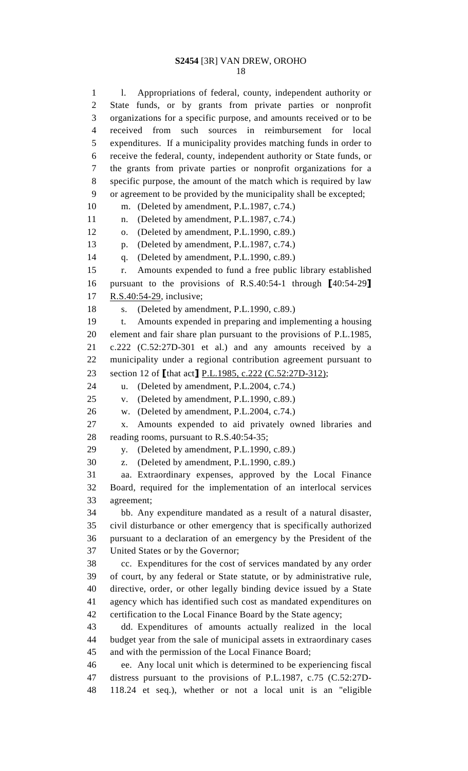1 l. Appropriations of federal, county, independent authority or 2 State funds, or by grants from private parties or nonprofit 3 organizations for a specific purpose, and amounts received or to be 4 received from such sources in reimbursement for local 5 expenditures. If a municipality provides matching funds in order to 6 receive the federal, county, independent authority or State funds, or 7 the grants from private parties or nonprofit organizations for a 8 specific purpose, the amount of the match which is required by law 9 or agreement to be provided by the municipality shall be excepted; 10 m. (Deleted by amendment, P.L.1987, c.74.) 11 n. (Deleted by amendment, P.L.1987, c.74.) 12 o. (Deleted by amendment, P.L.1990, c.89.) 13 p. (Deleted by amendment, P.L.1987, c.74.) 14 q. (Deleted by amendment, P.L.1990, c.89.) 15 r. Amounts expended to fund a free public library established 16 pursuant to the provisions of R.S.40:54-1 through [40:54-29] 17 R.S.40:54-29, inclusive; 18 s. (Deleted by amendment, P.L.1990, c.89.) 19 t. Amounts expended in preparing and implementing a housing 20 element and fair share plan pursuant to the provisions of P.L.1985, 21 c.222 (C.52:27D-301 et al.) and any amounts received by a 22 municipality under a regional contribution agreement pursuant to 23 section 12 of [that act] P.L.1985, c.222 (C.52:27D-312); 24 u. (Deleted by amendment, P.L.2004, c.74.) 25 v. (Deleted by amendment, P.L.1990, c.89.) 26 w. (Deleted by amendment, P.L.2004, c.74.) 27 x. Amounts expended to aid privately owned libraries and 28 reading rooms, pursuant to R.S.40:54-35; 29 y. (Deleted by amendment, P.L.1990, c.89.) 30 z. (Deleted by amendment, P.L.1990, c.89.) 31 aa. Extraordinary expenses, approved by the Local Finance 32 Board, required for the implementation of an interlocal services 33 agreement; 34 bb. Any expenditure mandated as a result of a natural disaster, 35 civil disturbance or other emergency that is specifically authorized 36 pursuant to a declaration of an emergency by the President of the 37 United States or by the Governor; 38 cc. Expenditures for the cost of services mandated by any order 39 of court, by any federal or State statute, or by administrative rule, 40 directive, order, or other legally binding device issued by a State 41 agency which has identified such cost as mandated expenditures on 42 certification to the Local Finance Board by the State agency; 43 dd. Expenditures of amounts actually realized in the local 44 budget year from the sale of municipal assets in extraordinary cases 45 and with the permission of the Local Finance Board; 46 ee. Any local unit which is determined to be experiencing fiscal 47 distress pursuant to the provisions of P.L.1987, c.75 (C.52:27D-48 118.24 et seq.), whether or not a local unit is an "eligible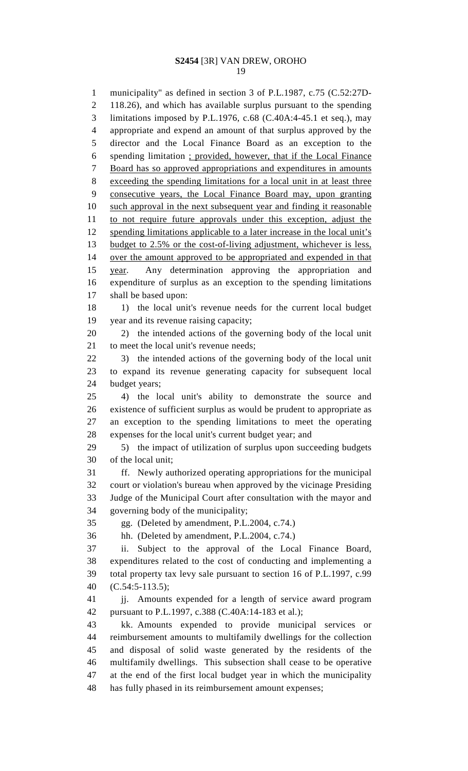1 municipality" as defined in section 3 of P.L.1987, c.75 (C.52:27D-2 118.26), and which has available surplus pursuant to the spending 3 limitations imposed by P.L.1976, c.68 (C.40A:4-45.1 et seq.), may 4 appropriate and expend an amount of that surplus approved by the 5 director and the Local Finance Board as an exception to the 6 spending limitation ; provided, however, that if the Local Finance 7 Board has so approved appropriations and expenditures in amounts 8 exceeding the spending limitations for a local unit in at least three 9 consecutive years, the Local Finance Board may, upon granting 10 such approval in the next subsequent year and finding it reasonable 11 to not require future approvals under this exception, adjust the 12 spending limitations applicable to a later increase in the local unit's 13 budget to 2.5% or the cost-of-living adjustment, whichever is less, 14 over the amount approved to be appropriated and expended in that 15 year. Any determination approving the appropriation and 16 expenditure of surplus as an exception to the spending limitations 17 shall be based upon: 18 1) the local unit's revenue needs for the current local budget 19 year and its revenue raising capacity; 20 2) the intended actions of the governing body of the local unit 21 to meet the local unit's revenue needs; 22 3) the intended actions of the governing body of the local unit 23 to expand its revenue generating capacity for subsequent local 24 budget years; 25 4) the local unit's ability to demonstrate the source and 26 existence of sufficient surplus as would be prudent to appropriate as 27 an exception to the spending limitations to meet the operating 28 expenses for the local unit's current budget year; and 29 5) the impact of utilization of surplus upon succeeding budgets 30 of the local unit; 31 ff. Newly authorized operating appropriations for the municipal 32 court or violation's bureau when approved by the vicinage Presiding 33 Judge of the Municipal Court after consultation with the mayor and 34 governing body of the municipality; 35 gg. (Deleted by amendment, P.L.2004, c.74.) 36 hh. (Deleted by amendment, P.L.2004, c.74.) 37 ii. Subject to the approval of the Local Finance Board, 38 expenditures related to the cost of conducting and implementing a 39 total property tax levy sale pursuant to section 16 of P.L.1997, c.99 40 (C.54:5-113.5); 41 jj. Amounts expended for a length of service award program 42 pursuant to P.L.1997, c.388 (C.40A:14-183 et al.); 43 kk. Amounts expended to provide municipal services or 44 reimbursement amounts to multifamily dwellings for the collection 45 and disposal of solid waste generated by the residents of the 46 multifamily dwellings. This subsection shall cease to be operative 47 at the end of the first local budget year in which the municipality 48 has fully phased in its reimbursement amount expenses;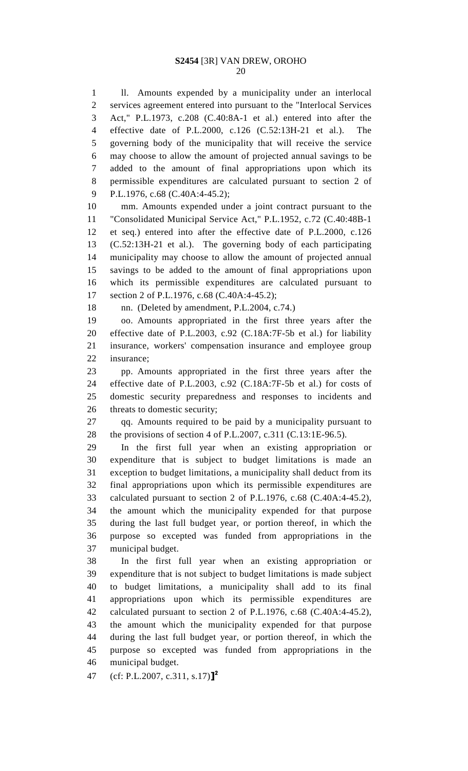1 ll. Amounts expended by a municipality under an interlocal 2 services agreement entered into pursuant to the "Interlocal Services 3 Act," P.L.1973, c.208 (C.40:8A-1 et al.) entered into after the 4 effective date of P.L.2000, c.126 (C.52:13H-21 et al.). The 5 governing body of the municipality that will receive the service 6 may choose to allow the amount of projected annual savings to be 7 added to the amount of final appropriations upon which its 8 permissible expenditures are calculated pursuant to section 2 of 9 P.L.1976, c.68 (C.40A:4-45.2);

10 mm. Amounts expended under a joint contract pursuant to the 11 "Consolidated Municipal Service Act," P.L.1952, c.72 (C.40:48B-1 12 et seq.) entered into after the effective date of P.L.2000, c.126 13 (C.52:13H-21 et al.). The governing body of each participating 14 municipality may choose to allow the amount of projected annual 15 savings to be added to the amount of final appropriations upon 16 which its permissible expenditures are calculated pursuant to 17 section 2 of P.L.1976, c.68 (C.40A:4-45.2);

18 nn. (Deleted by amendment, P.L.2004, c.74.)

19 oo. Amounts appropriated in the first three years after the 20 effective date of P.L.2003, c.92 (C.18A:7F-5b et al.) for liability 21 insurance, workers' compensation insurance and employee group 22 insurance;

23 pp. Amounts appropriated in the first three years after the 24 effective date of P.L.2003, c.92 (C.18A:7F-5b et al.) for costs of 25 domestic security preparedness and responses to incidents and 26 threats to domestic security;

27 qq. Amounts required to be paid by a municipality pursuant to 28 the provisions of section 4 of P.L.2007, c.311 (C.13:1E-96.5).

29 In the first full year when an existing appropriation or 30 expenditure that is subject to budget limitations is made an 31 exception to budget limitations, a municipality shall deduct from its 32 final appropriations upon which its permissible expenditures are 33 calculated pursuant to section 2 of P.L.1976, c.68 (C.40A:4-45.2), 34 the amount which the municipality expended for that purpose 35 during the last full budget year, or portion thereof, in which the 36 purpose so excepted was funded from appropriations in the 37 municipal budget.

38 In the first full year when an existing appropriation or 39 expenditure that is not subject to budget limitations is made subject 40 to budget limitations, a municipality shall add to its final 41 appropriations upon which its permissible expenditures are 42 calculated pursuant to section 2 of P.L.1976, c.68 (C.40A:4-45.2), 43 the amount which the municipality expended for that purpose 44 during the last full budget year, or portion thereof, in which the 45 purpose so excepted was funded from appropriations in the 46 municipal budget.

47 (cf: P.L.2007, c.311, s.17)<sup>2</sup>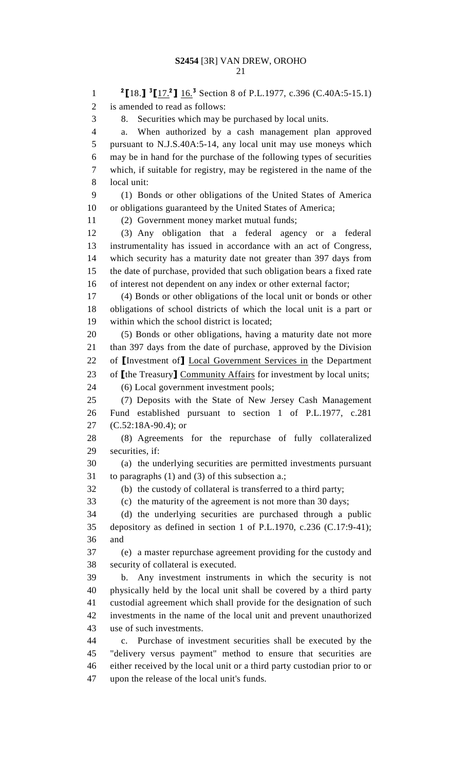1  ${}^{2}$ [18.]  ${}^{3}$ [17.<sup>2</sup>] 16.<sup>3</sup> Section 8 of P.L.1977, c.396 (C.40A:5-15.1) 2 is amended to read as follows: 3 8. Securities which may be purchased by local units. 4 a. When authorized by a cash management plan approved 5 pursuant to N.J.S.40A:5-14, any local unit may use moneys which 6 may be in hand for the purchase of the following types of securities 7 which, if suitable for registry, may be registered in the name of the 8 local unit: 9 (1) Bonds or other obligations of the United States of America 10 or obligations guaranteed by the United States of America; 11 (2) Government money market mutual funds; 12 (3) Any obligation that a federal agency or a federal 13 instrumentality has issued in accordance with an act of Congress, 14 which security has a maturity date not greater than 397 days from 15 the date of purchase, provided that such obligation bears a fixed rate 16 of interest not dependent on any index or other external factor; 17 (4) Bonds or other obligations of the local unit or bonds or other 18 obligations of school districts of which the local unit is a part or 19 within which the school district is located; 20 (5) Bonds or other obligations, having a maturity date not more 21 than 397 days from the date of purchase, approved by the Division 22 of [Investment of] Local Government Services in the Department 23 of [the Treasury] Community Affairs for investment by local units; 24 (6) Local government investment pools; 25 (7) Deposits with the State of New Jersey Cash Management 26 Fund established pursuant to section 1 of P.L.1977, c.281 27 (C.52:18A-90.4); or 28 (8) Agreements for the repurchase of fully collateralized 29 securities, if: 30 (a) the underlying securities are permitted investments pursuant 31 to paragraphs (1) and (3) of this subsection a.; 32 (b) the custody of collateral is transferred to a third party; 33 (c) the maturity of the agreement is not more than 30 days; 34 (d) the underlying securities are purchased through a public 35 depository as defined in section 1 of P.L.1970, c.236 (C.17:9-41); 36 and 37 (e) a master repurchase agreement providing for the custody and 38 security of collateral is executed. 39 b. Any investment instruments in which the security is not 40 physically held by the local unit shall be covered by a third party 41 custodial agreement which shall provide for the designation of such 42 investments in the name of the local unit and prevent unauthorized 43 use of such investments. 44 c. Purchase of investment securities shall be executed by the 45 "delivery versus payment" method to ensure that securities are 46 either received by the local unit or a third party custodian prior to or 47 upon the release of the local unit's funds.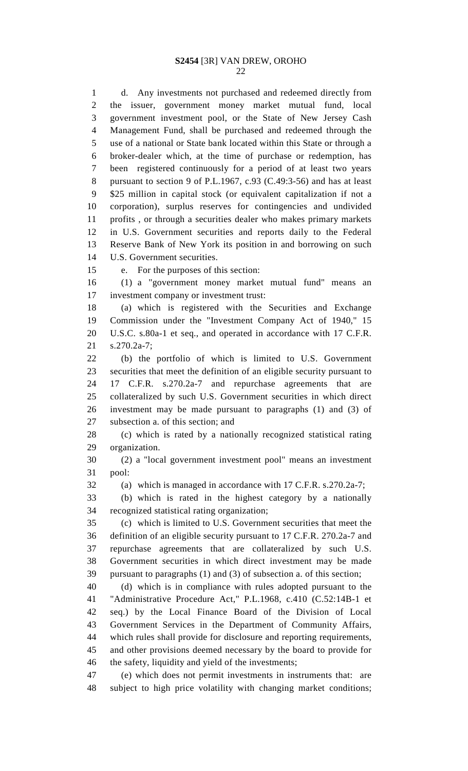1 d. Any investments not purchased and redeemed directly from 2 the issuer, government money market mutual fund, local 3 government investment pool, or the State of New Jersey Cash 4 Management Fund, shall be purchased and redeemed through the 5 use of a national or State bank located within this State or through a 6 broker-dealer which, at the time of purchase or redemption, has 7 been registered continuously for a period of at least two years 8 pursuant to section 9 of P.L.1967, c.93 (C.49:3-56) and has at least 9 \$25 million in capital stock (or equivalent capitalization if not a 10 corporation), surplus reserves for contingencies and undivided 11 profits , or through a securities dealer who makes primary markets 12 in U.S. Government securities and reports daily to the Federal 13 Reserve Bank of New York its position in and borrowing on such 14 U.S. Government securities. 15 e. For the purposes of this section:

16 (1) a "government money market mutual fund" means an 17 investment company or investment trust:

18 (a) which is registered with the Securities and Exchange 19 Commission under the "Investment Company Act of 1940," 15 20 U.S.C. s.80a-1 et seq., and operated in accordance with 17 C.F.R. 21 s.270.2a-7;

22 (b) the portfolio of which is limited to U.S. Government 23 securities that meet the definition of an eligible security pursuant to 24 17 C.F.R. s.270.2a-7 and repurchase agreements that are 25 collateralized by such U.S. Government securities in which direct 26 investment may be made pursuant to paragraphs (1) and (3) of 27 subsection a. of this section; and

28 (c) which is rated by a nationally recognized statistical rating 29 organization.

30 (2) a "local government investment pool" means an investment 31 pool:

32 (a) which is managed in accordance with 17 C.F.R. s.270.2a-7;

33 (b) which is rated in the highest category by a nationally 34 recognized statistical rating organization;

35 (c) which is limited to U.S. Government securities that meet the 36 definition of an eligible security pursuant to 17 C.F.R. 270.2a-7 and 37 repurchase agreements that are collateralized by such U.S. 38 Government securities in which direct investment may be made 39 pursuant to paragraphs (1) and (3) of subsection a. of this section;

40 (d) which is in compliance with rules adopted pursuant to the 41 "Administrative Procedure Act," P.L.1968, c.410 (C.52:14B-1 et 42 seq.) by the Local Finance Board of the Division of Local 43 Government Services in the Department of Community Affairs, 44 which rules shall provide for disclosure and reporting requirements, 45 and other provisions deemed necessary by the board to provide for 46 the safety, liquidity and yield of the investments;

47 (e) which does not permit investments in instruments that: are 48 subject to high price volatility with changing market conditions;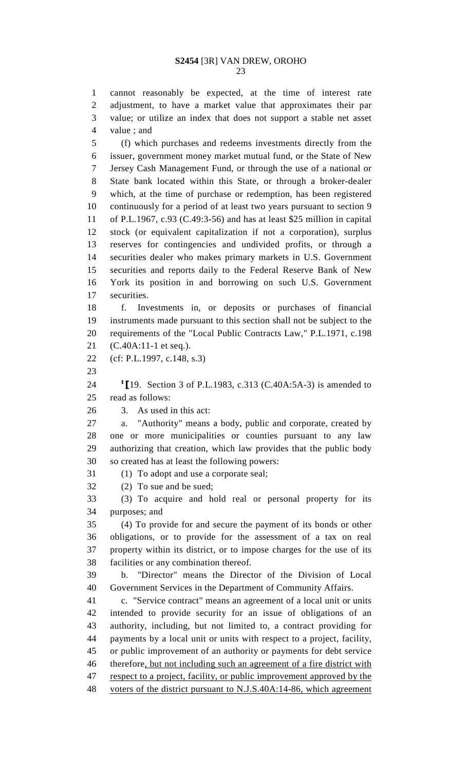1 cannot reasonably be expected, at the time of interest rate 2 adjustment, to have a market value that approximates their par 3 value; or utilize an index that does not support a stable net asset 4 value ; and

5 (f) which purchases and redeems investments directly from the 6 issuer, government money market mutual fund, or the State of New 7 Jersey Cash Management Fund, or through the use of a national or 8 State bank located within this State, or through a broker-dealer 9 which, at the time of purchase or redemption, has been registered 10 continuously for a period of at least two years pursuant to section 9 11 of P.L.1967, c.93 (C.49:3-56) and has at least \$25 million in capital 12 stock (or equivalent capitalization if not a corporation), surplus 13 reserves for contingencies and undivided profits, or through a 14 securities dealer who makes primary markets in U.S. Government 15 securities and reports daily to the Federal Reserve Bank of New 16 York its position in and borrowing on such U.S. Government 17 securities.

18 f. Investments in, or deposits or purchases of financial 19 instruments made pursuant to this section shall not be subject to the 20 requirements of the "Local Public Contracts Law," P.L.1971, c.198 21 (C.40A:11-1 et seq.).

22 (cf: P.L.1997, c.148, s.3)

23

24 <sup>1</sup>[19. Section 3 of P.L.1983, c.313 (C.40A:5A-3) is amended to 25 read as follows:

26 3. As used in this act:

27 a. "Authority" means a body, public and corporate, created by 28 one or more municipalities or counties pursuant to any law 29 authorizing that creation, which law provides that the public body 30 so created has at least the following powers:

31 (1) To adopt and use a corporate seal;

32 (2) To sue and be sued;

33 (3) To acquire and hold real or personal property for its 34 purposes; and

35 (4) To provide for and secure the payment of its bonds or other 36 obligations, or to provide for the assessment of a tax on real 37 property within its district, or to impose charges for the use of its 38 facilities or any combination thereof.

39 b. "Director" means the Director of the Division of Local 40 Government Services in the Department of Community Affairs.

41 c. "Service contract" means an agreement of a local unit or units 42 intended to provide security for an issue of obligations of an 43 authority, including, but not limited to, a contract providing for 44 payments by a local unit or units with respect to a project, facility, 45 or public improvement of an authority or payments for debt service 46 therefore, but not including such an agreement of a fire district with 47 respect to a project, facility, or public improvement approved by the 48 voters of the district pursuant to N.J.S.40A:14-86, which agreement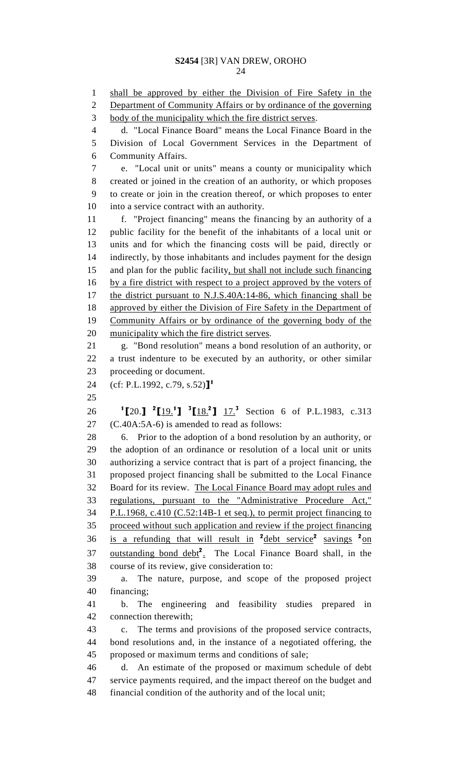24

1 shall be approved by either the Division of Fire Safety in the 2 Department of Community Affairs or by ordinance of the governing 3 body of the municipality which the fire district serves. 4 d. "Local Finance Board" means the Local Finance Board in the 5 Division of Local Government Services in the Department of 6 Community Affairs. 7 e. "Local unit or units" means a county or municipality which 8 created or joined in the creation of an authority, or which proposes 9 to create or join in the creation thereof, or which proposes to enter 10 into a service contract with an authority. 11 f. "Project financing" means the financing by an authority of a 12 public facility for the benefit of the inhabitants of a local unit or 13 units and for which the financing costs will be paid, directly or 14 indirectly, by those inhabitants and includes payment for the design 15 and plan for the public facility, but shall not include such financing 16 by a fire district with respect to a project approved by the voters of 17 the district pursuant to N.J.S.40A:14-86, which financing shall be 18 approved by either the Division of Fire Safety in the Department of 19 Community Affairs or by ordinance of the governing body of the 20 municipality which the fire district serves. 21 g. "Bond resolution" means a bond resolution of an authority, or 22 a trust indenture to be executed by an authority, or other similar 23 proceeding or document. 24 (cf: P.L.1992, c.79, s.52)]<sup>1</sup> 25 26  $\text{I}[20.]\text{I}[19.1]\text{I}[18.2]\text{I}[7.3]$  Section 6 of P.L.1983, c.313 27 (C.40A:5A-6) is amended to read as follows: 28 6. Prior to the adoption of a bond resolution by an authority, or 29 the adoption of an ordinance or resolution of a local unit or units 30 authorizing a service contract that is part of a project financing, the 31 proposed project financing shall be submitted to the Local Finance 32 Board for its review. The Local Finance Board may adopt rules and 33 regulations, pursuant to the "Administrative Procedure Act," 34 P.L.1968, c.410 (C.52:14B-1 et seq.), to permit project financing to 35 proceed without such application and review if the project financing 36 is a refunding that will result in  $2^{\circ}$  debt service<sup>2</sup> savings  $2^{\circ}$  on 37 outstanding bond  $debt^2$ . The Local Finance Board shall, in the 38 course of its review, give consideration to: 39 a. The nature, purpose, and scope of the proposed project 40 financing; 41 b. The engineering and feasibility studies prepared in 42 connection therewith; 43 c. The terms and provisions of the proposed service contracts, 44 bond resolutions and, in the instance of a negotiated offering, the 45 proposed or maximum terms and conditions of sale; 46 d. An estimate of the proposed or maximum schedule of debt 47 service payments required, and the impact thereof on the budget and 48 financial condition of the authority and of the local unit;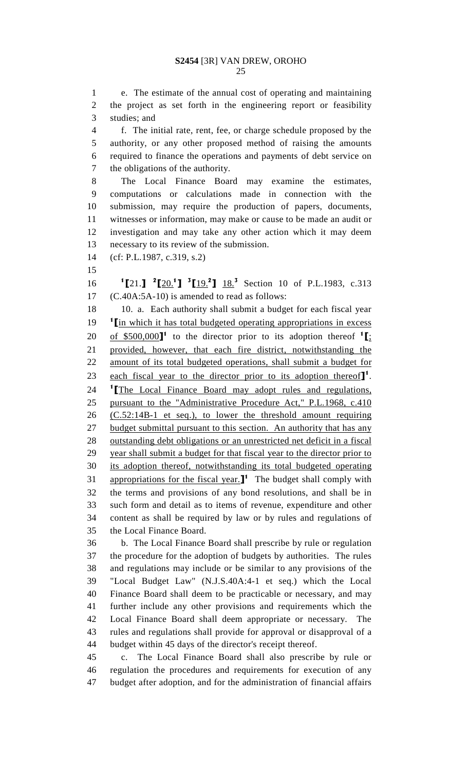1 e. The estimate of the annual cost of operating and maintaining 2 the project as set forth in the engineering report or feasibility 3 studies; and

4 f. The initial rate, rent, fee, or charge schedule proposed by the 5 authority, or any other proposed method of raising the amounts 6 required to finance the operations and payments of debt service on 7 the obligations of the authority.

8 The Local Finance Board may examine the estimates, 9 computations or calculations made in connection with the 10 submission, may require the production of papers, documents, 11 witnesses or information, may make or cause to be made an audit or 12 investigation and may take any other action which it may deem 13 necessary to its review of the submission.

14 (cf: P.L.1987, c.319, s.2)

15

16  $\textbf{1}[21.]\quad \textbf{2}[20.1]\quad \textbf{3}[19.2]\quad \textbf{18.3} \quad \text{Section 10 of P.L.1983, c.313}$ 17 (C.40A:5A-10) is amended to read as follows:

18 10. a. Each authority shall submit a budget for each fiscal year  $19$  <sup>1</sup> [in which it has total budgeted operating appropriations in excess 20 of \$500,000]<sup>1</sup> to the director prior to its adoption thereof  ${}^{1}\text{L}$ 21 provided, however, that each fire district, notwithstanding the 22 amount of its total budgeted operations, shall submit a budget for 23 each fiscal year to the director prior to its adoption thereof  $\mathbf{I}^1$ . 24 <sup>1</sup> I The Local Finance Board may adopt rules and regulations, 25 pursuant to the "Administrative Procedure Act," P.L.1968, c.410 26 (C.52:14B-1 et seq.), to lower the threshold amount requiring 27 budget submittal pursuant to this section. An authority that has any 28 outstanding debt obligations or an unrestricted net deficit in a fiscal 29 year shall submit a budget for that fiscal year to the director prior to 30 its adoption thereof, notwithstanding its total budgeted operating 31 appropriations for the fiscal year.<sup> $1^1$ </sup> The budget shall comply with 32 the terms and provisions of any bond resolutions, and shall be in 33 such form and detail as to items of revenue, expenditure and other 34 content as shall be required by law or by rules and regulations of 35 the Local Finance Board.

36 b. The Local Finance Board shall prescribe by rule or regulation 37 the procedure for the adoption of budgets by authorities. The rules 38 and regulations may include or be similar to any provisions of the 39 "Local Budget Law" (N.J.S.40A:4-1 et seq.) which the Local 40 Finance Board shall deem to be practicable or necessary, and may 41 further include any other provisions and requirements which the 42 Local Finance Board shall deem appropriate or necessary. The 43 rules and regulations shall provide for approval or disapproval of a 44 budget within 45 days of the director's receipt thereof.

45 c. The Local Finance Board shall also prescribe by rule or 46 regulation the procedures and requirements for execution of any 47 budget after adoption, and for the administration of financial affairs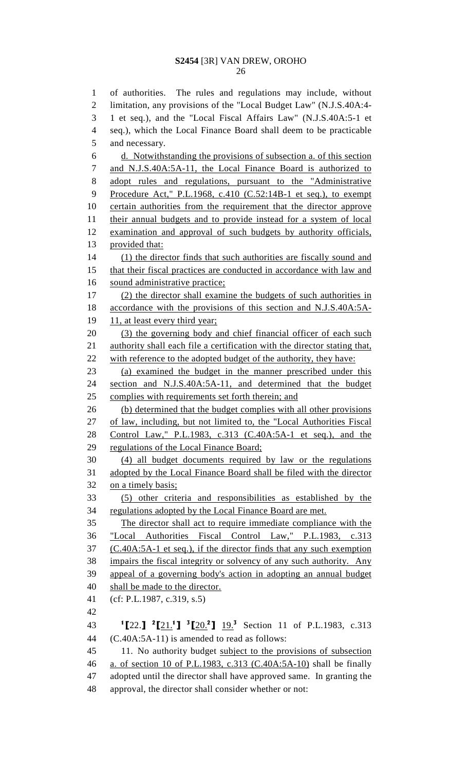26

1 of authorities. The rules and regulations may include, without 2 limitation, any provisions of the "Local Budget Law" (N.J.S.40A:4- 3 1 et seq.), and the "Local Fiscal Affairs Law" (N.J.S.40A:5-1 et 4 seq.), which the Local Finance Board shall deem to be practicable 5 and necessary. 6 d. Notwithstanding the provisions of subsection a. of this section 7 and N.J.S.40A:5A-11, the Local Finance Board is authorized to 8 adopt rules and regulations, pursuant to the "Administrative 9 Procedure Act," P.L.1968, c.410 (C.52:14B-1 et seq.), to exempt 10 certain authorities from the requirement that the director approve 11 their annual budgets and to provide instead for a system of local 12 examination and approval of such budgets by authority officials, 13 provided that: 14 (1) the director finds that such authorities are fiscally sound and 15 that their fiscal practices are conducted in accordance with law and 16 sound administrative practice; 17 (2) the director shall examine the budgets of such authorities in 18 accordance with the provisions of this section and N.J.S.40A:5A-19 11, at least every third year; 20 (3) the governing body and chief financial officer of each such 21 authority shall each file a certification with the director stating that, 22 with reference to the adopted budget of the authority, they have: 23 (a) examined the budget in the manner prescribed under this 24 section and N.J.S.40A:5A-11, and determined that the budget 25 complies with requirements set forth therein; and 26 (b) determined that the budget complies with all other provisions 27 of law, including, but not limited to, the "Local Authorities Fiscal 28 Control Law," P.L.1983, c.313 (C.40A:5A-1 et seq.), and the 29 regulations of the Local Finance Board; 30 (4) all budget documents required by law or the regulations 31 adopted by the Local Finance Board shall be filed with the director 32 on a timely basis; 33 (5) other criteria and responsibilities as established by the 34 regulations adopted by the Local Finance Board are met. 35 The director shall act to require immediate compliance with the 36 "Local Authorities Fiscal Control Law," P.L.1983, c.313 37 (C.40A:5A-1 et seq.), if the director finds that any such exemption 38 impairs the fiscal integrity or solvency of any such authority. Any 39 appeal of a governing body's action in adopting an annual budget 40 shall be made to the director. 41 (cf: P.L.1987, c.319, s.5) 42 43  $[22.]\n<sup>2</sup>[21.]\n<sup>3</sup>[20.]\n<sup>3</sup>[20.]\n<sup>3</sup>[20.]\n<sup>4</sup>[21.]\n<sup>5</sup>[20.]\n<sup>6</sup>[22.]\n<sup>7</sup>[21.]\n<sup>8</sup>[20.]\n<sup>8</sup>[20.]\n<sup>9</sup>[21.]\n<sup>10</sup>[22.]\n<sup>11</sup>[22.]\n<sup>12</sup>[20.]\n<sup>13</sup>[20.]\n<sup>14</sup>[22.]\n<sup>15</sup>[20.]\n<$ 44 (C.40A:5A-11) is amended to read as follows: 45 11. No authority budget subject to the provisions of subsection 46 a. of section 10 of P.L.1983, c.313 (C.40A:5A-10) shall be finally 47 adopted until the director shall have approved same. In granting the 48 approval, the director shall consider whether or not: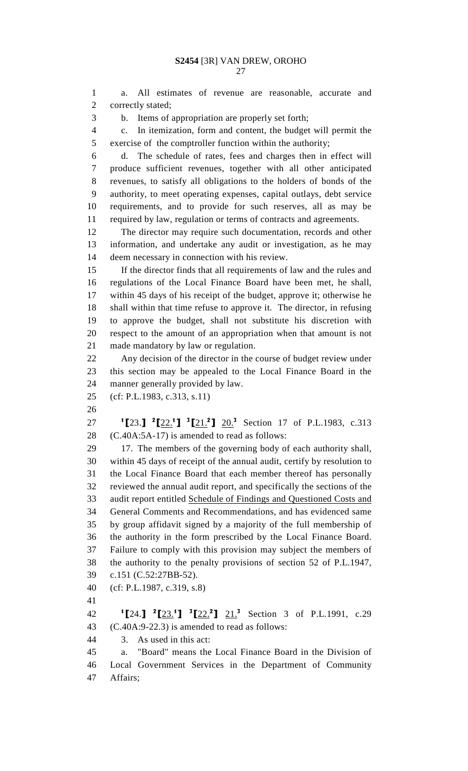| $\mathbf{1}$   | All estimates of revenue are reasonable, accurate and<br>a.                                                                         |
|----------------|-------------------------------------------------------------------------------------------------------------------------------------|
| $\overline{2}$ | correctly stated;                                                                                                                   |
| 3              | Items of appropriation are properly set forth;<br>$\mathbf{b}$ .                                                                    |
| 4              | In itemization, form and content, the budget will permit the<br>$\mathbf{c}$ .                                                      |
| 5              | exercise of the comptroller function within the authority;                                                                          |
| 6              | The schedule of rates, fees and charges then in effect will<br>d.                                                                   |
| 7              | produce sufficient revenues, together with all other anticipated                                                                    |
| 8              | revenues, to satisfy all obligations to the holders of bonds of the                                                                 |
| 9              | authority, to meet operating expenses, capital outlays, debt service                                                                |
| 10             | requirements, and to provide for such reserves, all as may be                                                                       |
| 11             | required by law, regulation or terms of contracts and agreements.                                                                   |
| 12             | The director may require such documentation, records and other                                                                      |
| 13             | information, and undertake any audit or investigation, as he may                                                                    |
| 14             | deem necessary in connection with his review.                                                                                       |
| 15             | If the director finds that all requirements of law and the rules and                                                                |
| 16             | regulations of the Local Finance Board have been met, he shall,                                                                     |
| 17             | within 45 days of his receipt of the budget, approve it; otherwise he                                                               |
| 18             | shall within that time refuse to approve it. The director, in refusing                                                              |
| 19             | to approve the budget, shall not substitute his discretion with                                                                     |
| 20             | respect to the amount of an appropriation when that amount is not                                                                   |
| 21             | made mandatory by law or regulation.                                                                                                |
| 22             | Any decision of the director in the course of budget review under                                                                   |
| 23             | this section may be appealed to the Local Finance Board in the                                                                      |
| 24             | manner generally provided by law.                                                                                                   |
| 25             | (cf: P.L.1983, c.313, s.11)                                                                                                         |
| 26             |                                                                                                                                     |
| 27             | <sup>1</sup> [23.] <sup>2</sup> [22. <sup>1</sup> ] <sup>3</sup> [21. <sup>2</sup> ] 20. <sup>3</sup> Section 17 of P.L.1983, c.313 |
| 28             | (C.40A:5A-17) is amended to read as follows:                                                                                        |
| 29             | 17. The members of the governing body of each authority shall,                                                                      |
| 30             | within 45 days of receipt of the annual audit, certify by resolution to                                                             |
| 31             | the Local Finance Board that each member thereof has personally                                                                     |
| 32             | reviewed the annual audit report, and specifically the sections of the                                                              |
| 33             | audit report entitled Schedule of Findings and Questioned Costs and                                                                 |
| 34             | General Comments and Recommendations, and has evidenced same                                                                        |
| 35             | by group affidavit signed by a majority of the full membership of                                                                   |
| 36             | the authority in the form prescribed by the Local Finance Board.                                                                    |
| 37             | Failure to comply with this provision may subject the members of                                                                    |
| 38             | the authority to the penalty provisions of section 52 of P.L.1947,                                                                  |
| 39             | c.151 (C.52:27BB-52).                                                                                                               |
| 40             | (cf: P.L.1987, c.319, s.8)                                                                                                          |
| 41             |                                                                                                                                     |

42  $\textbf{1}[24.]\textbf{2}[23.1]\textbf{3}[22.2]\textbf{21.}^3$  Section 3 of P.L.1991, c.29 43 (C.40A:9-22.3) is amended to read as follows: 44 3. As used in this act:

45 a. "Board" means the Local Finance Board in the Division of 46 Local Government Services in the Department of Community 47 Affairs;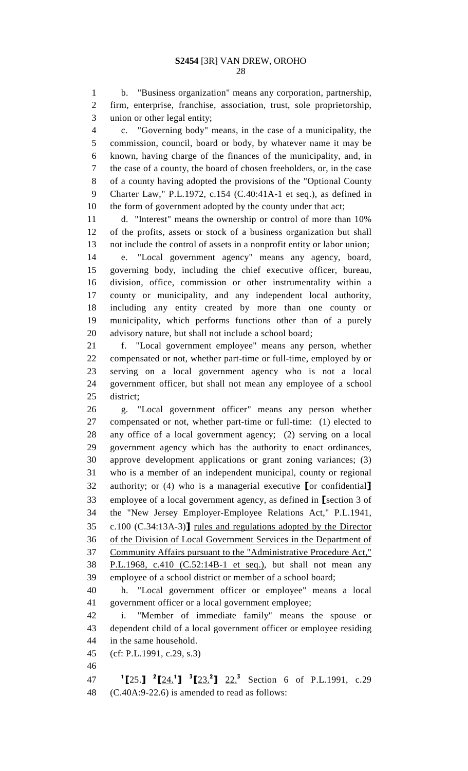1 b. "Business organization" means any corporation, partnership, 2 firm, enterprise, franchise, association, trust, sole proprietorship, 3 union or other legal entity;

4 c. "Governing body" means, in the case of a municipality, the 5 commission, council, board or body, by whatever name it may be 6 known, having charge of the finances of the municipality, and, in 7 the case of a county, the board of chosen freeholders, or, in the case 8 of a county having adopted the provisions of the "Optional County 9 Charter Law," P.L.1972, c.154 (C.40:41A-1 et seq.), as defined in 10 the form of government adopted by the county under that act;

11 d. "Interest" means the ownership or control of more than 10% 12 of the profits, assets or stock of a business organization but shall 13 not include the control of assets in a nonprofit entity or labor union; 14 e. "Local government agency" means any agency, board, 15 governing body, including the chief executive officer, bureau, 16 division, office, commission or other instrumentality within a 17 county or municipality, and any independent local authority, 18 including any entity created by more than one county or 19 municipality, which performs functions other than of a purely 20 advisory nature, but shall not include a school board;

21 f. "Local government employee" means any person, whether 22 compensated or not, whether part-time or full-time, employed by or 23 serving on a local government agency who is not a local 24 government officer, but shall not mean any employee of a school 25 district;

26 g. "Local government officer" means any person whether 27 compensated or not, whether part-time or full-time: (1) elected to 28 any office of a local government agency; (2) serving on a local 29 government agency which has the authority to enact ordinances, 30 approve development applications or grant zoning variances; (3) 31 who is a member of an independent municipal, county or regional 32 authority; or (4) who is a managerial executive [or confidential] 33 employee of a local government agency, as defined in [section 3 of 34 the "New Jersey Employer-Employee Relations Act," P.L.1941, 35 c.100 (C.34:13A-3)] rules and regulations adopted by the Director 36 of the Division of Local Government Services in the Department of 37 Community Affairs pursuant to the "Administrative Procedure Act," 38 P.L.1968, c.410 (C.52:14B-1 et seq.), but shall not mean any 39 employee of a school district or member of a school board;

40 h. "Local government officer or employee" means a local 41 government officer or a local government employee;

42 i. "Member of immediate family" means the spouse or 43 dependent child of a local government officer or employee residing 44 in the same household.

45 (cf: P.L.1991, c.29, s.3)

46

47 **1[25.] <sup>2</sup>[24.<sup>1</sup>] <sup>3</sup>[23.<sup>2</sup>] 22.<sup>3</sup> Section 6 of P.L.1991, c.29** 48 (C.40A:9-22.6) is amended to read as follows: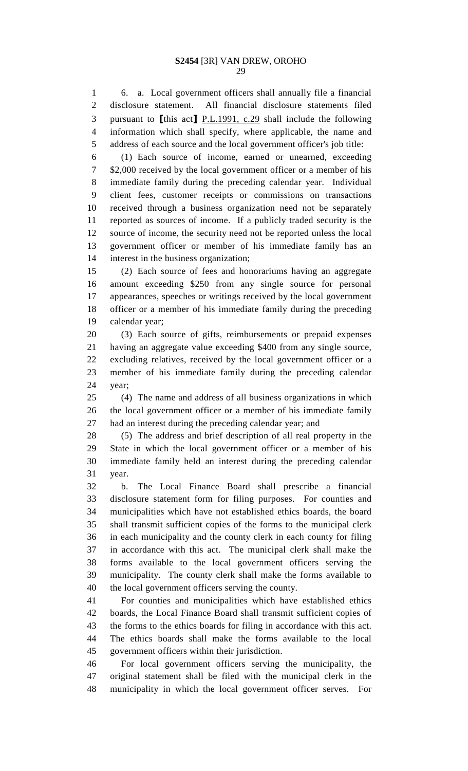1 6. a. Local government officers shall annually file a financial 2 disclosure statement. All financial disclosure statements filed 3 pursuant to [this act] P.L.1991, c.29 shall include the following 4 information which shall specify, where applicable, the name and 5 address of each source and the local government officer's job title:

6 (1) Each source of income, earned or unearned, exceeding 7 \$2,000 received by the local government officer or a member of his 8 immediate family during the preceding calendar year. Individual 9 client fees, customer receipts or commissions on transactions 10 received through a business organization need not be separately 11 reported as sources of income. If a publicly traded security is the 12 source of income, the security need not be reported unless the local 13 government officer or member of his immediate family has an 14 interest in the business organization;

15 (2) Each source of fees and honorariums having an aggregate 16 amount exceeding \$250 from any single source for personal 17 appearances, speeches or writings received by the local government 18 officer or a member of his immediate family during the preceding 19 calendar year;

20 (3) Each source of gifts, reimbursements or prepaid expenses 21 having an aggregate value exceeding \$400 from any single source, 22 excluding relatives, received by the local government officer or a 23 member of his immediate family during the preceding calendar 24 year;

25 (4) The name and address of all business organizations in which 26 the local government officer or a member of his immediate family 27 had an interest during the preceding calendar year; and

28 (5) The address and brief description of all real property in the 29 State in which the local government officer or a member of his 30 immediate family held an interest during the preceding calendar 31 year.

32 b. The Local Finance Board shall prescribe a financial 33 disclosure statement form for filing purposes. For counties and 34 municipalities which have not established ethics boards, the board 35 shall transmit sufficient copies of the forms to the municipal clerk 36 in each municipality and the county clerk in each county for filing 37 in accordance with this act. The municipal clerk shall make the 38 forms available to the local government officers serving the 39 municipality. The county clerk shall make the forms available to 40 the local government officers serving the county.

41 For counties and municipalities which have established ethics 42 boards, the Local Finance Board shall transmit sufficient copies of 43 the forms to the ethics boards for filing in accordance with this act. 44 The ethics boards shall make the forms available to the local 45 government officers within their jurisdiction.

46 For local government officers serving the municipality, the 47 original statement shall be filed with the municipal clerk in the 48 municipality in which the local government officer serves. For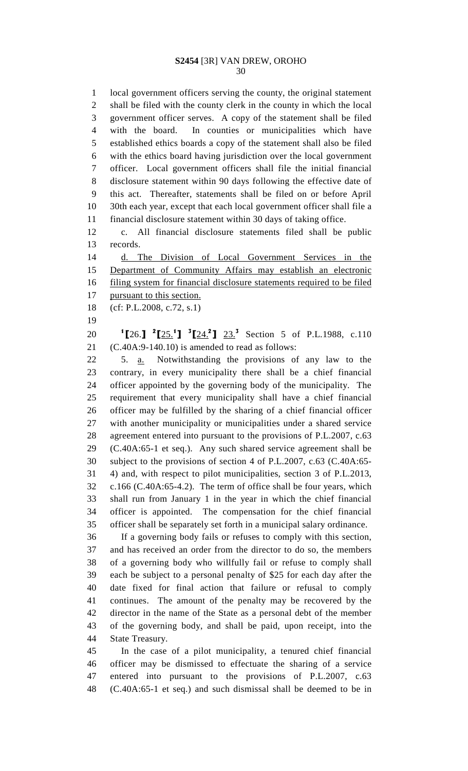30

1 local government officers serving the county, the original statement 2 shall be filed with the county clerk in the county in which the local 3 government officer serves. A copy of the statement shall be filed 4 with the board. In counties or municipalities which have 5 established ethics boards a copy of the statement shall also be filed 6 with the ethics board having jurisdiction over the local government 7 officer. Local government officers shall file the initial financial 8 disclosure statement within 90 days following the effective date of 9 this act. Thereafter, statements shall be filed on or before April 10 30th each year, except that each local government officer shall file a 11 financial disclosure statement within 30 days of taking office. 12 c. All financial disclosure statements filed shall be public 13 records. 14 d. The Division of Local Government Services in the 15 Department of Community Affairs may establish an electronic 16 filing system for financial disclosure statements required to be filed 17 pursuant to this section. 18 (cf: P.L.2008, c.72, s.1) 19 20  $\text{I}[26.]\text{I}[25.1]\text{I}[24.2]\text{I}[23.3]$  Section 5 of P.L.1988, c.110 21 (C.40A:9-140.10) is amended to read as follows: 22 5. a. Notwithstanding the provisions of any law to the 23 contrary, in every municipality there shall be a chief financial 24 officer appointed by the governing body of the municipality. The 25 requirement that every municipality shall have a chief financial 26 officer may be fulfilled by the sharing of a chief financial officer 27 with another municipality or municipalities under a shared service 28 agreement entered into pursuant to the provisions of P.L.2007, c.63 29 (C.40A:65-1 et seq.). Any such shared service agreement shall be 30 subject to the provisions of section 4 of P.L.2007, c.63 (C.40A:65- 31 4) and, with respect to pilot municipalities, section 3 of P.L.2013, 32 c.166 (C.40A:65-4.2). The term of office shall be four years, which 33 shall run from January 1 in the year in which the chief financial 34 officer is appointed. The compensation for the chief financial 35 officer shall be separately set forth in a municipal salary ordinance. 36 If a governing body fails or refuses to comply with this section, 37 and has received an order from the director to do so, the members 38 of a governing body who willfully fail or refuse to comply shall 39 each be subject to a personal penalty of \$25 for each day after the 40 date fixed for final action that failure or refusal to comply 41 continues. The amount of the penalty may be recovered by the 42 director in the name of the State as a personal debt of the member 43 of the governing body, and shall be paid, upon receipt, into the 44 State Treasury. 45 In the case of a pilot municipality, a tenured chief financial 46 officer may be dismissed to effectuate the sharing of a service 47 entered into pursuant to the provisions of P.L.2007, c.63 48 (C.40A:65-1 et seq.) and such dismissal shall be deemed to be in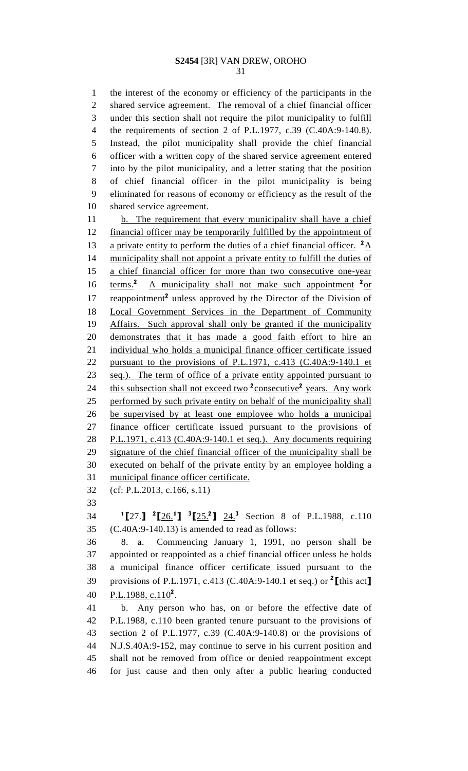1 the interest of the economy or efficiency of the participants in the 2 shared service agreement. The removal of a chief financial officer 3 under this section shall not require the pilot municipality to fulfill 4 the requirements of section 2 of P.L.1977, c.39 (C.40A:9-140.8). 5 Instead, the pilot municipality shall provide the chief financial 6 officer with a written copy of the shared service agreement entered 7 into by the pilot municipality, and a letter stating that the position 8 of chief financial officer in the pilot municipality is being 9 eliminated for reasons of economy or efficiency as the result of the 10 shared service agreement.

11 b. The requirement that every municipality shall have a chief 12 financial officer may be temporarily fulfilled by the appointment of 13 a private entity to perform the duties of a chief financial officer.  ${}^{2}$ A 14 municipality shall not appoint a private entity to fulfill the duties of 15 a chief financial officer for more than two consecutive one-year  $t$ erms.<sup>2</sup> 16  $\text{terms.}^2$  A municipality shall not make such appointment  $2$ or 17 reappointment<sup>2</sup> unless approved by the Director of the Division of 18 Local Government Services in the Department of Community 19 Affairs. Such approval shall only be granted if the municipality 20 demonstrates that it has made a good faith effort to hire an 21 individual who holds a municipal finance officer certificate issued 22 pursuant to the provisions of P.L.1971, c.413 (C.40A:9-140.1 et 23 seq.). The term of office of a private entity appointed pursuant to 24 this subsection shall not exceed two <sup>2</sup>consecutive<sup>2</sup> years. Any work 25 performed by such private entity on behalf of the municipality shall 26 be supervised by at least one employee who holds a municipal 27 finance officer certificate issued pursuant to the provisions of 28 P.L.1971, c.413 (C.40A:9-140.1 et seq.). Any documents requiring 29 signature of the chief financial officer of the municipality shall be 30 executed on behalf of the private entity by an employee holding a 31 municipal finance officer certificate.

32 (cf: P.L.2013, c.166, s.11)

33

34  $\left[27.\right]$   $\left[26.\right]$   $\left[3\right]$   $\left[25.\right]$   $\left[24.\right]$  Section 8 of P.L.1988, c.110 35 (C.40A:9-140.13) is amended to read as follows:

36 8. a. Commencing January 1, 1991, no person shall be 37 appointed or reappointed as a chief financial officer unless he holds 38 a municipal finance officer certificate issued pursuant to the 39 provisions of P.L.1971, c.413 (C.40A:9-140.1 et seq.) or  $^2$ [this act] 40  $P.L.1988, c.110^2$ .

41 b. Any person who has, on or before the effective date of 42 P.L.1988, c.110 been granted tenure pursuant to the provisions of 43 section 2 of P.L.1977, c.39 (C.40A:9-140.8) or the provisions of 44 N.J.S.40A:9-152, may continue to serve in his current position and 45 shall not be removed from office or denied reappointment except 46 for just cause and then only after a public hearing conducted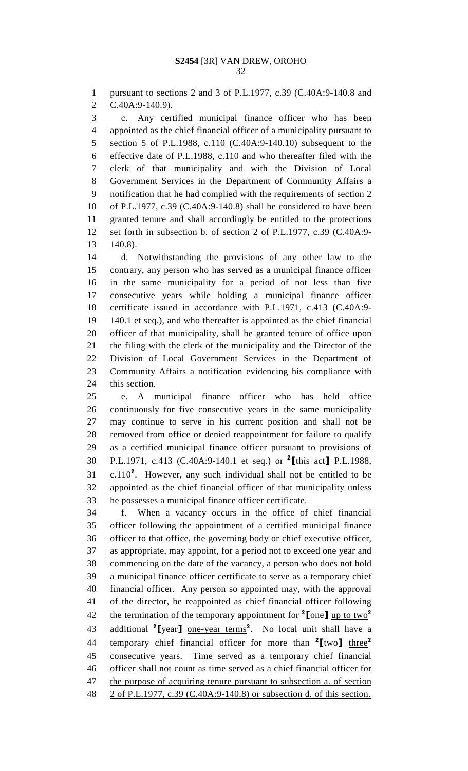1 pursuant to sections 2 and 3 of P.L.1977, c.39 (C.40A:9-140.8 and 2 C.40A:9-140.9). 3 c. Any certified municipal finance officer who has been 4 appointed as the chief financial officer of a municipality pursuant to 5 section 5 of P.L.1988, c.110 (C.40A:9-140.10) subsequent to the

6 effective date of P.L.1988, c.110 and who thereafter filed with the 7 clerk of that municipality and with the Division of Local 8 Government Services in the Department of Community Affairs a 9 notification that he had complied with the requirements of section 2 10 of P.L.1977, c.39 (C.40A:9-140.8) shall be considered to have been 11 granted tenure and shall accordingly be entitled to the protections 12 set forth in subsection b. of section 2 of P.L.1977, c.39 (C.40A:9- 13 140.8).

14 d. Notwithstanding the provisions of any other law to the 15 contrary, any person who has served as a municipal finance officer 16 in the same municipality for a period of not less than five 17 consecutive years while holding a municipal finance officer 18 certificate issued in accordance with P.L.1971, c.413 (C.40A:9- 19 140.1 et seq.), and who thereafter is appointed as the chief financial 20 officer of that municipality, shall be granted tenure of office upon 21 the filing with the clerk of the municipality and the Director of the 22 Division of Local Government Services in the Department of 23 Community Affairs a notification evidencing his compliance with 24 this section.

25 e. A municipal finance officer who has held office 26 continuously for five consecutive years in the same municipality 27 may continue to serve in his current position and shall not be 28 removed from office or denied reappointment for failure to qualify 29 as a certified municipal finance officer pursuant to provisions of 30 P.L.1971, c.413 (C.40A:9-140.1 et seq.) or <sup>2</sup>[this act] P.L.1988,  $31$  c.110<sup>2</sup>. However, any such individual shall not be entitled to be 32 appointed as the chief financial officer of that municipality unless 33 he possesses a municipal finance officer certificate.

34 f. When a vacancy occurs in the office of chief financial 35 officer following the appointment of a certified municipal finance 36 officer to that office, the governing body or chief executive officer, 37 as appropriate, may appoint, for a period not to exceed one year and 38 commencing on the date of the vacancy, a person who does not hold 39 a municipal finance officer certificate to serve as a temporary chief 40 financial officer. Any person so appointed may, with the approval 41 of the director, be reappointed as chief financial officer following 42 the termination of the temporary appointment for  $2$  [one] up to two<sup>2</sup> 43 additional <sup>2</sup>[year] <u>one-year terms</u><sup>2</sup>. No local unit shall have a 44 temporary chief financial officer for more than <sup>2</sup>[two] three<sup>2</sup> 45 consecutive years. Time served as a temporary chief financial 46 officer shall not count as time served as a chief financial officer for 47 the purpose of acquiring tenure pursuant to subsection a. of section 48 2 of P.L.1977, c.39 (C.40A:9-140.8) or subsection d. of this section.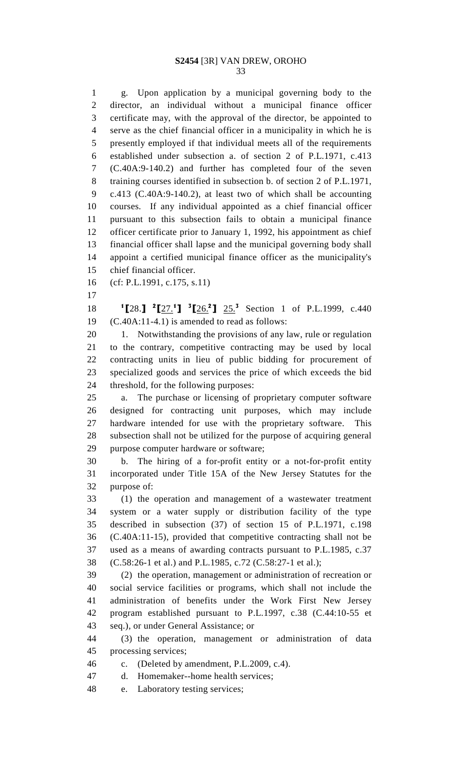1 g. Upon application by a municipal governing body to the 2 director, an individual without a municipal finance officer 3 certificate may, with the approval of the director, be appointed to 4 serve as the chief financial officer in a municipality in which he is 5 presently employed if that individual meets all of the requirements 6 established under subsection a. of section 2 of P.L.1971, c.413 7 (C.40A:9-140.2) and further has completed four of the seven 8 training courses identified in subsection b. of section 2 of P.L.1971, 9 c.413 (C.40A:9-140.2), at least two of which shall be accounting 10 courses. If any individual appointed as a chief financial officer 11 pursuant to this subsection fails to obtain a municipal finance 12 officer certificate prior to January 1, 1992, his appointment as chief 13 financial officer shall lapse and the municipal governing body shall 14 appoint a certified municipal finance officer as the municipality's 15 chief financial officer.

16 (cf: P.L.1991, c.175, s.11)

17

18  $[28.]\begin{bmatrix} 2 \cdot 27 \cdot 1 \end{bmatrix}$   $\begin{bmatrix} 3 \cdot 26 \cdot 2 \end{bmatrix}$   $\begin{bmatrix} 25 \cdot 3 \end{bmatrix}$  Section 1 of P.L.1999, c.440 19 (C.40A:11-4.1) is amended to read as follows:

20 1. Notwithstanding the provisions of any law, rule or regulation 21 to the contrary, competitive contracting may be used by local 22 contracting units in lieu of public bidding for procurement of 23 specialized goods and services the price of which exceeds the bid 24 threshold, for the following purposes:

25 a. The purchase or licensing of proprietary computer software 26 designed for contracting unit purposes, which may include 27 hardware intended for use with the proprietary software. This 28 subsection shall not be utilized for the purpose of acquiring general 29 purpose computer hardware or software;

30 b. The hiring of a for-profit entity or a not-for-profit entity 31 incorporated under Title 15A of the New Jersey Statutes for the 32 purpose of:

33 (1) the operation and management of a wastewater treatment 34 system or a water supply or distribution facility of the type 35 described in subsection (37) of section 15 of P.L.1971, c.198 36 (C.40A:11-15), provided that competitive contracting shall not be 37 used as a means of awarding contracts pursuant to P.L.1985, c.37 38 (C.58:26-1 et al.) and P.L.1985, c.72 (C.58:27-1 et al.);

39 (2) the operation, management or administration of recreation or 40 social service facilities or programs, which shall not include the 41 administration of benefits under the Work First New Jersey 42 program established pursuant to P.L.1997, c.38 (C.44:10-55 et 43 seq.), or under General Assistance; or

44 (3) the operation, management or administration of data 45 processing services;

46 c. (Deleted by amendment, P.L.2009, c.4).

47 d. Homemaker--home health services;

48 e. Laboratory testing services;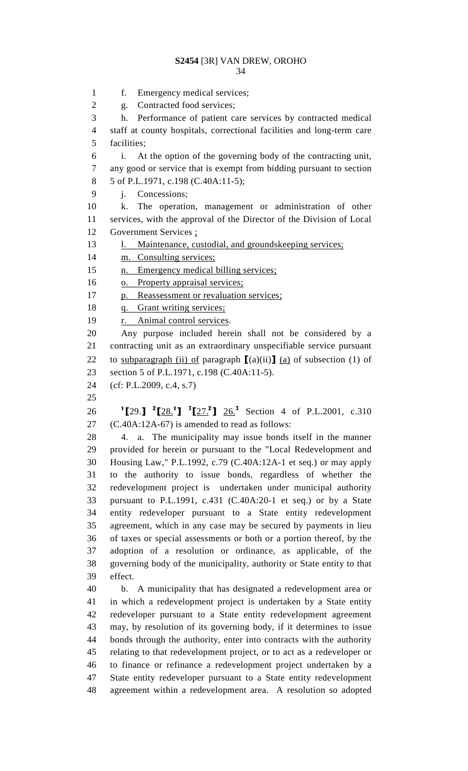1 f. Emergency medical services;

2 g. Contracted food services;

3 h. Performance of patient care services by contracted medical 4 staff at county hospitals, correctional facilities and long-term care 5 facilities;

6 i. At the option of the governing body of the contracting unit, 7 any good or service that is exempt from bidding pursuant to section 8 5 of P.L.1971, c.198 (C.40A:11-5);

9 j. Concessions;

10 k. The operation, management or administration of other 11 services, with the approval of the Director of the Division of Local 12 Government Services ;

13 l. Maintenance, custodial, and groundskeeping services;

14 m. Consulting services;

15 n. Emergency medical billing services;

16 o. Property appraisal services;

17 p. Reassessment or revaluation services;

18 q. Grant writing services;

19 r. Animal control services.

20 Any purpose included herein shall not be considered by a 21 contracting unit as an extraordinary unspecifiable service pursuant 22 to subparagraph (ii) of paragraph  $[(a)(ii)]$   $(a)$  of subsection (1) of 23 section 5 of P.L.1971, c.198 (C.40A:11-5).

24 (cf: P.L.2009, c.4, s.7)

25

26  $\text{I}$ [29.]  $\text{I}$   $\text{I}$ 28.<sup>1</sup>]  $\text{I}$   $\text{I}$ 27.<sup>2</sup>] 26.<sup>3</sup> Section 4 of P.L.2001, c.310 27 (C.40A:12A-67) is amended to read as follows:

28 4. a. The municipality may issue bonds itself in the manner 29 provided for herein or pursuant to the "Local Redevelopment and 30 Housing Law," P.L.1992, c.79 (C.40A:12A-1 et seq.) or may apply 31 to the authority to issue bonds, regardless of whether the 32 redevelopment project is undertaken under municipal authority 33 pursuant to P.L.1991, c.431 (C.40A:20-1 et seq.) or by a State 34 entity redeveloper pursuant to a State entity redevelopment 35 agreement, which in any case may be secured by payments in lieu 36 of taxes or special assessments or both or a portion thereof, by the 37 adoption of a resolution or ordinance, as applicable, of the 38 governing body of the municipality, authority or State entity to that 39 effect.

40 b. A municipality that has designated a redevelopment area or 41 in which a redevelopment project is undertaken by a State entity 42 redeveloper pursuant to a State entity redevelopment agreement 43 may, by resolution of its governing body, if it determines to issue 44 bonds through the authority, enter into contracts with the authority 45 relating to that redevelopment project, or to act as a redeveloper or 46 to finance or refinance a redevelopment project undertaken by a 47 State entity redeveloper pursuant to a State entity redevelopment 48 agreement within a redevelopment area. A resolution so adopted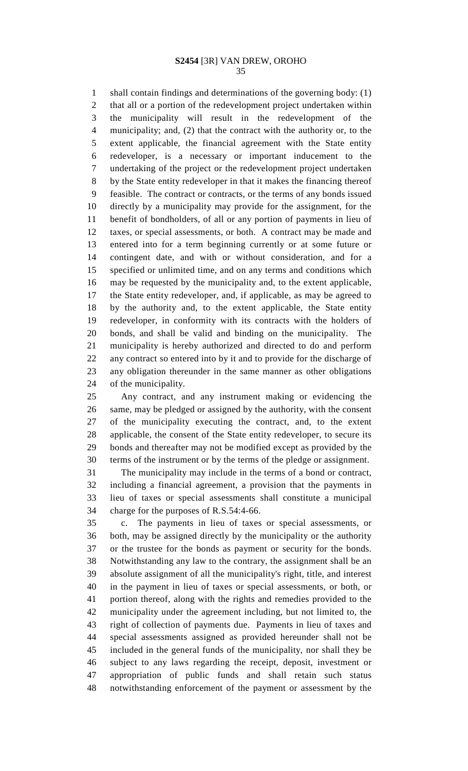35

1 shall contain findings and determinations of the governing body: (1) 2 that all or a portion of the redevelopment project undertaken within 3 the municipality will result in the redevelopment of the 4 municipality; and, (2) that the contract with the authority or, to the 5 extent applicable, the financial agreement with the State entity 6 redeveloper, is a necessary or important inducement to the 7 undertaking of the project or the redevelopment project undertaken 8 by the State entity redeveloper in that it makes the financing thereof 9 feasible. The contract or contracts, or the terms of any bonds issued 10 directly by a municipality may provide for the assignment, for the 11 benefit of bondholders, of all or any portion of payments in lieu of 12 taxes, or special assessments, or both. A contract may be made and 13 entered into for a term beginning currently or at some future or 14 contingent date, and with or without consideration, and for a 15 specified or unlimited time, and on any terms and conditions which 16 may be requested by the municipality and, to the extent applicable, 17 the State entity redeveloper, and, if applicable, as may be agreed to 18 by the authority and, to the extent applicable, the State entity 19 redeveloper, in conformity with its contracts with the holders of 20 bonds, and shall be valid and binding on the municipality. The 21 municipality is hereby authorized and directed to do and perform 22 any contract so entered into by it and to provide for the discharge of 23 any obligation thereunder in the same manner as other obligations 24 of the municipality.

25 Any contract, and any instrument making or evidencing the 26 same, may be pledged or assigned by the authority, with the consent 27 of the municipality executing the contract, and, to the extent 28 applicable, the consent of the State entity redeveloper, to secure its 29 bonds and thereafter may not be modified except as provided by the 30 terms of the instrument or by the terms of the pledge or assignment.

31 The municipality may include in the terms of a bond or contract, 32 including a financial agreement, a provision that the payments in 33 lieu of taxes or special assessments shall constitute a municipal 34 charge for the purposes of R.S.54:4-66.

35 c. The payments in lieu of taxes or special assessments, or 36 both, may be assigned directly by the municipality or the authority 37 or the trustee for the bonds as payment or security for the bonds. 38 Notwithstanding any law to the contrary, the assignment shall be an 39 absolute assignment of all the municipality's right, title, and interest 40 in the payment in lieu of taxes or special assessments, or both, or 41 portion thereof, along with the rights and remedies provided to the 42 municipality under the agreement including, but not limited to, the 43 right of collection of payments due. Payments in lieu of taxes and 44 special assessments assigned as provided hereunder shall not be 45 included in the general funds of the municipality, nor shall they be 46 subject to any laws regarding the receipt, deposit, investment or 47 appropriation of public funds and shall retain such status 48 notwithstanding enforcement of the payment or assessment by the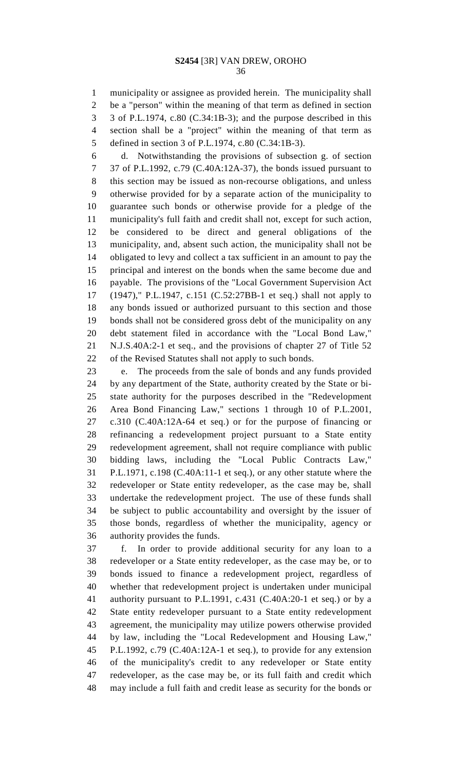1 municipality or assignee as provided herein. The municipality shall 2 be a "person" within the meaning of that term as defined in section 3 3 of P.L.1974, c.80 (C.34:1B-3); and the purpose described in this 4 section shall be a "project" within the meaning of that term as 5 defined in section 3 of P.L.1974, c.80 (C.34:1B-3).

6 d. Notwithstanding the provisions of subsection g. of section 7 37 of P.L.1992, c.79 (C.40A:12A-37), the bonds issued pursuant to 8 this section may be issued as non-recourse obligations, and unless 9 otherwise provided for by a separate action of the municipality to 10 guarantee such bonds or otherwise provide for a pledge of the 11 municipality's full faith and credit shall not, except for such action, 12 be considered to be direct and general obligations of the 13 municipality, and, absent such action, the municipality shall not be 14 obligated to levy and collect a tax sufficient in an amount to pay the 15 principal and interest on the bonds when the same become due and 16 payable. The provisions of the "Local Government Supervision Act 17 (1947)," P.L.1947, c.151 (C.52:27BB-1 et seq.) shall not apply to 18 any bonds issued or authorized pursuant to this section and those 19 bonds shall not be considered gross debt of the municipality on any 20 debt statement filed in accordance with the "Local Bond Law," 21 N.J.S.40A:2-1 et seq., and the provisions of chapter 27 of Title 52 22 of the Revised Statutes shall not apply to such bonds.

23 e. The proceeds from the sale of bonds and any funds provided 24 by any department of the State, authority created by the State or bi-25 state authority for the purposes described in the "Redevelopment 26 Area Bond Financing Law," sections 1 through 10 of P.L.2001, 27 c.310 (C.40A:12A-64 et seq.) or for the purpose of financing or 28 refinancing a redevelopment project pursuant to a State entity 29 redevelopment agreement, shall not require compliance with public 30 bidding laws, including the "Local Public Contracts Law," 31 P.L.1971, c.198 (C.40A:11-1 et seq.), or any other statute where the 32 redeveloper or State entity redeveloper, as the case may be, shall 33 undertake the redevelopment project. The use of these funds shall 34 be subject to public accountability and oversight by the issuer of 35 those bonds, regardless of whether the municipality, agency or 36 authority provides the funds.

37 f. In order to provide additional security for any loan to a 38 redeveloper or a State entity redeveloper, as the case may be, or to 39 bonds issued to finance a redevelopment project, regardless of 40 whether that redevelopment project is undertaken under municipal 41 authority pursuant to P.L.1991, c.431 (C.40A:20-1 et seq.) or by a 42 State entity redeveloper pursuant to a State entity redevelopment 43 agreement, the municipality may utilize powers otherwise provided 44 by law, including the "Local Redevelopment and Housing Law," 45 P.L.1992, c.79 (C.40A:12A-1 et seq.), to provide for any extension 46 of the municipality's credit to any redeveloper or State entity 47 redeveloper, as the case may be, or its full faith and credit which 48 may include a full faith and credit lease as security for the bonds or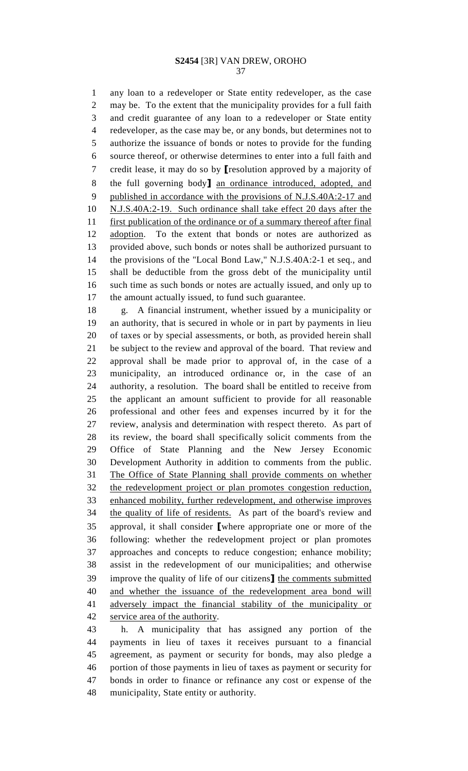37

1 any loan to a redeveloper or State entity redeveloper, as the case 2 may be. To the extent that the municipality provides for a full faith 3 and credit guarantee of any loan to a redeveloper or State entity 4 redeveloper, as the case may be, or any bonds, but determines not to 5 authorize the issuance of bonds or notes to provide for the funding 6 source thereof, or otherwise determines to enter into a full faith and 7 credit lease, it may do so by [resolution approved by a majority of 8 the full governing body] an ordinance introduced, adopted, and 9 published in accordance with the provisions of N.J.S.40A:2-17 and 10 N.J.S.40A:2-19. Such ordinance shall take effect 20 days after the 11 first publication of the ordinance or of a summary thereof after final 12 adoption. To the extent that bonds or notes are authorized as 13 provided above, such bonds or notes shall be authorized pursuant to 14 the provisions of the "Local Bond Law," N.J.S.40A:2-1 et seq., and 15 shall be deductible from the gross debt of the municipality until 16 such time as such bonds or notes are actually issued, and only up to 17 the amount actually issued, to fund such guarantee.

18 g. A financial instrument, whether issued by a municipality or 19 an authority, that is secured in whole or in part by payments in lieu 20 of taxes or by special assessments, or both, as provided herein shall 21 be subject to the review and approval of the board. That review and 22 approval shall be made prior to approval of, in the case of a 23 municipality, an introduced ordinance or, in the case of an 24 authority, a resolution. The board shall be entitled to receive from 25 the applicant an amount sufficient to provide for all reasonable 26 professional and other fees and expenses incurred by it for the 27 review, analysis and determination with respect thereto. As part of 28 its review, the board shall specifically solicit comments from the 29 Office of State Planning and the New Jersey Economic 30 Development Authority in addition to comments from the public. 31 The Office of State Planning shall provide comments on whether 32 the redevelopment project or plan promotes congestion reduction, 33 enhanced mobility, further redevelopment, and otherwise improves 34 the quality of life of residents. As part of the board's review and 35 approval, it shall consider [where appropriate one or more of the 36 following: whether the redevelopment project or plan promotes 37 approaches and concepts to reduce congestion; enhance mobility; 38 assist in the redevelopment of our municipalities; and otherwise 39 improve the quality of life of our citizens] the comments submitted 40 and whether the issuance of the redevelopment area bond will 41 adversely impact the financial stability of the municipality or 42 service area of the authority.

43 h. A municipality that has assigned any portion of the 44 payments in lieu of taxes it receives pursuant to a financial 45 agreement, as payment or security for bonds, may also pledge a 46 portion of those payments in lieu of taxes as payment or security for 47 bonds in order to finance or refinance any cost or expense of the 48 municipality, State entity or authority.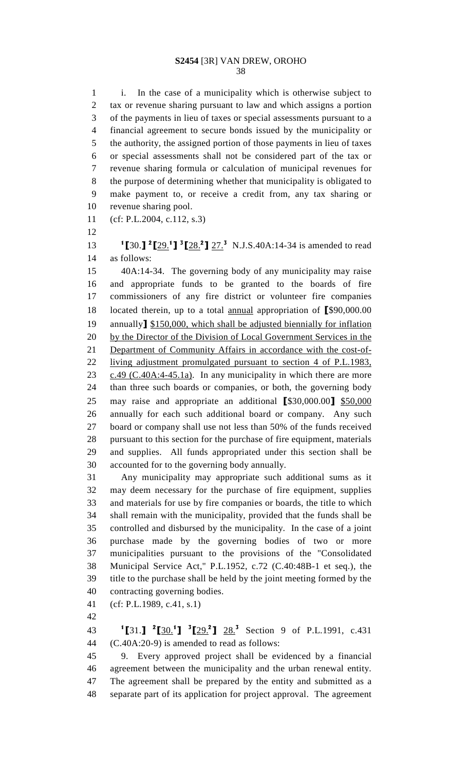1 i. In the case of a municipality which is otherwise subject to 2 tax or revenue sharing pursuant to law and which assigns a portion 3 of the payments in lieu of taxes or special assessments pursuant to a 4 financial agreement to secure bonds issued by the municipality or 5 the authority, the assigned portion of those payments in lieu of taxes 6 or special assessments shall not be considered part of the tax or 7 revenue sharing formula or calculation of municipal revenues for 8 the purpose of determining whether that municipality is obligated to 9 make payment to, or receive a credit from, any tax sharing or 10 revenue sharing pool.

11 (cf: P.L.2004, c.112, s.3)

12

13  $[30.]\,\textsuperscript{2}[29.1]\,\textsuperscript{3}[28.2]\,\textsuperscript{27}.3$  N.J.S.40A:14-34 is amended to read 14 as follows:

15 40A:14-34. The governing body of any municipality may raise 16 and appropriate funds to be granted to the boards of fire 17 commissioners of any fire district or volunteer fire companies 18 located therein, up to a total annual appropriation of [\$90,000.00 19 annually] \$150,000, which shall be adjusted biennially for inflation 20 by the Director of the Division of Local Government Services in the 21 Department of Community Affairs in accordance with the cost-of-22 living adjustment promulgated pursuant to section 4 of P.L.1983, 23 c.49  $(C.40A:4-45.1a)$ . In any municipality in which there are more 24 than three such boards or companies, or both, the governing body 25 may raise and appropriate an additional [\$30,000.00] \$50,000 26 annually for each such additional board or company. Any such 27 board or company shall use not less than 50% of the funds received 28 pursuant to this section for the purchase of fire equipment, materials 29 and supplies. All funds appropriated under this section shall be 30 accounted for to the governing body annually.

31 Any municipality may appropriate such additional sums as it 32 may deem necessary for the purchase of fire equipment, supplies 33 and materials for use by fire companies or boards, the title to which 34 shall remain with the municipality, provided that the funds shall be 35 controlled and disbursed by the municipality. In the case of a joint 36 purchase made by the governing bodies of two or more 37 municipalities pursuant to the provisions of the "Consolidated 38 Municipal Service Act," P.L.1952, c.72 (C.40:48B-1 et seq.), the 39 title to the purchase shall be held by the joint meeting formed by the 40 contracting governing bodies.

41 (cf: P.L.1989, c.41, s.1)

42

43 **[31.]**  ${}^{2}$ [30.<sup>1</sup>]  ${}^{3}$ [29.<sup>2</sup>] 28.<sup>3</sup> Section 9 of P.L.1991, c.431 44 (C.40A:20-9) is amended to read as follows:

45 9. Every approved project shall be evidenced by a financial 46 agreement between the municipality and the urban renewal entity. 47 The agreement shall be prepared by the entity and submitted as a 48 separate part of its application for project approval. The agreement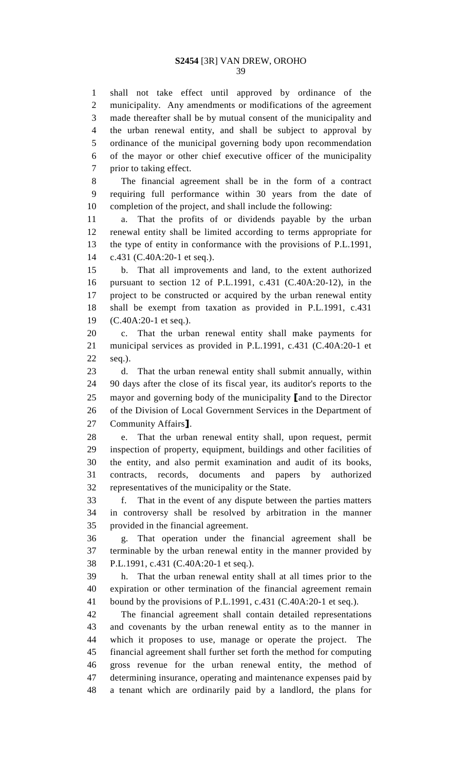1 shall not take effect until approved by ordinance of the 2 municipality. Any amendments or modifications of the agreement 3 made thereafter shall be by mutual consent of the municipality and 4 the urban renewal entity, and shall be subject to approval by 5 ordinance of the municipal governing body upon recommendation 6 of the mayor or other chief executive officer of the municipality 7 prior to taking effect.

8 The financial agreement shall be in the form of a contract 9 requiring full performance within 30 years from the date of 10 completion of the project, and shall include the following:

11 a. That the profits of or dividends payable by the urban 12 renewal entity shall be limited according to terms appropriate for 13 the type of entity in conformance with the provisions of P.L.1991, 14 c.431 (C.40A:20-1 et seq.).

15 b. That all improvements and land, to the extent authorized 16 pursuant to section 12 of P.L.1991, c.431 (C.40A:20-12), in the 17 project to be constructed or acquired by the urban renewal entity 18 shall be exempt from taxation as provided in P.L.1991, c.431 19 (C.40A:20-1 et seq.).

20 c. That the urban renewal entity shall make payments for 21 municipal services as provided in P.L.1991, c.431 (C.40A:20-1 et 22 seq.).

23 d. That the urban renewal entity shall submit annually, within 24 90 days after the close of its fiscal year, its auditor's reports to the 25 mayor and governing body of the municipality [and to the Director 26 of the Division of Local Government Services in the Department of 27 Community Affairs].

28 e. That the urban renewal entity shall, upon request, permit 29 inspection of property, equipment, buildings and other facilities of 30 the entity, and also permit examination and audit of its books, 31 contracts, records, documents and papers by authorized 32 representatives of the municipality or the State.

33 f. That in the event of any dispute between the parties matters 34 in controversy shall be resolved by arbitration in the manner 35 provided in the financial agreement.

36 g. That operation under the financial agreement shall be 37 terminable by the urban renewal entity in the manner provided by 38 P.L.1991, c.431 (C.40A:20-1 et seq.).

39 h. That the urban renewal entity shall at all times prior to the 40 expiration or other termination of the financial agreement remain 41 bound by the provisions of P.L.1991, c.431 (C.40A:20-1 et seq.).

42 The financial agreement shall contain detailed representations 43 and covenants by the urban renewal entity as to the manner in 44 which it proposes to use, manage or operate the project. The 45 financial agreement shall further set forth the method for computing 46 gross revenue for the urban renewal entity, the method of 47 determining insurance, operating and maintenance expenses paid by 48 a tenant which are ordinarily paid by a landlord, the plans for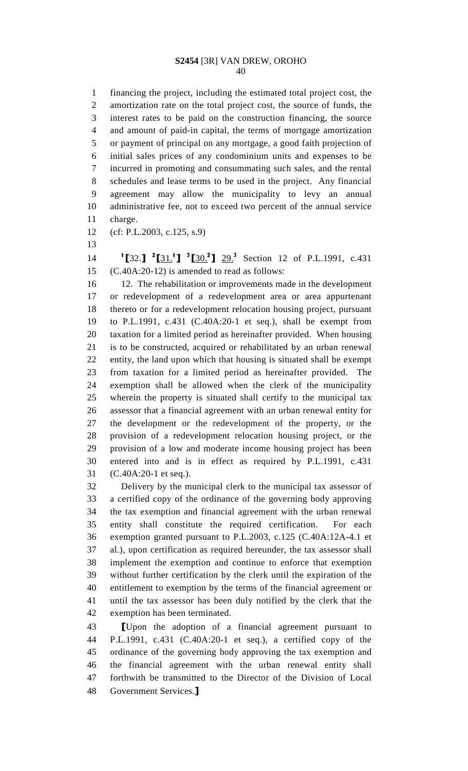1 financing the project, including the estimated total project cost, the 2 amortization rate on the total project cost, the source of funds, the 3 interest rates to be paid on the construction financing, the source 4 and amount of paid-in capital, the terms of mortgage amortization 5 or payment of principal on any mortgage, a good faith projection of 6 initial sales prices of any condominium units and expenses to be 7 incurred in promoting and consummating such sales, and the rental 8 schedules and lease terms to be used in the project. Any financial 9 agreement may allow the municipality to levy an annual 10 administrative fee, not to exceed two percent of the annual service 11 charge.

12 (cf: P.L.2003, c.125, s.9)

13

14  $\left[\begin{array}{cc} 32. \end{array}\right]$   $\left[\begin{array}{cc} 31. \end{array}\right]$   $\left[\begin{array}{cc} 30. \end{array}\right]$   $\left[\begin{array}{cc} 29. \end{array}\right]$  Section 12 of P.L.1991, c.431 15 (C.40A:20-12) is amended to read as follows:

16 12. The rehabilitation or improvements made in the development 17 or redevelopment of a redevelopment area or area appurtenant 18 thereto or for a redevelopment relocation housing project, pursuant 19 to P.L.1991, c.431 (C.40A:20-1 et seq.), shall be exempt from 20 taxation for a limited period as hereinafter provided. When housing 21 is to be constructed, acquired or rehabilitated by an urban renewal 22 entity, the land upon which that housing is situated shall be exempt 23 from taxation for a limited period as hereinafter provided. The 24 exemption shall be allowed when the clerk of the municipality 25 wherein the property is situated shall certify to the municipal tax 26 assessor that a financial agreement with an urban renewal entity for 27 the development or the redevelopment of the property, or the 28 provision of a redevelopment relocation housing project, or the 29 provision of a low and moderate income housing project has been 30 entered into and is in effect as required by P.L.1991, c.431 31 (C.40A:20-1 et seq.).

32 Delivery by the municipal clerk to the municipal tax assessor of 33 a certified copy of the ordinance of the governing body approving 34 the tax exemption and financial agreement with the urban renewal 35 entity shall constitute the required certification. For each 36 exemption granted pursuant to P.L.2003, c.125 (C.40A:12A-4.1 et 37 al.), upon certification as required hereunder, the tax assessor shall 38 implement the exemption and continue to enforce that exemption 39 without further certification by the clerk until the expiration of the 40 entitlement to exemption by the terms of the financial agreement or 41 until the tax assessor has been duly notified by the clerk that the 42 exemption has been terminated.

43 [Upon the adoption of a financial agreement pursuant to 44 P.L.1991, c.431 (C.40A:20-1 et seq.), a certified copy of the 45 ordinance of the governing body approving the tax exemption and 46 the financial agreement with the urban renewal entity shall 47 forthwith be transmitted to the Director of the Division of Local 48 Government Services.]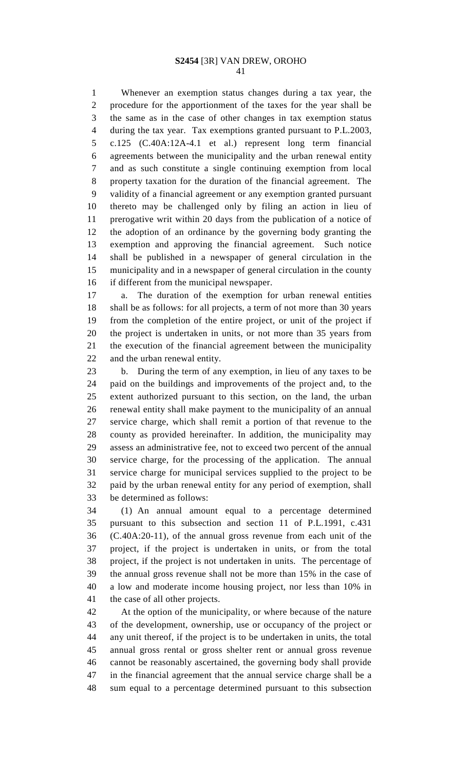1 Whenever an exemption status changes during a tax year, the 2 procedure for the apportionment of the taxes for the year shall be 3 the same as in the case of other changes in tax exemption status 4 during the tax year. Tax exemptions granted pursuant to P.L.2003, 5 c.125 (C.40A:12A-4.1 et al.) represent long term financial 6 agreements between the municipality and the urban renewal entity 7 and as such constitute a single continuing exemption from local 8 property taxation for the duration of the financial agreement. The 9 validity of a financial agreement or any exemption granted pursuant 10 thereto may be challenged only by filing an action in lieu of 11 prerogative writ within 20 days from the publication of a notice of 12 the adoption of an ordinance by the governing body granting the 13 exemption and approving the financial agreement. Such notice 14 shall be published in a newspaper of general circulation in the 15 municipality and in a newspaper of general circulation in the county 16 if different from the municipal newspaper.

17 a. The duration of the exemption for urban renewal entities 18 shall be as follows: for all projects, a term of not more than 30 years 19 from the completion of the entire project, or unit of the project if 20 the project is undertaken in units, or not more than 35 years from 21 the execution of the financial agreement between the municipality 22 and the urban renewal entity.

23 b. During the term of any exemption, in lieu of any taxes to be 24 paid on the buildings and improvements of the project and, to the 25 extent authorized pursuant to this section, on the land, the urban 26 renewal entity shall make payment to the municipality of an annual 27 service charge, which shall remit a portion of that revenue to the 28 county as provided hereinafter. In addition, the municipality may 29 assess an administrative fee, not to exceed two percent of the annual 30 service charge, for the processing of the application. The annual 31 service charge for municipal services supplied to the project to be 32 paid by the urban renewal entity for any period of exemption, shall 33 be determined as follows:

34 (1) An annual amount equal to a percentage determined 35 pursuant to this subsection and section 11 of P.L.1991, c.431 36 (C.40A:20-11), of the annual gross revenue from each unit of the 37 project, if the project is undertaken in units, or from the total 38 project, if the project is not undertaken in units. The percentage of 39 the annual gross revenue shall not be more than 15% in the case of 40 a low and moderate income housing project, nor less than 10% in 41 the case of all other projects.

42 At the option of the municipality, or where because of the nature 43 of the development, ownership, use or occupancy of the project or 44 any unit thereof, if the project is to be undertaken in units, the total 45 annual gross rental or gross shelter rent or annual gross revenue 46 cannot be reasonably ascertained, the governing body shall provide 47 in the financial agreement that the annual service charge shall be a 48 sum equal to a percentage determined pursuant to this subsection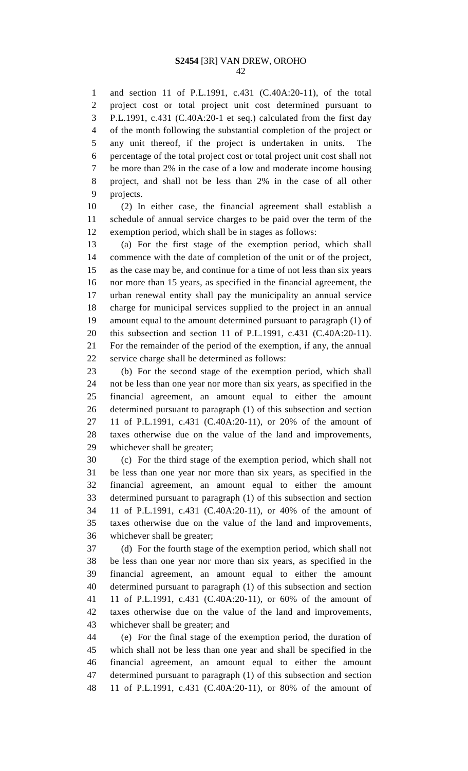1 and section 11 of P.L.1991, c.431 (C.40A:20-11), of the total 2 project cost or total project unit cost determined pursuant to 3 P.L.1991, c.431 (C.40A:20-1 et seq.) calculated from the first day 4 of the month following the substantial completion of the project or 5 any unit thereof, if the project is undertaken in units. The 6 percentage of the total project cost or total project unit cost shall not 7 be more than 2% in the case of a low and moderate income housing 8 project, and shall not be less than 2% in the case of all other 9 projects.

10 (2) In either case, the financial agreement shall establish a 11 schedule of annual service charges to be paid over the term of the 12 exemption period, which shall be in stages as follows:

13 (a) For the first stage of the exemption period, which shall 14 commence with the date of completion of the unit or of the project, 15 as the case may be, and continue for a time of not less than six years 16 nor more than 15 years, as specified in the financial agreement, the 17 urban renewal entity shall pay the municipality an annual service 18 charge for municipal services supplied to the project in an annual 19 amount equal to the amount determined pursuant to paragraph (1) of 20 this subsection and section 11 of P.L.1991, c.431 (C.40A:20-11). 21 For the remainder of the period of the exemption, if any, the annual 22 service charge shall be determined as follows:

23 (b) For the second stage of the exemption period, which shall 24 not be less than one year nor more than six years, as specified in the 25 financial agreement, an amount equal to either the amount 26 determined pursuant to paragraph (1) of this subsection and section 27 11 of P.L.1991, c.431 (C.40A:20-11), or 20% of the amount of 28 taxes otherwise due on the value of the land and improvements, 29 whichever shall be greater;

30 (c) For the third stage of the exemption period, which shall not 31 be less than one year nor more than six years, as specified in the 32 financial agreement, an amount equal to either the amount 33 determined pursuant to paragraph (1) of this subsection and section 34 11 of P.L.1991, c.431 (C.40A:20-11), or 40% of the amount of 35 taxes otherwise due on the value of the land and improvements, 36 whichever shall be greater;

37 (d) For the fourth stage of the exemption period, which shall not 38 be less than one year nor more than six years, as specified in the 39 financial agreement, an amount equal to either the amount 40 determined pursuant to paragraph (1) of this subsection and section 41 11 of P.L.1991, c.431 (C.40A:20-11), or 60% of the amount of 42 taxes otherwise due on the value of the land and improvements, 43 whichever shall be greater; and

44 (e) For the final stage of the exemption period, the duration of 45 which shall not be less than one year and shall be specified in the 46 financial agreement, an amount equal to either the amount 47 determined pursuant to paragraph (1) of this subsection and section 48 11 of P.L.1991, c.431 (C.40A:20-11), or 80% of the amount of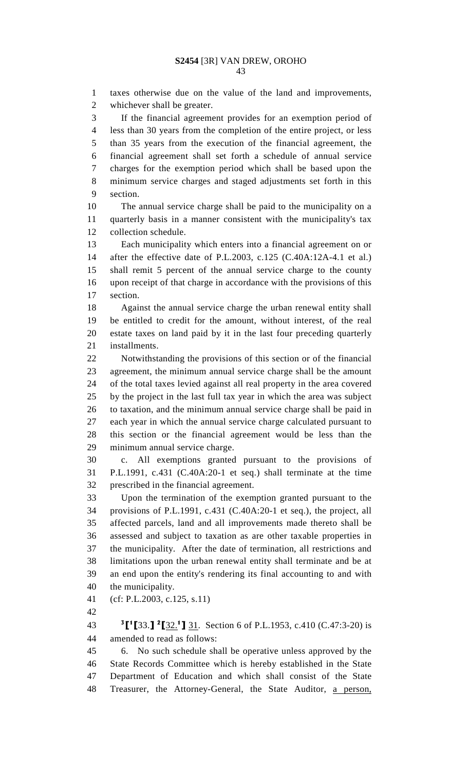1 taxes otherwise due on the value of the land and improvements, 2 whichever shall be greater.

3 If the financial agreement provides for an exemption period of 4 less than 30 years from the completion of the entire project, or less 5 than 35 years from the execution of the financial agreement, the 6 financial agreement shall set forth a schedule of annual service 7 charges for the exemption period which shall be based upon the 8 minimum service charges and staged adjustments set forth in this 9 section.

10 The annual service charge shall be paid to the municipality on a 11 quarterly basis in a manner consistent with the municipality's tax 12 collection schedule.

13 Each municipality which enters into a financial agreement on or 14 after the effective date of P.L.2003, c.125 (C.40A:12A-4.1 et al.) 15 shall remit 5 percent of the annual service charge to the county 16 upon receipt of that charge in accordance with the provisions of this 17 section.

18 Against the annual service charge the urban renewal entity shall 19 be entitled to credit for the amount, without interest, of the real 20 estate taxes on land paid by it in the last four preceding quarterly 21 installments.

22 Notwithstanding the provisions of this section or of the financial 23 agreement, the minimum annual service charge shall be the amount 24 of the total taxes levied against all real property in the area covered 25 by the project in the last full tax year in which the area was subject 26 to taxation, and the minimum annual service charge shall be paid in 27 each year in which the annual service charge calculated pursuant to 28 this section or the financial agreement would be less than the 29 minimum annual service charge.

30 c. All exemptions granted pursuant to the provisions of 31 P.L.1991, c.431 (C.40A:20-1 et seq.) shall terminate at the time 32 prescribed in the financial agreement.

33 Upon the termination of the exemption granted pursuant to the 34 provisions of P.L.1991, c.431 (C.40A:20-1 et seq.), the project, all 35 affected parcels, land and all improvements made thereto shall be 36 assessed and subject to taxation as are other taxable properties in 37 the municipality. After the date of termination, all restrictions and 38 limitations upon the urban renewal entity shall terminate and be at 39 an end upon the entity's rendering its final accounting to and with 40 the municipality.

41 (cf: P.L.2003, c.125, s.11)

42

43 **I**<sup>1</sup>[33.] <sup>2</sup>[32.<sup>1</sup>] 31. Section 6 of P.L.1953, c.410 (C.47:3-20) is 44 amended to read as follows:

45 6. No such schedule shall be operative unless approved by the 46 State Records Committee which is hereby established in the State 47 Department of Education and which shall consist of the State 48 Treasurer, the Attorney-General, the State Auditor, a person,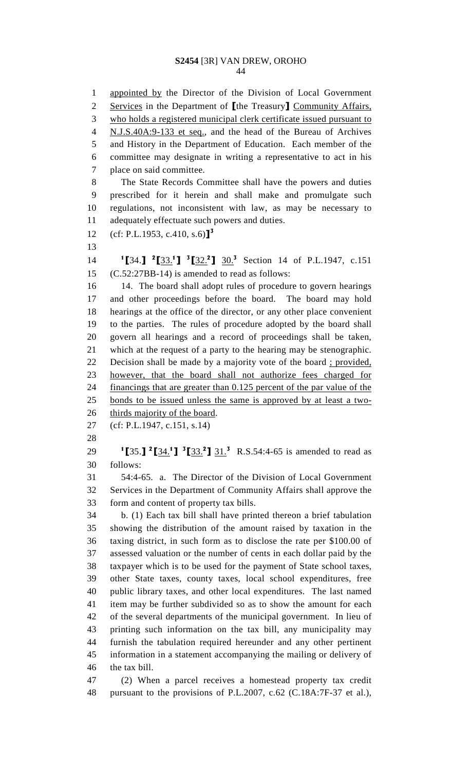1 appointed by the Director of the Division of Local Government 2 Services in the Department of [the Treasury] Community Affairs, 3 who holds a registered municipal clerk certificate issued pursuant to 4 N.J.S.40A:9-133 et seq., and the head of the Bureau of Archives 5 and History in the Department of Education. Each member of the 6 committee may designate in writing a representative to act in his 7 place on said committee. 8 The State Records Committee shall have the powers and duties 9 prescribed for it herein and shall make and promulgate such 10 regulations, not inconsistent with law, as may be necessary to 11 adequately effectuate such powers and duties. 12 (cf: P.L.1953, c.410, s.6) $\mathbf{J}^3$ 13 14  ${}^{1}\text{[}34.\text{]}$   ${}^{2}\text{[}33.^{1}\text{]}$   ${}^{3}\text{[}32.^{2}\text{]}$   ${}^{3}0.^{3}$  Section 14 of P.L.1947, c.151 15 (C.52:27BB-14) is amended to read as follows: 16 14. The board shall adopt rules of procedure to govern hearings 17 and other proceedings before the board. The board may hold 18 hearings at the office of the director, or any other place convenient 19 to the parties. The rules of procedure adopted by the board shall 20 govern all hearings and a record of proceedings shall be taken, 21 which at the request of a party to the hearing may be stenographic. 22 Decision shall be made by a majority vote of the board ; provided, 23 however, that the board shall not authorize fees charged for 24 financings that are greater than 0.125 percent of the par value of the 25 bonds to be issued unless the same is approved by at least a two-26 thirds majority of the board. 27 (cf: P.L.1947, c.151, s.14) 28 29  ${}^{1}$ [35.]  ${}^{2}$ [34.<sup>1</sup>]  ${}^{3}$ [33.<sup>2</sup>] 31.<sup>3</sup> R.S.54:4-65 is amended to read as 30 follows: 31 54:4-65. a. The Director of the Division of Local Government 32 Services in the Department of Community Affairs shall approve the 33 form and content of property tax bills. 34 b. (1) Each tax bill shall have printed thereon a brief tabulation 35 showing the distribution of the amount raised by taxation in the 36 taxing district, in such form as to disclose the rate per \$100.00 of 37 assessed valuation or the number of cents in each dollar paid by the 38 taxpayer which is to be used for the payment of State school taxes, 39 other State taxes, county taxes, local school expenditures, free 40 public library taxes, and other local expenditures. The last named 41 item may be further subdivided so as to show the amount for each 42 of the several departments of the municipal government. In lieu of 43 printing such information on the tax bill, any municipality may 44 furnish the tabulation required hereunder and any other pertinent 45 information in a statement accompanying the mailing or delivery of 46 the tax bill.

47 (2) When a parcel receives a homestead property tax credit 48 pursuant to the provisions of P.L.2007, c.62 (C.18A:7F-37 et al.),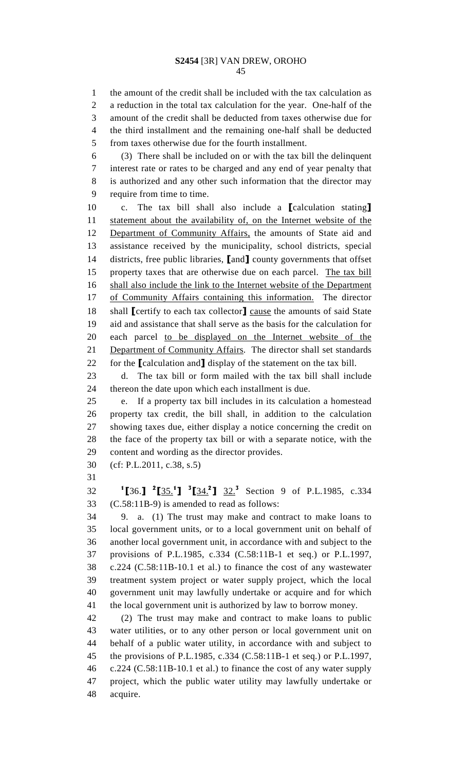1 the amount of the credit shall be included with the tax calculation as 2 a reduction in the total tax calculation for the year. One-half of the 3 amount of the credit shall be deducted from taxes otherwise due for 4 the third installment and the remaining one-half shall be deducted 5 from taxes otherwise due for the fourth installment.

6 (3) There shall be included on or with the tax bill the delinquent 7 interest rate or rates to be charged and any end of year penalty that 8 is authorized and any other such information that the director may 9 require from time to time.

10 c. The tax bill shall also include a [calculation stating] 11 statement about the availability of, on the Internet website of the 12 Department of Community Affairs, the amounts of State aid and 13 assistance received by the municipality, school districts, special 14 districts, free public libraries, [and] county governments that offset 15 property taxes that are otherwise due on each parcel. The tax bill 16 shall also include the link to the Internet website of the Department 17 of Community Affairs containing this information. The director 18 shall **[**certify to each tax collector] cause the amounts of said State 19 aid and assistance that shall serve as the basis for the calculation for 20 each parcel to be displayed on the Internet website of the 21 Department of Community Affairs. The director shall set standards 22 for the [calculation and] display of the statement on the tax bill.

23 d. The tax bill or form mailed with the tax bill shall include 24 thereon the date upon which each installment is due.

25 e. If a property tax bill includes in its calculation a homestead 26 property tax credit, the bill shall, in addition to the calculation 27 showing taxes due, either display a notice concerning the credit on 28 the face of the property tax bill or with a separate notice, with the 29 content and wording as the director provides.

30 (cf: P.L.2011, c.38, s.5)

31

32  $[36.]\begin{bmatrix} 2[35.1] \end{bmatrix}$   $[34.2]\begin{bmatrix} 32.3 \end{bmatrix}$  Section 9 of P.L.1985, c.334 33 (C.58:11B-9) is amended to read as follows:

34 9. a. (1) The trust may make and contract to make loans to 35 local government units, or to a local government unit on behalf of 36 another local government unit, in accordance with and subject to the 37 provisions of P.L.1985, c.334 (C.58:11B-1 et seq.) or P.L.1997, 38 c.224 (C.58:11B-10.1 et al.) to finance the cost of any wastewater 39 treatment system project or water supply project, which the local 40 government unit may lawfully undertake or acquire and for which 41 the local government unit is authorized by law to borrow money.

42 (2) The trust may make and contract to make loans to public 43 water utilities, or to any other person or local government unit on 44 behalf of a public water utility, in accordance with and subject to 45 the provisions of P.L.1985, c.334 (C.58:11B-1 et seq.) or P.L.1997, 46 c.224 (C.58:11B-10.1 et al.) to finance the cost of any water supply 47 project, which the public water utility may lawfully undertake or 48 acquire.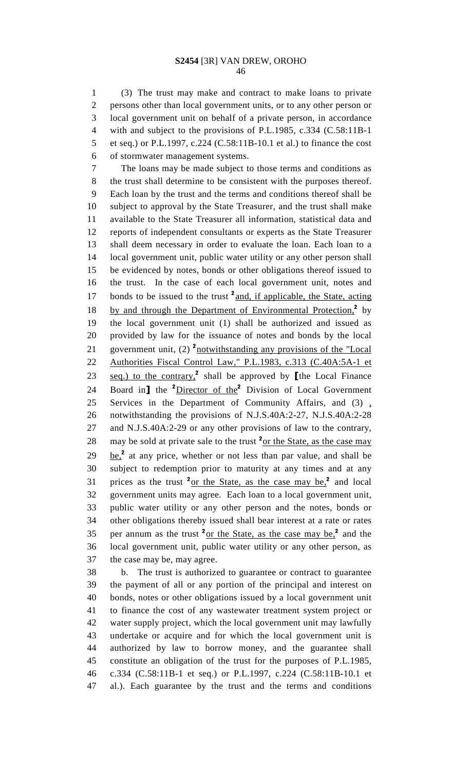1 (3) The trust may make and contract to make loans to private 2 persons other than local government units, or to any other person or 3 local government unit on behalf of a private person, in accordance 4 with and subject to the provisions of P.L.1985, c.334 (C.58:11B-1 5 et seq.) or P.L.1997, c.224 (C.58:11B-10.1 et al.) to finance the cost 6 of stormwater management systems.

7 The loans may be made subject to those terms and conditions as 8 the trust shall determine to be consistent with the purposes thereof. 9 Each loan by the trust and the terms and conditions thereof shall be 10 subject to approval by the State Treasurer, and the trust shall make 11 available to the State Treasurer all information, statistical data and 12 reports of independent consultants or experts as the State Treasurer 13 shall deem necessary in order to evaluate the loan. Each loan to a 14 local government unit, public water utility or any other person shall 15 be evidenced by notes, bonds or other obligations thereof issued to 16 the trust. In the case of each local government unit, notes and 17 bonds to be issued to the trust  $2$  and, if applicable, the State, acting 18 by and through the Department of Environmental Protection,<sup>2</sup> by 19 the local government unit (1) shall be authorized and issued as 20 provided by law for the issuance of notes and bonds by the local 21 government unit, (2)  $\frac{2 \text{notwithstanding any provisions of the "Local}}{2 \text{...}}$ 22 Authorities Fiscal Control Law," P.L.1983, c.313 (C.40A:5A-1 et 23 seq.) to the contrary,<sup>2</sup> shall be approved by  $[$ the Local Finance 24 Board in  $\text{I}$  the <sup>2</sup>Director of the <sup>2</sup>Division of Local Government 25 Services in the Department of Community Affairs, and (3) , 26 notwithstanding the provisions of N.J.S.40A:2-27, N.J.S.40A:2-28 27 and N.J.S.40A:2-29 or any other provisions of law to the contrary, 28 may be sold at private sale to the trust  $2$  or the State, as the case may 29 be, $^2$  at any price, whether or not less than par value, and shall be 30 subject to redemption prior to maturity at any times and at any 31 prices as the trust  $2$ <sub>O</sub>r the State, as the case may be,<sup>2</sup> and local 32 government units may agree. Each loan to a local government unit, 33 public water utility or any other person and the notes, bonds or 34 other obligations thereby issued shall bear interest at a rate or rates 35 per annum as the trust  $2$ <sub>Or the State, as the case may be,</sub><sup>2</sup> and the 36 local government unit, public water utility or any other person, as 37 the case may be, may agree.

38 b. The trust is authorized to guarantee or contract to guarantee 39 the payment of all or any portion of the principal and interest on 40 bonds, notes or other obligations issued by a local government unit 41 to finance the cost of any wastewater treatment system project or 42 water supply project, which the local government unit may lawfully 43 undertake or acquire and for which the local government unit is 44 authorized by law to borrow money, and the guarantee shall 45 constitute an obligation of the trust for the purposes of P.L.1985, 46 c.334 (C.58:11B-1 et seq.) or P.L.1997, c.224 (C.58:11B-10.1 et 47 al.). Each guarantee by the trust and the terms and conditions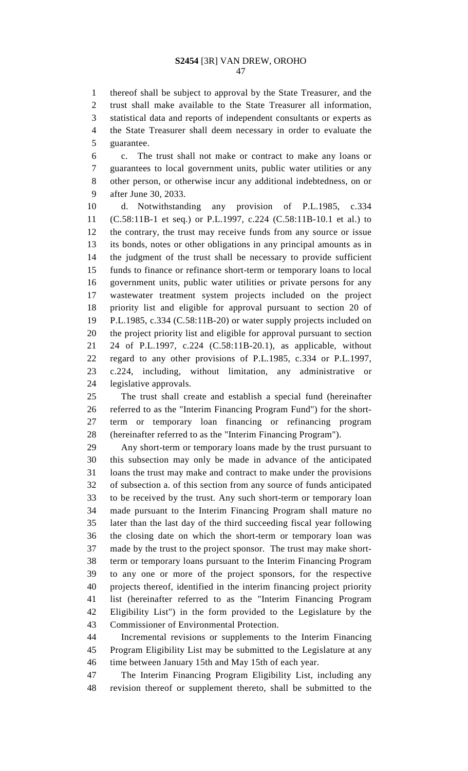1 thereof shall be subject to approval by the State Treasurer, and the 2 trust shall make available to the State Treasurer all information, 3 statistical data and reports of independent consultants or experts as 4 the State Treasurer shall deem necessary in order to evaluate the 5 guarantee.

6 c. The trust shall not make or contract to make any loans or 7 guarantees to local government units, public water utilities or any 8 other person, or otherwise incur any additional indebtedness, on or 9 after June 30, 2033.

10 d. Notwithstanding any provision of P.L.1985, c.334 11 (C.58:11B-1 et seq.) or P.L.1997, c.224 (C.58:11B-10.1 et al.) to 12 the contrary, the trust may receive funds from any source or issue 13 its bonds, notes or other obligations in any principal amounts as in 14 the judgment of the trust shall be necessary to provide sufficient 15 funds to finance or refinance short-term or temporary loans to local 16 government units, public water utilities or private persons for any 17 wastewater treatment system projects included on the project 18 priority list and eligible for approval pursuant to section 20 of 19 P.L.1985, c.334 (C.58:11B-20) or water supply projects included on 20 the project priority list and eligible for approval pursuant to section 21 24 of P.L.1997, c.224 (C.58:11B-20.1), as applicable, without 22 regard to any other provisions of P.L.1985, c.334 or P.L.1997, 23 c.224, including, without limitation, any administrative or 24 legislative approvals.

25 The trust shall create and establish a special fund (hereinafter 26 referred to as the "Interim Financing Program Fund") for the short-27 term or temporary loan financing or refinancing program 28 (hereinafter referred to as the "Interim Financing Program").

29 Any short-term or temporary loans made by the trust pursuant to 30 this subsection may only be made in advance of the anticipated 31 loans the trust may make and contract to make under the provisions 32 of subsection a. of this section from any source of funds anticipated 33 to be received by the trust. Any such short-term or temporary loan 34 made pursuant to the Interim Financing Program shall mature no 35 later than the last day of the third succeeding fiscal year following 36 the closing date on which the short-term or temporary loan was 37 made by the trust to the project sponsor. The trust may make short-38 term or temporary loans pursuant to the Interim Financing Program 39 to any one or more of the project sponsors, for the respective 40 projects thereof, identified in the interim financing project priority 41 list (hereinafter referred to as the "Interim Financing Program 42 Eligibility List") in the form provided to the Legislature by the 43 Commissioner of Environmental Protection.

44 Incremental revisions or supplements to the Interim Financing 45 Program Eligibility List may be submitted to the Legislature at any 46 time between January 15th and May 15th of each year.

47 The Interim Financing Program Eligibility List, including any 48 revision thereof or supplement thereto, shall be submitted to the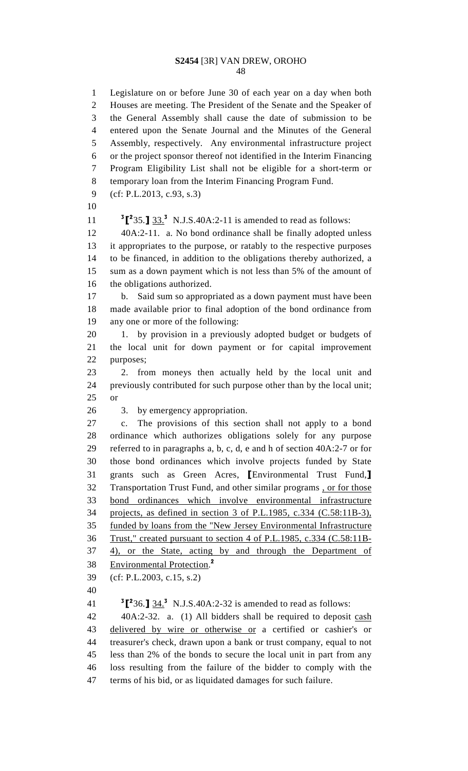1 Legislature on or before June 30 of each year on a day when both 2 Houses are meeting. The President of the Senate and the Speaker of 3 the General Assembly shall cause the date of submission to be 4 entered upon the Senate Journal and the Minutes of the General 5 Assembly, respectively. Any environmental infrastructure project 6 or the project sponsor thereof not identified in the Interim Financing 7 Program Eligibility List shall not be eligible for a short-term or 8 temporary loan from the Interim Financing Program Fund. 9 (cf: P.L.2013, c.93, s.3) 10 11  ${}^{3}$ [<sup>2</sup>35.]  $33.^{3}$  N.J.S.40A:2-11 is amended to read as follows: 12 40A:2-11. a. No bond ordinance shall be finally adopted unless 13 it appropriates to the purpose, or ratably to the respective purposes 14 to be financed, in addition to the obligations thereby authorized, a 15 sum as a down payment which is not less than 5% of the amount of 16 the obligations authorized. 17 b. Said sum so appropriated as a down payment must have been 18 made available prior to final adoption of the bond ordinance from 19 any one or more of the following: 20 1. by provision in a previously adopted budget or budgets of 21 the local unit for down payment or for capital improvement 22 purposes; 23 2. from moneys then actually held by the local unit and 24 previously contributed for such purpose other than by the local unit; 25 or 26 3. by emergency appropriation. 27 c. The provisions of this section shall not apply to a bond 28 ordinance which authorizes obligations solely for any purpose 29 referred to in paragraphs a, b, c, d, e and h of section 40A:2-7 or for 30 those bond ordinances which involve projects funded by State 31 grants such as Green Acres, [Environmental Trust Fund,] 32 Transportation Trust Fund, and other similar programs , or for those 33 bond ordinances which involve environmental infrastructure 34 projects, as defined in section 3 of P.L.1985, c.334 (C.58:11B-3), 35 funded by loans from the "New Jersey Environmental Infrastructure 36 Trust," created pursuant to section 4 of P.L.1985, c.334 (C.58:11B-37 4), or the State, acting by and through the Department of 38 Environmental Protection.<sup>2</sup> 39 (cf: P.L.2003, c.15, s.2) 40  $3\binom{3}{2}$   $34$ .  $\binom{3}{4}$  N.J.S.40A:2-32 is amended to read as follows: 42 40A:2-32. a. (1) All bidders shall be required to deposit cash 43 delivered by wire or otherwise or a certified or cashier's or 44 treasurer's check, drawn upon a bank or trust company, equal to not 45 less than 2% of the bonds to secure the local unit in part from any 46 loss resulting from the failure of the bidder to comply with the 47 terms of his bid, or as liquidated damages for such failure.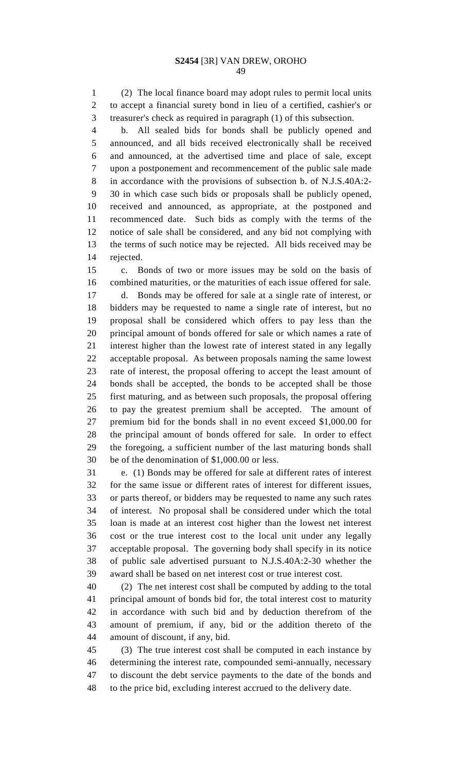1 (2) The local finance board may adopt rules to permit local units 2 to accept a financial surety bond in lieu of a certified, cashier's or 3 treasurer's check as required in paragraph (1) of this subsection.

4 b. All sealed bids for bonds shall be publicly opened and 5 announced, and all bids received electronically shall be received 6 and announced, at the advertised time and place of sale, except 7 upon a postponement and recommencement of the public sale made 8 in accordance with the provisions of subsection b. of N.J.S.40A:2- 9 30 in which case such bids or proposals shall be publicly opened, 10 received and announced, as appropriate, at the postponed and 11 recommenced date. Such bids as comply with the terms of the 12 notice of sale shall be considered, and any bid not complying with 13 the terms of such notice may be rejected. All bids received may be 14 rejected.

15 c. Bonds of two or more issues may be sold on the basis of 16 combined maturities, or the maturities of each issue offered for sale.

17 d. Bonds may be offered for sale at a single rate of interest, or 18 bidders may be requested to name a single rate of interest, but no 19 proposal shall be considered which offers to pay less than the 20 principal amount of bonds offered for sale or which names a rate of 21 interest higher than the lowest rate of interest stated in any legally 22 acceptable proposal. As between proposals naming the same lowest 23 rate of interest, the proposal offering to accept the least amount of 24 bonds shall be accepted, the bonds to be accepted shall be those 25 first maturing, and as between such proposals, the proposal offering 26 to pay the greatest premium shall be accepted. The amount of 27 premium bid for the bonds shall in no event exceed \$1,000.00 for 28 the principal amount of bonds offered for sale. In order to effect 29 the foregoing, a sufficient number of the last maturing bonds shall 30 be of the denomination of \$1,000.00 or less.

31 e. (1) Bonds may be offered for sale at different rates of interest 32 for the same issue or different rates of interest for different issues, 33 or parts thereof, or bidders may be requested to name any such rates 34 of interest. No proposal shall be considered under which the total 35 loan is made at an interest cost higher than the lowest net interest 36 cost or the true interest cost to the local unit under any legally 37 acceptable proposal. The governing body shall specify in its notice 38 of public sale advertised pursuant to N.J.S.40A:2-30 whether the 39 award shall be based on net interest cost or true interest cost.

40 (2) The net interest cost shall be computed by adding to the total 41 principal amount of bonds bid for, the total interest cost to maturity 42 in accordance with such bid and by deduction therefrom of the 43 amount of premium, if any, bid or the addition thereto of the 44 amount of discount, if any, bid.

45 (3) The true interest cost shall be computed in each instance by 46 determining the interest rate, compounded semi-annually, necessary 47 to discount the debt service payments to the date of the bonds and 48 to the price bid, excluding interest accrued to the delivery date.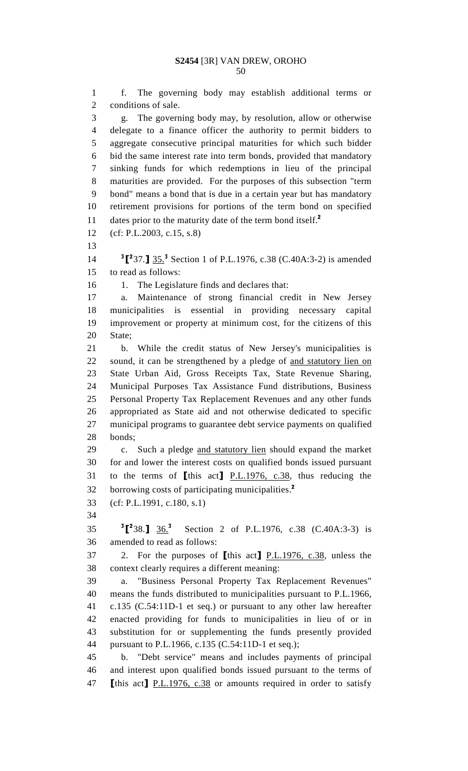1 f. The governing body may establish additional terms or 2 conditions of sale. 3 g. The governing body may, by resolution, allow or otherwise 4 delegate to a finance officer the authority to permit bidders to 5 aggregate consecutive principal maturities for which such bidder 6 bid the same interest rate into term bonds, provided that mandatory 7 sinking funds for which redemptions in lieu of the principal 8 maturities are provided. For the purposes of this subsection "term 9 bond" means a bond that is due in a certain year but has mandatory 10 retirement provisions for portions of the term bond on specified 11 dates prior to the maturity date of the term bond itself.<sup>2</sup> 12 (cf: P.L.2003, c.15, s.8) 13 14  ${}^{3}$ [<sup>2</sup>37.]  $35.^{3}$  Section 1 of P.L.1976, c.38 (C.40A:3-2) is amended 15 to read as follows: 16 1. The Legislature finds and declares that: 17 a. Maintenance of strong financial credit in New Jersey 18 municipalities is essential in providing necessary capital 19 improvement or property at minimum cost, for the citizens of this 20 State; 21 b. While the credit status of New Jersey's municipalities is 22 sound, it can be strengthened by a pledge of and statutory lien on 23 State Urban Aid, Gross Receipts Tax, State Revenue Sharing, 24 Municipal Purposes Tax Assistance Fund distributions, Business 25 Personal Property Tax Replacement Revenues and any other funds 26 appropriated as State aid and not otherwise dedicated to specific 27 municipal programs to guarantee debt service payments on qualified 28 bonds; 29 c. Such a pledge and statutory lien should expand the market 30 for and lower the interest costs on qualified bonds issued pursuant 31 to the terms of [this act] P.L.1976, c.38, thus reducing the 32 borrowing costs of participating municipalities.<sup>2</sup> 33 (cf: P.L.1991, c.180, s.1) 34  $\rm ^3\Gamma^2$ 35  $\frac{3}{2}$   $\frac{36.3}{3}$  Section 2 of P.L.1976, c.38 (C.40A:3-3) is 36 amended to read as follows: 37 2. For the purposes of [this act] P.L.1976, c.38, unless the 38 context clearly requires a different meaning: 39 a. "Business Personal Property Tax Replacement Revenues" 40 means the funds distributed to municipalities pursuant to P.L.1966, 41 c.135 (C.54:11D-1 et seq.) or pursuant to any other law hereafter 42 enacted providing for funds to municipalities in lieu of or in 43 substitution for or supplementing the funds presently provided 44 pursuant to P.L.1966, c.135 (C.54:11D-1 et seq.); 45 b. "Debt service" means and includes payments of principal

46 and interest upon qualified bonds issued pursuant to the terms of 47 **[this act] P.L.1976, c.38** or amounts required in order to satisfy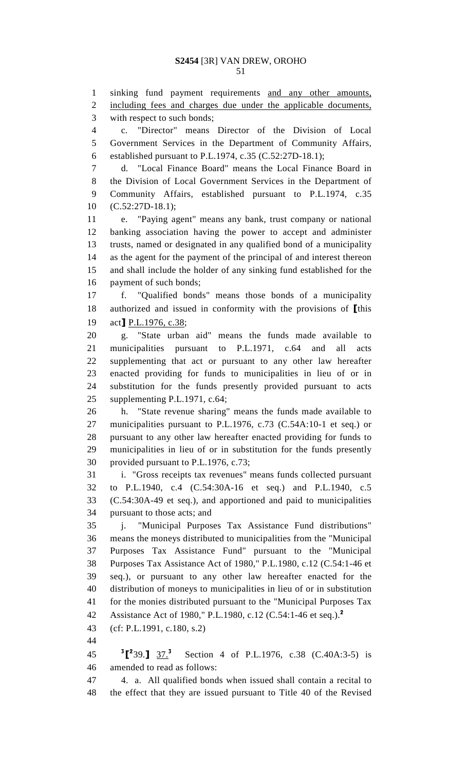1 sinking fund payment requirements and any other amounts, 2 including fees and charges due under the applicable documents, 3 with respect to such bonds; 4 c. "Director" means Director of the Division of Local 5 Government Services in the Department of Community Affairs, 6 established pursuant to P.L.1974, c.35 (C.52:27D-18.1); 7 d. "Local Finance Board" means the Local Finance Board in 8 the Division of Local Government Services in the Department of 9 Community Affairs, established pursuant to P.L.1974, c.35 10 (C.52:27D-18.1); 11 e. "Paying agent" means any bank, trust company or national 12 banking association having the power to accept and administer 13 trusts, named or designated in any qualified bond of a municipality 14 as the agent for the payment of the principal of and interest thereon 15 and shall include the holder of any sinking fund established for the 16 payment of such bonds; 17 f. "Qualified bonds" means those bonds of a municipality 18 authorized and issued in conformity with the provisions of [this 19 act**]** P.L.1976, c.38; 20 g. "State urban aid" means the funds made available to 21 municipalities pursuant to P.L.1971, c.64 and all acts 22 supplementing that act or pursuant to any other law hereafter 23 enacted providing for funds to municipalities in lieu of or in 24 substitution for the funds presently provided pursuant to acts 25 supplementing P.L.1971, c.64; 26 h. "State revenue sharing" means the funds made available to 27 municipalities pursuant to P.L.1976, c.73 (C.54A:10-1 et seq.) or 28 pursuant to any other law hereafter enacted providing for funds to 29 municipalities in lieu of or in substitution for the funds presently 30 provided pursuant to P.L.1976, c.73; 31 i. "Gross receipts tax revenues" means funds collected pursuant 32 to P.L.1940, c.4 (C.54:30A-16 et seq.) and P.L.1940, c.5 33 (C.54:30A-49 et seq.), and apportioned and paid to municipalities 34 pursuant to those acts; and 35 j. "Municipal Purposes Tax Assistance Fund distributions" 36 means the moneys distributed to municipalities from the "Municipal 37 Purposes Tax Assistance Fund" pursuant to the "Municipal 38 Purposes Tax Assistance Act of 1980," P.L.1980, c.12 (C.54:1-46 et 39 seq.), or pursuant to any other law hereafter enacted for the 40 distribution of moneys to municipalities in lieu of or in substitution 41 for the monies distributed pursuant to the "Municipal Purposes Tax 42 Assistance Act of 1980," P.L.1980, c.12 (C.54:1-46 et seq.).<sup>2</sup> 43 (cf: P.L.1991, c.180, s.2) 44  $\rm ^3\Gamma^2$ 45 <sup>3</sup>[<sup>2</sup>39.] 37.<sup>3</sup> Section 4 of P.L.1976, c.38 (C.40A:3-5) is 46 amended to read as follows: 47 4. a. All qualified bonds when issued shall contain a recital to 48 the effect that they are issued pursuant to Title 40 of the Revised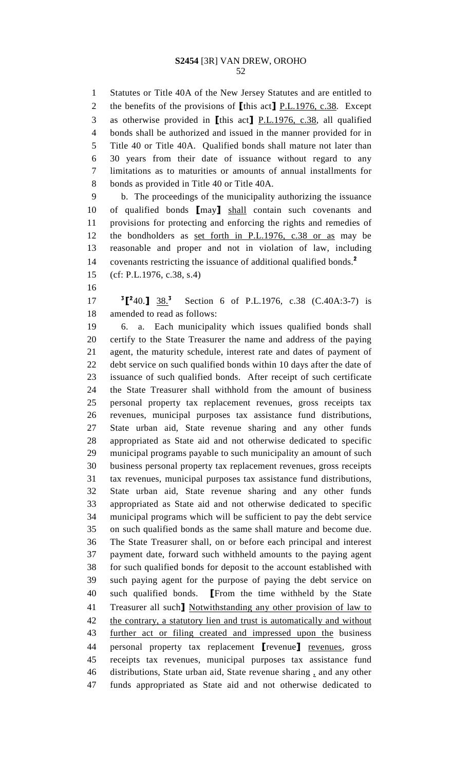1 Statutes or Title 40A of the New Jersey Statutes and are entitled to 2 the benefits of the provisions of [this act] P.L.1976, c.38. Except 3 as otherwise provided in [this act] P.L.1976, c.38, all qualified 4 bonds shall be authorized and issued in the manner provided for in 5 Title 40 or Title 40A. Qualified bonds shall mature not later than 6 30 years from their date of issuance without regard to any 7 limitations as to maturities or amounts of annual installments for 8 bonds as provided in Title 40 or Title 40A.

9 b. The proceedings of the municipality authorizing the issuance 10 of qualified bonds [may] shall contain such covenants and 11 provisions for protecting and enforcing the rights and remedies of 12 the bondholders as set forth in P.L.1976, c.38 or as may be 13 reasonable and proper and not in violation of law, including 14 covenants restricting the issuance of additional qualified bonds. $^2$ 

15 (cf: P.L.1976, c.38, s.4)

16

17  ${}^{3}$ [<sup>2</sup>40.]  ${}^{3}$ 8.<sup>3</sup> Section 6 of P.L.1976, c.38 (C.40A:3-7) is 18 amended to read as follows:

19 6. a. Each municipality which issues qualified bonds shall 20 certify to the State Treasurer the name and address of the paying 21 agent, the maturity schedule, interest rate and dates of payment of 22 debt service on such qualified bonds within 10 days after the date of 23 issuance of such qualified bonds. After receipt of such certificate 24 the State Treasurer shall withhold from the amount of business 25 personal property tax replacement revenues, gross receipts tax 26 revenues, municipal purposes tax assistance fund distributions, 27 State urban aid, State revenue sharing and any other funds 28 appropriated as State aid and not otherwise dedicated to specific 29 municipal programs payable to such municipality an amount of such 30 business personal property tax replacement revenues, gross receipts 31 tax revenues, municipal purposes tax assistance fund distributions, 32 State urban aid, State revenue sharing and any other funds 33 appropriated as State aid and not otherwise dedicated to specific 34 municipal programs which will be sufficient to pay the debt service 35 on such qualified bonds as the same shall mature and become due. 36 The State Treasurer shall, on or before each principal and interest 37 payment date, forward such withheld amounts to the paying agent 38 for such qualified bonds for deposit to the account established with 39 such paying agent for the purpose of paying the debt service on 40 such qualified bonds. [From the time withheld by the State 41 Treasurer all such] Notwithstanding any other provision of law to 42 the contrary, a statutory lien and trust is automatically and without 43 further act or filing created and impressed upon the business 44 personal property tax replacement [revenue] revenues, gross 45 receipts tax revenues, municipal purposes tax assistance fund 46 distributions, State urban aid, State revenue sharing , and any other 47 funds appropriated as State aid and not otherwise dedicated to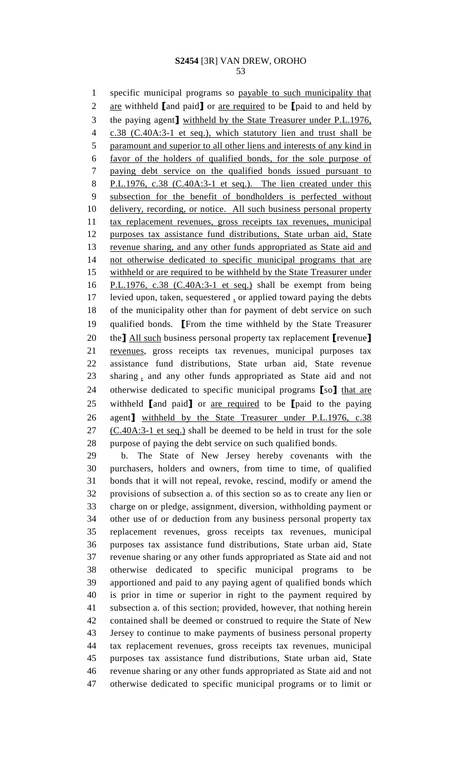1 specific municipal programs so payable to such municipality that 2 are withheld [and paid] or are required to be [paid to and held by 3 the paying agent] withheld by the State Treasurer under P.L.1976, 4 c.38 (C.40A:3-1 et seq.), which statutory lien and trust shall be 5 paramount and superior to all other liens and interests of any kind in 6 favor of the holders of qualified bonds, for the sole purpose of 7 paying debt service on the qualified bonds issued pursuant to 8 P.L.1976, c.38 (C.40A:3-1 et seq.). The lien created under this 9 subsection for the benefit of bondholders is perfected without 10 delivery, recording, or notice. All such business personal property 11 tax replacement revenues, gross receipts tax revenues, municipal 12 purposes tax assistance fund distributions, State urban aid, State 13 revenue sharing, and any other funds appropriated as State aid and 14 not otherwise dedicated to specific municipal programs that are 15 withheld or are required to be withheld by the State Treasurer under 16 P.L.1976, c.38 (C.40A:3-1 et seq.) shall be exempt from being 17 levied upon, taken, sequestered , or applied toward paying the debts 18 of the municipality other than for payment of debt service on such 19 qualified bonds. [From the time withheld by the State Treasurer 20 the<sup>d</sup> All such business personal property tax replacement [revenue] 21 revenues, gross receipts tax revenues, municipal purposes tax 22 assistance fund distributions, State urban aid, State revenue 23 sharing , and any other funds appropriated as State aid and not 24 otherwise dedicated to specific municipal programs [so] that are 25 withheld [and paid] or are required to be [paid to the paying 26 agent] withheld by the State Treasurer under P.L.1976, c.38 27 (C.40A:3-1 et seq.) shall be deemed to be held in trust for the sole 28 purpose of paying the debt service on such qualified bonds.

29 b. The State of New Jersey hereby covenants with the 30 purchasers, holders and owners, from time to time, of qualified 31 bonds that it will not repeal, revoke, rescind, modify or amend the 32 provisions of subsection a. of this section so as to create any lien or 33 charge on or pledge, assignment, diversion, withholding payment or 34 other use of or deduction from any business personal property tax 35 replacement revenues, gross receipts tax revenues, municipal 36 purposes tax assistance fund distributions, State urban aid, State 37 revenue sharing or any other funds appropriated as State aid and not 38 otherwise dedicated to specific municipal programs to be 39 apportioned and paid to any paying agent of qualified bonds which 40 is prior in time or superior in right to the payment required by 41 subsection a. of this section; provided, however, that nothing herein 42 contained shall be deemed or construed to require the State of New 43 Jersey to continue to make payments of business personal property 44 tax replacement revenues, gross receipts tax revenues, municipal 45 purposes tax assistance fund distributions, State urban aid, State 46 revenue sharing or any other funds appropriated as State aid and not 47 otherwise dedicated to specific municipal programs or to limit or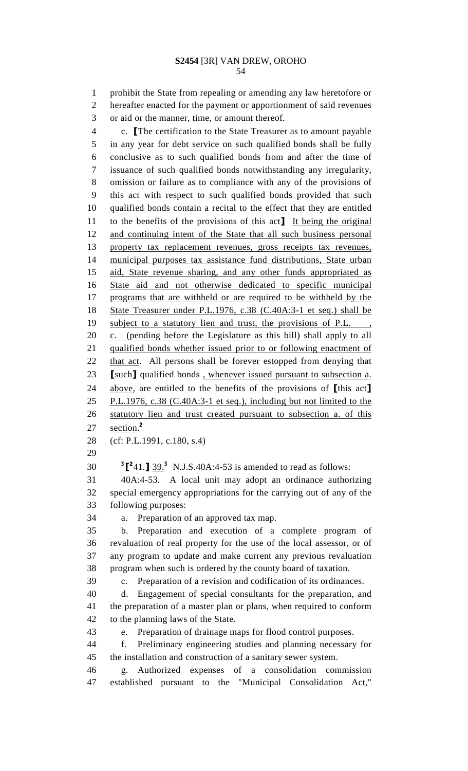54

1 prohibit the State from repealing or amending any law heretofore or 2 hereafter enacted for the payment or apportionment of said revenues

3 or aid or the manner, time, or amount thereof.

4 c. [The certification to the State Treasurer as to amount payable 5 in any year for debt service on such qualified bonds shall be fully 6 conclusive as to such qualified bonds from and after the time of 7 issuance of such qualified bonds notwithstanding any irregularity, 8 omission or failure as to compliance with any of the provisions of 9 this act with respect to such qualified bonds provided that such 10 qualified bonds contain a recital to the effect that they are entitled 11 to the benefits of the provisions of this act] It being the original 12 and continuing intent of the State that all such business personal 13 property tax replacement revenues, gross receipts tax revenues, 14 municipal purposes tax assistance fund distributions, State urban 15 aid, State revenue sharing, and any other funds appropriated as 16 State aid and not otherwise dedicated to specific municipal 17 programs that are withheld or are required to be withheld by the 18 State Treasurer under P.L.1976, c.38 (C.40A:3-1 et seq.) shall be 19 subject to a statutory lien and trust, the provisions of P.L., 20 c. (pending before the Legislature as this bill) shall apply to all 21 qualified bonds whether issued prior to or following enactment of 22 that act. All persons shall be forever estopped from denying that 23 [such] qualified bonds , whenever issued pursuant to subsection a. 24 above, are entitled to the benefits of the provisions of [this act] 25 P.L.1976, c.38 (C.40A:3-1 et seq.), including but not limited to the 26 statutory lien and trust created pursuant to subsection a. of this 27 section.<sup>2</sup> 28 (cf: P.L.1991, c.180, s.4) 29  $30 \qquad \begin{array}{c} \n\text{3} \text{I}^2 \{11, 12, 39. \} \n\end{array}$  N.J.S.40A:4-53 is amended to read as follows: 31 40A:4-53. A local unit may adopt an ordinance authorizing 32 special emergency appropriations for the carrying out of any of the 33 following purposes: 34 a. Preparation of an approved tax map. 35 b. Preparation and execution of a complete program of 36 revaluation of real property for the use of the local assessor, or of 37 any program to update and make current any previous revaluation 38 program when such is ordered by the county board of taxation. 39 c. Preparation of a revision and codification of its ordinances. 40 d. Engagement of special consultants for the preparation, and 41 the preparation of a master plan or plans, when required to conform 42 to the planning laws of the State. 43 e. Preparation of drainage maps for flood control purposes. 44 f. Preliminary engineering studies and planning necessary for 45 the installation and construction of a sanitary sewer system. 46 g. Authorized expenses of a consolidation commission 47 established pursuant to the "Municipal Consolidation Act,"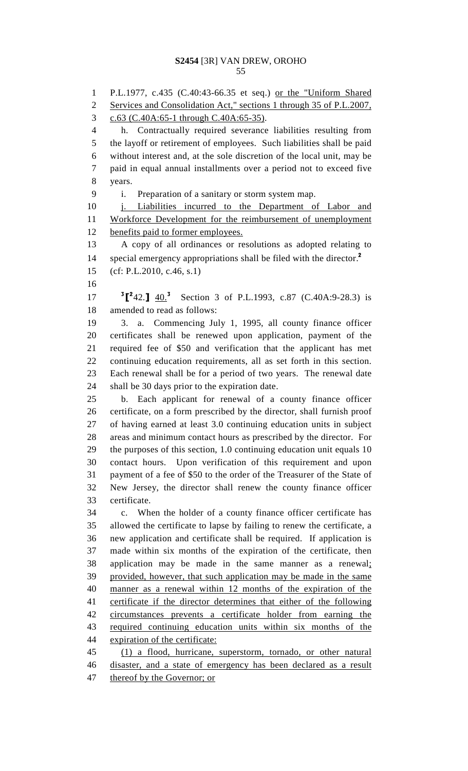1 P.L.1977, c.435 (C.40:43-66.35 et seq.) or the "Uniform Shared 2 Services and Consolidation Act," sections 1 through 35 of P.L.2007, 3 c.63 (C.40A:65-1 through C.40A:65-35). 4 h. Contractually required severance liabilities resulting from 5 the layoff or retirement of employees. Such liabilities shall be paid 6 without interest and, at the sole discretion of the local unit, may be 7 paid in equal annual installments over a period not to exceed five 8 years. 9 i. Preparation of a sanitary or storm system map. 10 *j.* Liabilities incurred to the Department of Labor and 11 Workforce Development for the reimbursement of unemployment 12 benefits paid to former employees. 13 A copy of all ordinances or resolutions as adopted relating to 14 special emergency appropriations shall be filed with the director.<sup>2</sup> 15 (cf: P.L.2010, c.46, s.1) 16  $\rm ^3\Gamma^2$ 17  ${}^{3}$ [<sup>2</sup>42.]  ${}^{4}$  0.<sup>3</sup> Section 3 of P.L.1993, c.87 (C.40A:9-28.3) is 18 amended to read as follows: 19 3. a. Commencing July 1, 1995, all county finance officer 20 certificates shall be renewed upon application, payment of the 21 required fee of \$50 and verification that the applicant has met 22 continuing education requirements, all as set forth in this section. 23 Each renewal shall be for a period of two years. The renewal date 24 shall be 30 days prior to the expiration date. 25 b. Each applicant for renewal of a county finance officer 26 certificate, on a form prescribed by the director, shall furnish proof 27 of having earned at least 3.0 continuing education units in subject 28 areas and minimum contact hours as prescribed by the director. For 29 the purposes of this section, 1.0 continuing education unit equals 10 30 contact hours. Upon verification of this requirement and upon 31 payment of a fee of \$50 to the order of the Treasurer of the State of 32 New Jersey, the director shall renew the county finance officer 33 certificate. 34 c. When the holder of a county finance officer certificate has 35 allowed the certificate to lapse by failing to renew the certificate, a 36 new application and certificate shall be required. If application is 37 made within six months of the expiration of the certificate, then 38 application may be made in the same manner as a renewal; 39 provided, however, that such application may be made in the same 40 manner as a renewal within 12 months of the expiration of the 41 certificate if the director determines that either of the following 42 circumstances prevents a certificate holder from earning the 43 required continuing education units within six months of the 44 expiration of the certificate: 45 (1) a flood, hurricane, superstorm, tornado, or other natural 46 disaster, and a state of emergency has been declared as a result

47 thereof by the Governor; or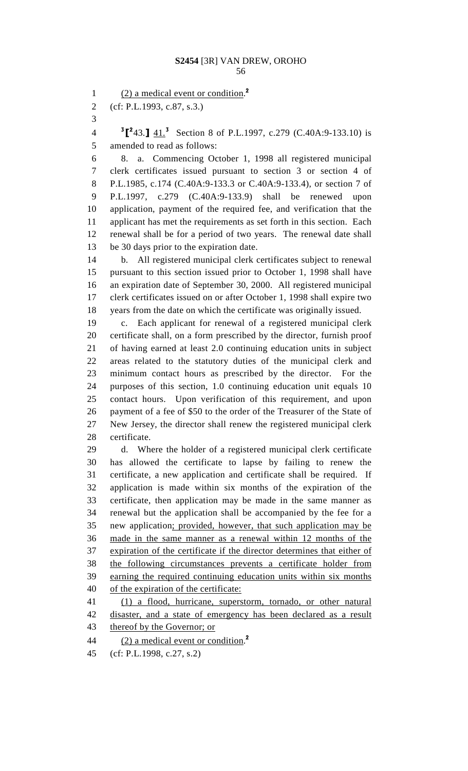1  $(2)$  a medical event or condition.<sup>2</sup>

2 (cf: P.L.1993, c.87, s.3.)

3

 $\frac{3}{2}$   $\frac{243.1 \times 10^{3} \text{ } \text{Section 8 of P.L.1997, c.279 (C.40A:9-133.10) is}$ 5 amended to read as follows:

6 8. a. Commencing October 1, 1998 all registered municipal 7 clerk certificates issued pursuant to section 3 or section 4 of 8 P.L.1985, c.174 (C.40A:9-133.3 or C.40A:9-133.4), or section 7 of 9 P.L.1997, c.279 (C.40A:9-133.9) shall be renewed upon 10 application, payment of the required fee, and verification that the 11 applicant has met the requirements as set forth in this section. Each 12 renewal shall be for a period of two years. The renewal date shall 13 be 30 days prior to the expiration date.

14 b. All registered municipal clerk certificates subject to renewal 15 pursuant to this section issued prior to October 1, 1998 shall have 16 an expiration date of September 30, 2000. All registered municipal 17 clerk certificates issued on or after October 1, 1998 shall expire two 18 years from the date on which the certificate was originally issued.

19 c. Each applicant for renewal of a registered municipal clerk 20 certificate shall, on a form prescribed by the director, furnish proof 21 of having earned at least 2.0 continuing education units in subject 22 areas related to the statutory duties of the municipal clerk and 23 minimum contact hours as prescribed by the director. For the 24 purposes of this section, 1.0 continuing education unit equals 10 25 contact hours. Upon verification of this requirement, and upon 26 payment of a fee of \$50 to the order of the Treasurer of the State of 27 New Jersey, the director shall renew the registered municipal clerk 28 certificate.

29 d. Where the holder of a registered municipal clerk certificate 30 has allowed the certificate to lapse by failing to renew the 31 certificate, a new application and certificate shall be required. If 32 application is made within six months of the expiration of the 33 certificate, then application may be made in the same manner as 34 renewal but the application shall be accompanied by the fee for a 35 new application; provided, however, that such application may be 36 made in the same manner as a renewal within 12 months of the 37 expiration of the certificate if the director determines that either of 38 the following circumstances prevents a certificate holder from 39 earning the required continuing education units within six months 40 of the expiration of the certificate:

41 (1) a flood, hurricane, superstorm, tornado, or other natural 42 disaster, and a state of emergency has been declared as a result 43 thereof by the Governor; or

44  $(2)$  a medical event or condition.<sup>2</sup>

45 (cf: P.L.1998, c.27, s.2)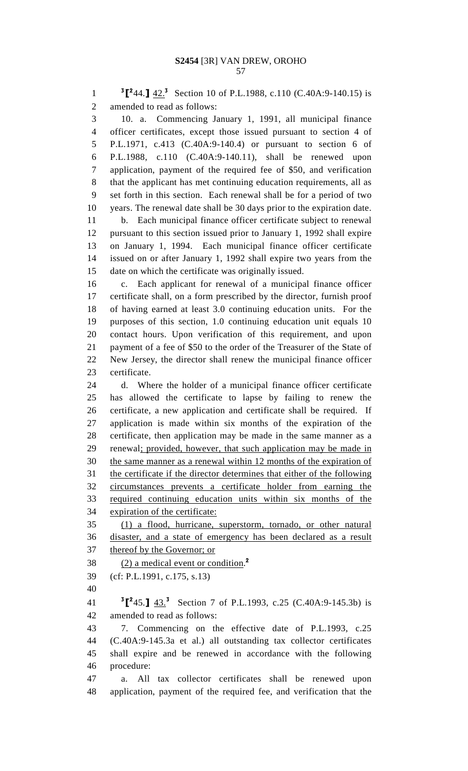$1 \qquad \qquad$ <sup>3</sup>[<sup>2</sup>44.]  $\frac{42.3}{1}$  Section 10 of P.L.1988, c.110 (C.40A:9-140.15) is 2 amended to read as follows: 3 10. a. Commencing January 1, 1991, all municipal finance 4 officer certificates, except those issued pursuant to section 4 of 5 P.L.1971, c.413 (C.40A:9-140.4) or pursuant to section 6 of 6 P.L.1988, c.110 (C.40A:9-140.11), shall be renewed upon 7 application, payment of the required fee of \$50, and verification 8 that the applicant has met continuing education requirements, all as 9 set forth in this section. Each renewal shall be for a period of two 10 years. The renewal date shall be 30 days prior to the expiration date. 11 b. Each municipal finance officer certificate subject to renewal 12 pursuant to this section issued prior to January 1, 1992 shall expire 13 on January 1, 1994. Each municipal finance officer certificate 14 issued on or after January 1, 1992 shall expire two years from the 15 date on which the certificate was originally issued. 16 c. Each applicant for renewal of a municipal finance officer 17 certificate shall, on a form prescribed by the director, furnish proof 18 of having earned at least 3.0 continuing education units. For the 19 purposes of this section, 1.0 continuing education unit equals 10 20 contact hours. Upon verification of this requirement, and upon 21 payment of a fee of \$50 to the order of the Treasurer of the State of 22 New Jersey, the director shall renew the municipal finance officer 23 certificate. 24 d. Where the holder of a municipal finance officer certificate 25 has allowed the certificate to lapse by failing to renew the 26 certificate, a new application and certificate shall be required. If 27 application is made within six months of the expiration of the 28 certificate, then application may be made in the same manner as a 29 renewal; provided, however, that such application may be made in 30 the same manner as a renewal within 12 months of the expiration of 31 the certificate if the director determines that either of the following 32 circumstances prevents a certificate holder from earning the 33 required continuing education units within six months of the 34 expiration of the certificate: 35 (1) a flood, hurricane, superstorm, tornado, or other natural 36 disaster, and a state of emergency has been declared as a result 37 thereof by the Governor; or 38 (2) a medical event or condition.<sup>2</sup> 39 (cf: P.L.1991, c.175, s.13) 40 41  $\frac{3}{2}$   $\frac{43.3}{43}$  Section 7 of P.L.1993, c.25 (C.40A:9-145.3b) is 42 amended to read as follows: 43 7. Commencing on the effective date of P.L.1993, c.25 44 (C.40A:9-145.3a et al.) all outstanding tax collector certificates 45 shall expire and be renewed in accordance with the following 46 procedure: 47 a. All tax collector certificates shall be renewed upon 48 application, payment of the required fee, and verification that the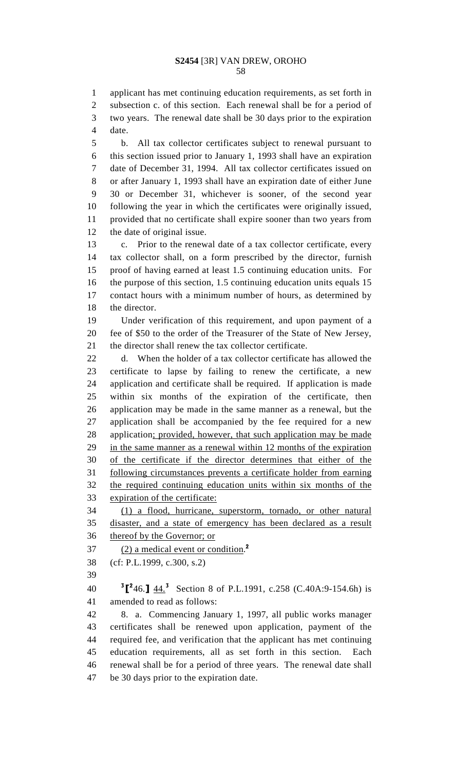1 applicant has met continuing education requirements, as set forth in 2 subsection c. of this section. Each renewal shall be for a period of 3 two years. The renewal date shall be 30 days prior to the expiration 4 date.

5 b. All tax collector certificates subject to renewal pursuant to 6 this section issued prior to January 1, 1993 shall have an expiration 7 date of December 31, 1994. All tax collector certificates issued on 8 or after January 1, 1993 shall have an expiration date of either June 9 30 or December 31, whichever is sooner, of the second year 10 following the year in which the certificates were originally issued, 11 provided that no certificate shall expire sooner than two years from 12 the date of original issue.

13 c. Prior to the renewal date of a tax collector certificate, every 14 tax collector shall, on a form prescribed by the director, furnish 15 proof of having earned at least 1.5 continuing education units. For 16 the purpose of this section, 1.5 continuing education units equals 15 17 contact hours with a minimum number of hours, as determined by 18 the director.

19 Under verification of this requirement, and upon payment of a 20 fee of \$50 to the order of the Treasurer of the State of New Jersey, 21 the director shall renew the tax collector certificate.

22 d. When the holder of a tax collector certificate has allowed the 23 certificate to lapse by failing to renew the certificate, a new 24 application and certificate shall be required. If application is made 25 within six months of the expiration of the certificate, then 26 application may be made in the same manner as a renewal, but the 27 application shall be accompanied by the fee required for a new 28 application; provided, however, that such application may be made 29 in the same manner as a renewal within 12 months of the expiration 30 of the certificate if the director determines that either of the 31 following circumstances prevents a certificate holder from earning 32 the required continuing education units within six months of the 33 expiration of the certificate:

34 (1) a flood, hurricane, superstorm, tornado, or other natural 35 disaster, and a state of emergency has been declared as a result 36 thereof by the Governor; or

37 (2) a medical event or condition.<sup>2</sup>

- 38 (cf: P.L.1999, c.300, s.2)
- 39

40  $\textbf{3}$   $\textbf{2}^{2}$ 46.  $\textbf{3}$   $\textbf{4}^{3}$  Section 8 of P.L.1991, c.258 (C.40A:9-154.6h) is 41 amended to read as follows:

42 8. a. Commencing January 1, 1997, all public works manager 43 certificates shall be renewed upon application, payment of the 44 required fee, and verification that the applicant has met continuing 45 education requirements, all as set forth in this section. Each 46 renewal shall be for a period of three years. The renewal date shall 47 be 30 days prior to the expiration date.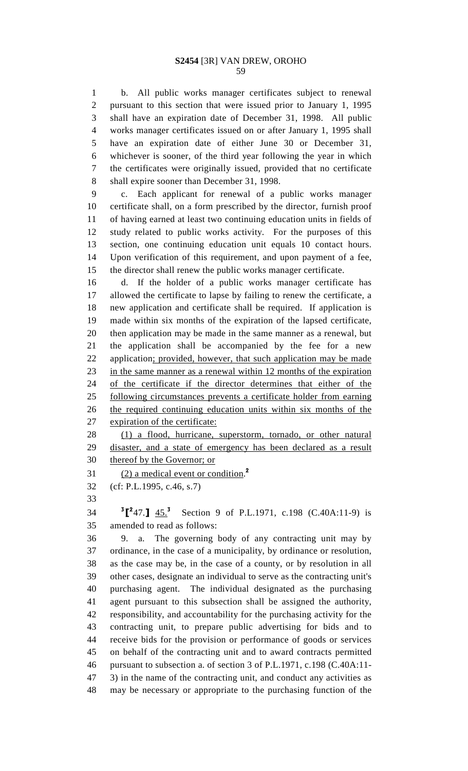1 b. All public works manager certificates subject to renewal 2 pursuant to this section that were issued prior to January 1, 1995 3 shall have an expiration date of December 31, 1998. All public 4 works manager certificates issued on or after January 1, 1995 shall 5 have an expiration date of either June 30 or December 31, 6 whichever is sooner, of the third year following the year in which 7 the certificates were originally issued, provided that no certificate 8 shall expire sooner than December 31, 1998.

9 c. Each applicant for renewal of a public works manager 10 certificate shall, on a form prescribed by the director, furnish proof 11 of having earned at least two continuing education units in fields of 12 study related to public works activity. For the purposes of this 13 section, one continuing education unit equals 10 contact hours. 14 Upon verification of this requirement, and upon payment of a fee, 15 the director shall renew the public works manager certificate.

16 d. If the holder of a public works manager certificate has 17 allowed the certificate to lapse by failing to renew the certificate, a 18 new application and certificate shall be required. If application is 19 made within six months of the expiration of the lapsed certificate, 20 then application may be made in the same manner as a renewal, but 21 the application shall be accompanied by the fee for a new 22 application; provided, however, that such application may be made 23 in the same manner as a renewal within 12 months of the expiration 24 of the certificate if the director determines that either of the 25 following circumstances prevents a certificate holder from earning 26 the required continuing education units within six months of the 27 expiration of the certificate:

28 (1) a flood, hurricane, superstorm, tornado, or other natural 29 disaster, and a state of emergency has been declared as a result 30 thereof by the Governor; or

31  $(2)$  a medical event or condition.<sup>2</sup>

32 (cf: P.L.1995, c.46, s.7)

33

 $\rm ^3\Gamma^2$ 34 <sup>3</sup><sup>[2</sup>47.]  $45.\overline{3}$  Section 9 of P.L.1971, c.198 (C.40A:11-9) is 35 amended to read as follows:

36 9. a. The governing body of any contracting unit may by 37 ordinance, in the case of a municipality, by ordinance or resolution, 38 as the case may be, in the case of a county, or by resolution in all 39 other cases, designate an individual to serve as the contracting unit's 40 purchasing agent. The individual designated as the purchasing 41 agent pursuant to this subsection shall be assigned the authority, 42 responsibility, and accountability for the purchasing activity for the 43 contracting unit, to prepare public advertising for bids and to 44 receive bids for the provision or performance of goods or services 45 on behalf of the contracting unit and to award contracts permitted 46 pursuant to subsection a. of section 3 of P.L.1971, c.198 (C.40A:11- 47 3) in the name of the contracting unit, and conduct any activities as 48 may be necessary or appropriate to the purchasing function of the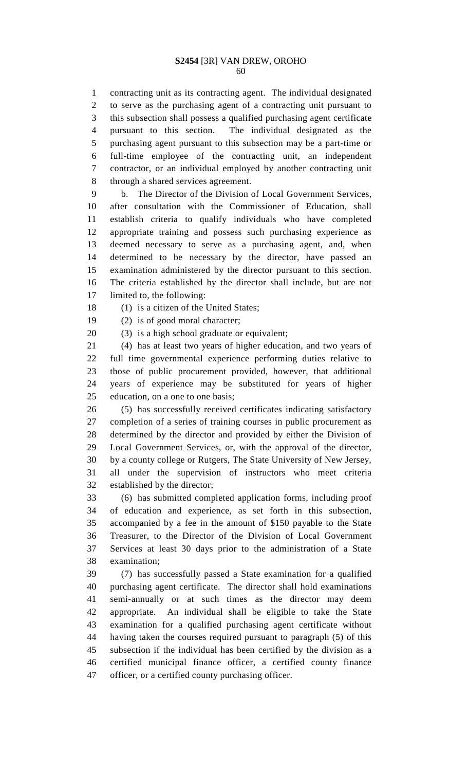1 contracting unit as its contracting agent. The individual designated 2 to serve as the purchasing agent of a contracting unit pursuant to 3 this subsection shall possess a qualified purchasing agent certificate 4 pursuant to this section. The individual designated as the 5 purchasing agent pursuant to this subsection may be a part-time or 6 full-time employee of the contracting unit, an independent 7 contractor, or an individual employed by another contracting unit 8 through a shared services agreement.

9 b. The Director of the Division of Local Government Services, 10 after consultation with the Commissioner of Education, shall 11 establish criteria to qualify individuals who have completed 12 appropriate training and possess such purchasing experience as 13 deemed necessary to serve as a purchasing agent, and, when 14 determined to be necessary by the director, have passed an 15 examination administered by the director pursuant to this section. 16 The criteria established by the director shall include, but are not 17 limited to, the following:

18 (1) is a citizen of the United States;

19 (2) is of good moral character;

20 (3) is a high school graduate or equivalent;

21 (4) has at least two years of higher education, and two years of 22 full time governmental experience performing duties relative to 23 those of public procurement provided, however, that additional 24 years of experience may be substituted for years of higher 25 education, on a one to one basis;

26 (5) has successfully received certificates indicating satisfactory 27 completion of a series of training courses in public procurement as 28 determined by the director and provided by either the Division of 29 Local Government Services, or, with the approval of the director, 30 by a county college or Rutgers, The State University of New Jersey, 31 all under the supervision of instructors who meet criteria 32 established by the director;

33 (6) has submitted completed application forms, including proof 34 of education and experience, as set forth in this subsection, 35 accompanied by a fee in the amount of \$150 payable to the State 36 Treasurer, to the Director of the Division of Local Government 37 Services at least 30 days prior to the administration of a State 38 examination;

39 (7) has successfully passed a State examination for a qualified 40 purchasing agent certificate. The director shall hold examinations 41 semi-annually or at such times as the director may deem 42 appropriate. An individual shall be eligible to take the State 43 examination for a qualified purchasing agent certificate without 44 having taken the courses required pursuant to paragraph (5) of this 45 subsection if the individual has been certified by the division as a 46 certified municipal finance officer, a certified county finance 47 officer, or a certified county purchasing officer.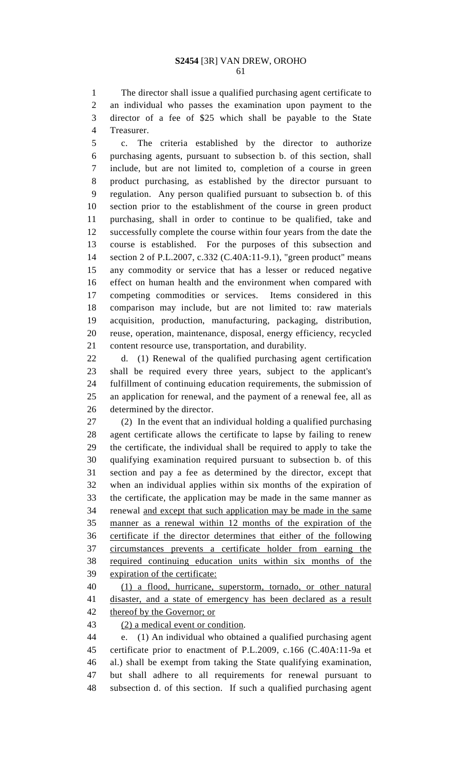1 The director shall issue a qualified purchasing agent certificate to 2 an individual who passes the examination upon payment to the 3 director of a fee of \$25 which shall be payable to the State 4 Treasurer.

5 c. The criteria established by the director to authorize 6 purchasing agents, pursuant to subsection b. of this section, shall 7 include, but are not limited to, completion of a course in green 8 product purchasing, as established by the director pursuant to 9 regulation. Any person qualified pursuant to subsection b. of this 10 section prior to the establishment of the course in green product 11 purchasing, shall in order to continue to be qualified, take and 12 successfully complete the course within four years from the date the 13 course is established. For the purposes of this subsection and 14 section 2 of P.L.2007, c.332 (C.40A:11-9.1), "green product" means 15 any commodity or service that has a lesser or reduced negative 16 effect on human health and the environment when compared with 17 competing commodities or services. Items considered in this 18 comparison may include, but are not limited to: raw materials 19 acquisition, production, manufacturing, packaging, distribution, 20 reuse, operation, maintenance, disposal, energy efficiency, recycled 21 content resource use, transportation, and durability.

22 d. (1) Renewal of the qualified purchasing agent certification 23 shall be required every three years, subject to the applicant's 24 fulfillment of continuing education requirements, the submission of 25 an application for renewal, and the payment of a renewal fee, all as 26 determined by the director.

27 (2) In the event that an individual holding a qualified purchasing 28 agent certificate allows the certificate to lapse by failing to renew 29 the certificate, the individual shall be required to apply to take the 30 qualifying examination required pursuant to subsection b. of this 31 section and pay a fee as determined by the director, except that 32 when an individual applies within six months of the expiration of 33 the certificate, the application may be made in the same manner as 34 renewal and except that such application may be made in the same 35 manner as a renewal within 12 months of the expiration of the 36 certificate if the director determines that either of the following 37 circumstances prevents a certificate holder from earning the 38 required continuing education units within six months of the 39 expiration of the certificate:

40 (1) a flood, hurricane, superstorm, tornado, or other natural 41 disaster, and a state of emergency has been declared as a result 42 thereof by the Governor; or

43 (2) a medical event or condition.

44 e. (1) An individual who obtained a qualified purchasing agent 45 certificate prior to enactment of P.L.2009, c.166 (C.40A:11-9a et 46 al.) shall be exempt from taking the State qualifying examination, 47 but shall adhere to all requirements for renewal pursuant to 48 subsection d. of this section. If such a qualified purchasing agent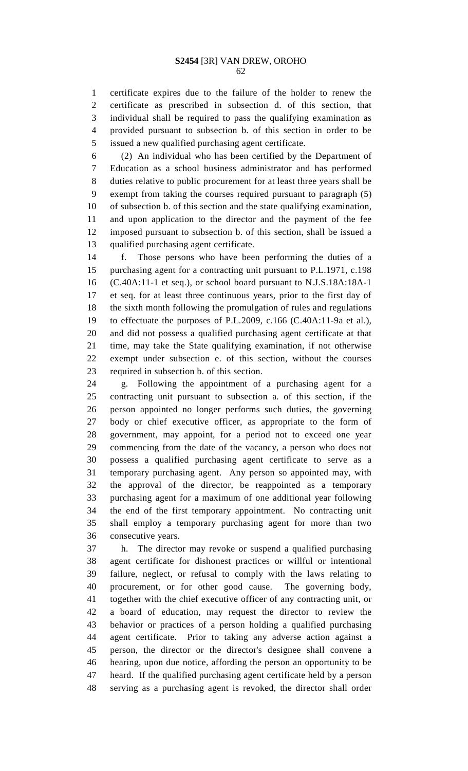1 certificate expires due to the failure of the holder to renew the 2 certificate as prescribed in subsection d. of this section, that 3 individual shall be required to pass the qualifying examination as 4 provided pursuant to subsection b. of this section in order to be 5 issued a new qualified purchasing agent certificate.

6 (2) An individual who has been certified by the Department of 7 Education as a school business administrator and has performed 8 duties relative to public procurement for at least three years shall be 9 exempt from taking the courses required pursuant to paragraph (5) 10 of subsection b. of this section and the state qualifying examination, 11 and upon application to the director and the payment of the fee 12 imposed pursuant to subsection b. of this section, shall be issued a 13 qualified purchasing agent certificate.

14 f. Those persons who have been performing the duties of a 15 purchasing agent for a contracting unit pursuant to P.L.1971, c.198 16 (C.40A:11-1 et seq.), or school board pursuant to N.J.S.18A:18A-1 17 et seq. for at least three continuous years, prior to the first day of 18 the sixth month following the promulgation of rules and regulations 19 to effectuate the purposes of P.L.2009, c.166 (C.40A:11-9a et al.), 20 and did not possess a qualified purchasing agent certificate at that 21 time, may take the State qualifying examination, if not otherwise 22 exempt under subsection e. of this section, without the courses 23 required in subsection b. of this section.

24 g. Following the appointment of a purchasing agent for a 25 contracting unit pursuant to subsection a. of this section, if the 26 person appointed no longer performs such duties, the governing 27 body or chief executive officer, as appropriate to the form of 28 government, may appoint, for a period not to exceed one year 29 commencing from the date of the vacancy, a person who does not 30 possess a qualified purchasing agent certificate to serve as a 31 temporary purchasing agent. Any person so appointed may, with 32 the approval of the director, be reappointed as a temporary 33 purchasing agent for a maximum of one additional year following 34 the end of the first temporary appointment. No contracting unit 35 shall employ a temporary purchasing agent for more than two 36 consecutive years.

37 h. The director may revoke or suspend a qualified purchasing 38 agent certificate for dishonest practices or willful or intentional 39 failure, neglect, or refusal to comply with the laws relating to 40 procurement, or for other good cause. The governing body, 41 together with the chief executive officer of any contracting unit, or 42 a board of education, may request the director to review the 43 behavior or practices of a person holding a qualified purchasing 44 agent certificate. Prior to taking any adverse action against a 45 person, the director or the director's designee shall convene a 46 hearing, upon due notice, affording the person an opportunity to be 47 heard. If the qualified purchasing agent certificate held by a person 48 serving as a purchasing agent is revoked, the director shall order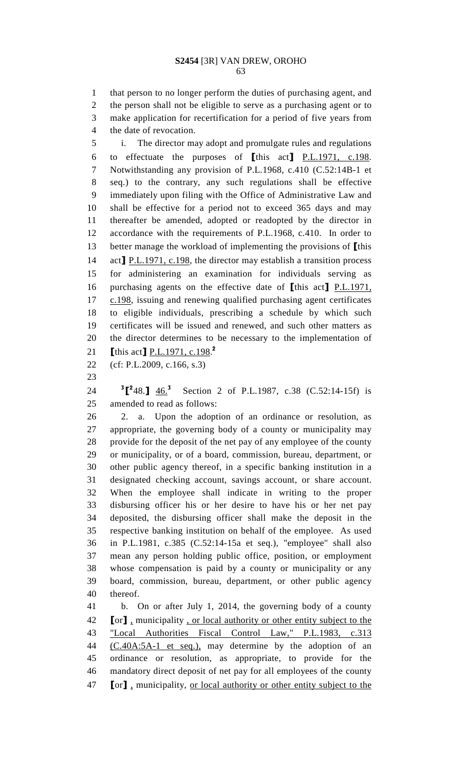1 that person to no longer perform the duties of purchasing agent, and 2 the person shall not be eligible to serve as a purchasing agent or to 3 make application for recertification for a period of five years from 4 the date of revocation.

5 i. The director may adopt and promulgate rules and regulations 6 to effectuate the purposes of [this act] P.L.1971, c.198. 7 Notwithstanding any provision of P.L.1968, c.410 (C.52:14B-1 et 8 seq.) to the contrary, any such regulations shall be effective 9 immediately upon filing with the Office of Administrative Law and 10 shall be effective for a period not to exceed 365 days and may 11 thereafter be amended, adopted or readopted by the director in 12 accordance with the requirements of P.L.1968, c.410. In order to 13 better manage the workload of implementing the provisions of [this 14 act] P.L.1971, c.198, the director may establish a transition process 15 for administering an examination for individuals serving as 16 purchasing agents on the effective date of [this act] P.L.1971, 17 c.198, issuing and renewing qualified purchasing agent certificates 18 to eligible individuals, prescribing a schedule by which such 19 certificates will be issued and renewed, and such other matters as 20 the director determines to be necessary to the implementation of 21 **[**this act**]** P.L.1971, c.198.<sup>2</sup>

- 22 (cf: P.L.2009, c.166, s.3)
- 23

 $\rm ^3\Gamma^2$ 24  $\frac{3}{2}$   $\frac{46.3}{48.1}$   $\frac{46.3}{46.5}$  Section 2 of P.L.1987, c.38 (C.52:14-15f) is 25 amended to read as follows:

26 2. a. Upon the adoption of an ordinance or resolution, as 27 appropriate, the governing body of a county or municipality may 28 provide for the deposit of the net pay of any employee of the county 29 or municipality, or of a board, commission, bureau, department, or 30 other public agency thereof, in a specific banking institution in a 31 designated checking account, savings account, or share account. 32 When the employee shall indicate in writing to the proper 33 disbursing officer his or her desire to have his or her net pay 34 deposited, the disbursing officer shall make the deposit in the 35 respective banking institution on behalf of the employee. As used 36 in P.L.1981, c.385 (C.52:14-15a et seq.), "employee" shall also 37 mean any person holding public office, position, or employment 38 whose compensation is paid by a county or municipality or any 39 board, commission, bureau, department, or other public agency 40 thereof.

41 b. On or after July 1, 2014, the governing body of a county 42 **[or]**, municipality, or local authority or other entity subject to the 43 "Local Authorities Fiscal Control Law," P.L.1983, c.313 44 (C.40A:5A-1 et seq.), may determine by the adoption of an 45 ordinance or resolution, as appropriate, to provide for the 46 mandatory direct deposit of net pay for all employees of the county 47 **[or]**, municipality, <u>or local authority or other entity subject to the</u>